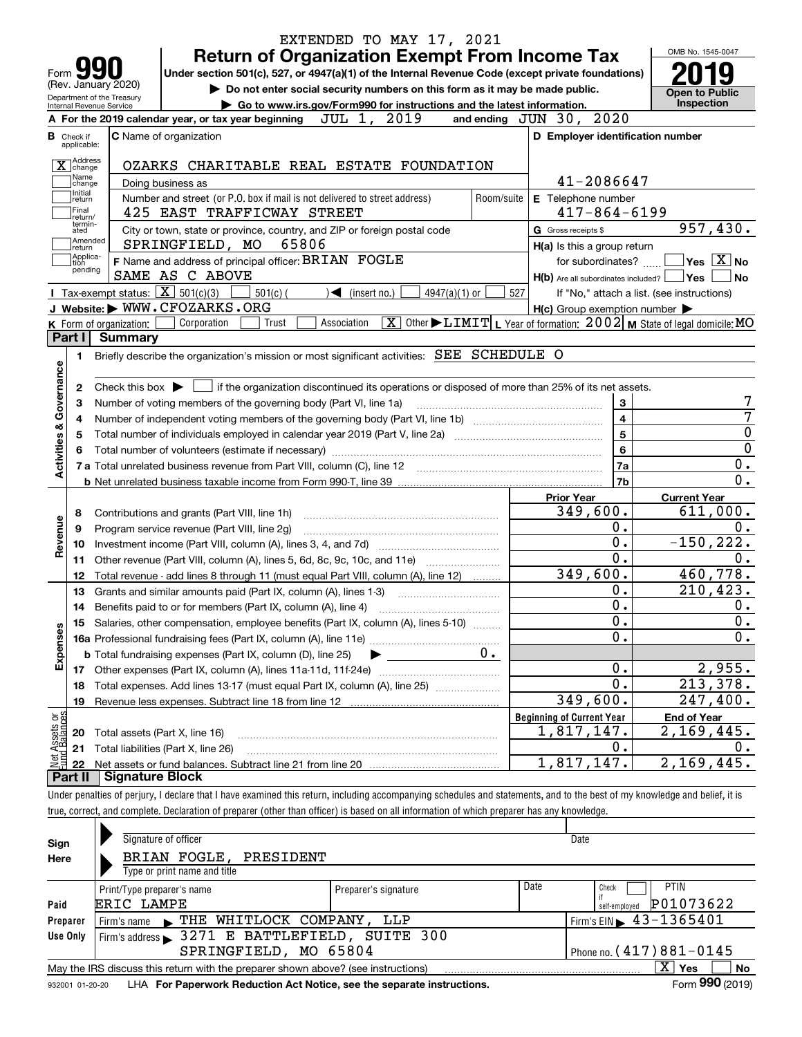|                                  |                                                   | EXTENDED TO MAY 17, 2021                                                                                                                                                   |            |                                                                                                                                                             |                                                  |
|----------------------------------|---------------------------------------------------|----------------------------------------------------------------------------------------------------------------------------------------------------------------------------|------------|-------------------------------------------------------------------------------------------------------------------------------------------------------------|--------------------------------------------------|
|                                  |                                                   | <b>Return of Organization Exempt From Income Tax</b>                                                                                                                       |            |                                                                                                                                                             | OMB No. 1545-0047                                |
| Form $\Box$                      |                                                   | Under section 501(c), 527, or 4947(a)(1) of the Internal Revenue Code (except private foundations)                                                                         |            |                                                                                                                                                             |                                                  |
|                                  | (Rev. January 2020)<br>Department of the Treasury | Do not enter social security numbers on this form as it may be made public.                                                                                                |            |                                                                                                                                                             | <b>Open to Public</b>                            |
| Internal Revenue Service         |                                                   | Go to www.irs.gov/Form990 for instructions and the latest information.                                                                                                     |            |                                                                                                                                                             | Inspection                                       |
|                                  |                                                   | 2019<br>JUL 1,<br>A For the 2019 calendar year, or tax year beginning                                                                                                      |            | and ending JUN 30, 2020                                                                                                                                     |                                                  |
| <b>B</b> Check if<br>applicable: |                                                   | <b>C</b> Name of organization                                                                                                                                              |            | D Employer identification number                                                                                                                            |                                                  |
| X change                         |                                                   | OZARKS CHARITABLE REAL ESTATE FOUNDATION                                                                                                                                   |            |                                                                                                                                                             |                                                  |
| Name<br>change                   |                                                   | Doing business as                                                                                                                                                          |            | 41-2086647                                                                                                                                                  |                                                  |
| Initial<br>return                |                                                   | Number and street (or P.O. box if mail is not delivered to street address)                                                                                                 | Room/suite | E Telephone number                                                                                                                                          |                                                  |
| Final<br>return/                 |                                                   | 425 EAST TRAFFICWAY STREET                                                                                                                                                 |            | $417 - 864 - 6199$                                                                                                                                          |                                                  |
| termin-<br>ated<br>Amended       |                                                   | City or town, state or province, country, and ZIP or foreign postal code                                                                                                   |            | G Gross receipts \$                                                                                                                                         | 957,430.                                         |
| return<br> Applica-              |                                                   | SPRINGFIELD, MO<br>65806                                                                                                                                                   |            | H(a) Is this a group return                                                                                                                                 |                                                  |
| tion<br>pending                  |                                                   | F Name and address of principal officer: BRIAN FOGLE                                                                                                                       |            | for subordinates?                                                                                                                                           | $\sqrt{}$ Yes $\sqrt{}$ X $\sqrt{}$ No           |
|                                  |                                                   | SAME AS C ABOVE<br>Tax-exempt status: $\boxed{\mathbf{X}}$ 501(c)(3)                                                                                                       |            | $H(b)$ Are all subordinates included?                                                                                                                       | <b>Yes</b><br><b>No</b>                          |
|                                  |                                                   | $501(c)$ (<br>$\blacktriangleleft$ (insert no.)<br>$4947(a)(1)$ or<br>J Website: WWW.CFOZARKS.ORG                                                                          | 527        | If "No," attach a list. (see instructions)                                                                                                                  |                                                  |
|                                  |                                                   | $\overline{\mathtt{x}}$<br>Corporation<br>Trust<br>Association                                                                                                             |            | $H(c)$ Group exemption number $\blacktriangleright$<br>Other $\blacktriangleright$ $\text{LIMIT}$ L Year of formation: $2002$ M State of legal domicile: MO |                                                  |
| Part I                           | K Form of organization:<br><b>Summary</b>         |                                                                                                                                                                            |            |                                                                                                                                                             |                                                  |
| 1.                               |                                                   | Briefly describe the organization's mission or most significant activities: SEE SCHEDULE O                                                                                 |            |                                                                                                                                                             |                                                  |
|                                  |                                                   |                                                                                                                                                                            |            |                                                                                                                                                             |                                                  |
| Activities & Governance<br>2     | Check this box $\blacktriangleright$              | if the organization discontinued its operations or disposed of more than 25% of its net assets.                                                                            |            |                                                                                                                                                             |                                                  |
| з                                |                                                   | Number of voting members of the governing body (Part VI, line 1a)                                                                                                          |            | 3                                                                                                                                                           |                                                  |
| 4                                |                                                   |                                                                                                                                                                            |            | $\overline{4}$                                                                                                                                              | 7                                                |
| 5                                |                                                   |                                                                                                                                                                            |            | 5                                                                                                                                                           | $\pmb{0}$                                        |
|                                  |                                                   |                                                                                                                                                                            |            | $6\phantom{a}$                                                                                                                                              | $\mathbf 0$                                      |
|                                  |                                                   |                                                                                                                                                                            |            | 7a                                                                                                                                                          | 0.                                               |
|                                  |                                                   |                                                                                                                                                                            |            | 7b                                                                                                                                                          | 0.                                               |
|                                  |                                                   |                                                                                                                                                                            |            | <b>Prior Year</b>                                                                                                                                           | <b>Current Year</b>                              |
| 8                                |                                                   | Contributions and grants (Part VIII, line 1h)                                                                                                                              |            | 349,600.                                                                                                                                                    | 611,000.                                         |
| 9                                |                                                   | Program service revenue (Part VIII, line 2g)                                                                                                                               |            | 0.                                                                                                                                                          | 0.                                               |
| 10                               |                                                   |                                                                                                                                                                            |            | 0.                                                                                                                                                          | $-150, 222.$                                     |
| Revenue<br>11                    |                                                   | Other revenue (Part VIII, column (A), lines 5, 6d, 8c, 9c, 10c, and 11e)                                                                                                   |            | $\overline{0}$ .                                                                                                                                            | 0.                                               |
| 12                               |                                                   | Total revenue - add lines 8 through 11 (must equal Part VIII, column (A), line 12)                                                                                         |            | 349,600.                                                                                                                                                    | 460,778.                                         |
| 13                               |                                                   | Grants and similar amounts paid (Part IX, column (A), lines 1-3)                                                                                                           |            | 0.                                                                                                                                                          | 210,423.                                         |
|                                  |                                                   | 14 Benefits paid to or for members (Part IX, column (A), line 4)                                                                                                           |            | 0.                                                                                                                                                          | 0.                                               |
| 15                               |                                                   | Salaries, other compensation, employee benefits (Part IX, column (A), lines 5-10)                                                                                          |            | $\overline{\mathbf{0}}$ .                                                                                                                                   | $\overline{0}$ .                                 |
|                                  |                                                   |                                                                                                                                                                            |            | 0.                                                                                                                                                          | $\mathbf 0$ .                                    |
| Expenses                         |                                                   | <b>b</b> Total fundraising expenses (Part IX, column (D), line 25)                                                                                                         | 0.         |                                                                                                                                                             |                                                  |
| 17                               |                                                   |                                                                                                                                                                            |            | 0.<br>0.                                                                                                                                                    | 2,955.                                           |
| 18                               |                                                   | Total expenses. Add lines 13-17 (must equal Part IX, column (A), line 25) [                                                                                                |            | 349,600.                                                                                                                                                    | 213,378.                                         |
| 19                               |                                                   |                                                                                                                                                                            |            |                                                                                                                                                             | 247,400.                                         |
| Net Assets or<br>Fund Balances   |                                                   |                                                                                                                                                                            |            | <b>Beginning of Current Year</b><br>1,817,147.                                                                                                              | <b>End of Year</b><br>$\overline{2}$ , 169, 445. |
| 20                               |                                                   | Total assets (Part X, line 16)                                                                                                                                             |            | 0.                                                                                                                                                          | О.                                               |
| 21                               |                                                   | Total liabilities (Part X, line 26)                                                                                                                                        |            | 1,817,147.                                                                                                                                                  | 2,169,445.                                       |
| 22<br>Part II                    | <b>Signature Block</b>                            |                                                                                                                                                                            |            |                                                                                                                                                             |                                                  |
|                                  |                                                   | Under penalties of perjury, I declare that I have examined this return, including accompanying schedules and statements, and to the best of my knowledge and belief, it is |            |                                                                                                                                                             |                                                  |
|                                  |                                                   | true, correct, and complete. Declaration of preparer (other than officer) is based on all information of which preparer has any knowledge.                                 |            |                                                                                                                                                             |                                                  |
|                                  |                                                   |                                                                                                                                                                            |            |                                                                                                                                                             |                                                  |
| Sign                             |                                                   | Signature of officer                                                                                                                                                       |            | Date                                                                                                                                                        |                                                  |
| Here                             |                                                   | BRIAN FOGLE,<br>PRESIDENT                                                                                                                                                  |            |                                                                                                                                                             |                                                  |
|                                  |                                                   | Type or print name and title                                                                                                                                               |            |                                                                                                                                                             |                                                  |

|                                                      | Type or print name and title                                                           |                      |      |                            |  |  |  |  |  |
|------------------------------------------------------|----------------------------------------------------------------------------------------|----------------------|------|----------------------------|--|--|--|--|--|
|                                                      | Print/Type preparer's name                                                             | Preparer's signature | Date | <b>PTIN</b><br>Check       |  |  |  |  |  |
| Paid                                                 | ERIC LAMPE                                                                             |                      |      | P01073622<br>self-emploved |  |  |  |  |  |
| Preparer                                             | $\frac{1}{2}$ Firm's EIN $\geq 43 - 1365401$<br>Firm's name FIHE WHITLOCK COMPANY, LLP |                      |      |                            |  |  |  |  |  |
| Use Only                                             | Firm's address > 3271 E BATTLEFIELD, SUITE 300                                         |                      |      |                            |  |  |  |  |  |
| Phone no. $(417)881 - 0145$<br>SPRINGFIELD, MO 65804 |                                                                                        |                      |      |                            |  |  |  |  |  |
|                                                      | May the IRS discuss this return with the preparer shown above? (see instructions)      |                      |      | х<br>No<br>Yes             |  |  |  |  |  |
|                                                      |                                                                                        |                      |      | $000 \div 100$<br>$-$      |  |  |  |  |  |

932001 01-20-20 **For Paperwork Reduction Act Notice, see the separate instructions.** LHA Form (2019)

**990**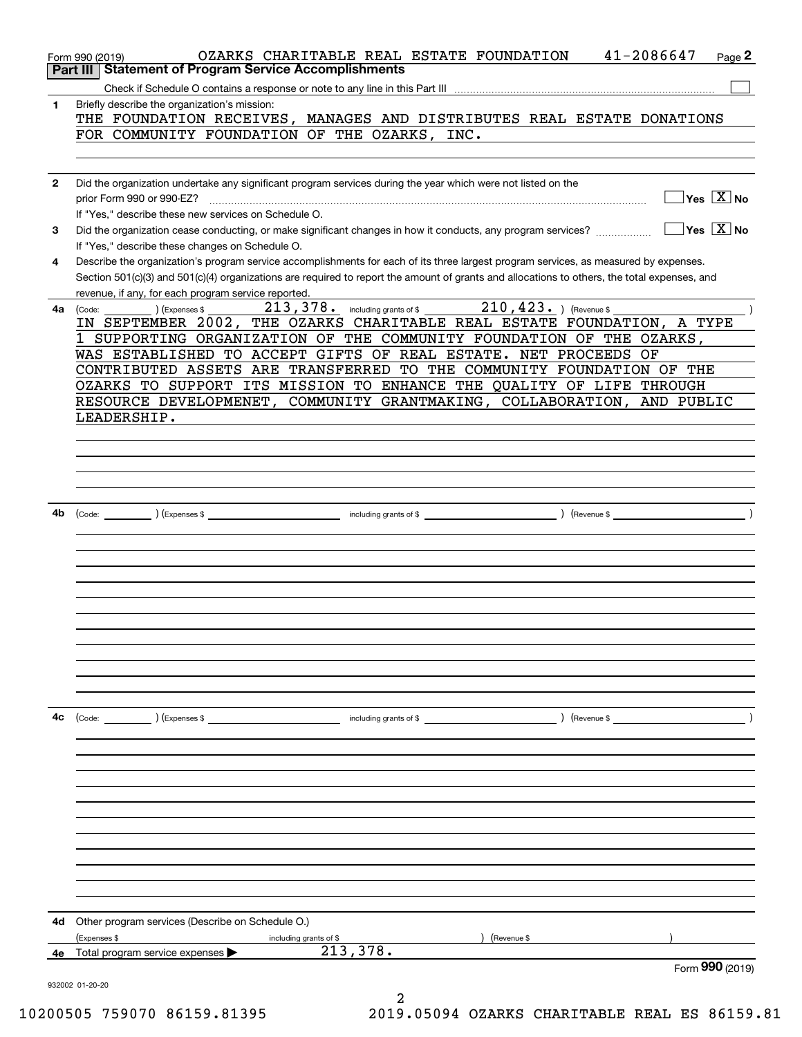|              | 41-2086647<br>OZARKS CHARITABLE REAL ESTATE FOUNDATION<br>Page 2<br>Form 990 (2019)<br><b>Statement of Program Service Accomplishments</b><br>Part III                                                                                                                                                                                      |
|--------------|---------------------------------------------------------------------------------------------------------------------------------------------------------------------------------------------------------------------------------------------------------------------------------------------------------------------------------------------|
|              |                                                                                                                                                                                                                                                                                                                                             |
| 1            | Briefly describe the organization's mission:<br>THE FOUNDATION RECEIVES, MANAGES AND DISTRIBUTES REAL ESTATE DONATIONS<br>FOR COMMUNITY FOUNDATION OF THE OZARKS, INC.                                                                                                                                                                      |
|              |                                                                                                                                                                                                                                                                                                                                             |
| $\mathbf{2}$ | Did the organization undertake any significant program services during the year which were not listed on the<br>$\sqrt{}$ Yes $\sqrt{}$ $\overline{\rm X}$ No<br>prior Form 990 or 990-EZ?<br>If "Yes," describe these new services on Schedule O.                                                                                          |
| 3            | $\sqrt{}$ Yes $\sqrt{}$ X $\sqrt{}$ No<br>Did the organization cease conducting, or make significant changes in how it conducts, any program services?<br>If "Yes," describe these changes on Schedule O.                                                                                                                                   |
| 4            | Describe the organization's program service accomplishments for each of its three largest program services, as measured by expenses.<br>Section 501(c)(3) and 501(c)(4) organizations are required to report the amount of grants and allocations to others, the total expenses, and<br>revenue, if any, for each program service reported. |
| 4a           | $210, 423.$ ) (Revenue \$<br>213, 378. including grants of \$<br>) (Expenses \$<br>(Code:                                                                                                                                                                                                                                                   |
|              | IN SEPTEMBER 2002, THE OZARKS CHARITABLE REAL ESTATE FOUNDATION, A TYPE                                                                                                                                                                                                                                                                     |
|              | 1 SUPPORTING ORGANIZATION OF THE COMMUNITY FOUNDATION OF THE OZARKS,                                                                                                                                                                                                                                                                        |
|              | WAS ESTABLISHED TO ACCEPT GIFTS OF REAL ESTATE. NET PROCEEDS OF                                                                                                                                                                                                                                                                             |
|              | CONTRIBUTED ASSETS ARE TRANSFERRED TO THE COMMUNITY FOUNDATION OF THE                                                                                                                                                                                                                                                                       |
|              | OZARKS TO SUPPORT ITS MISSION TO ENHANCE THE QUALITY OF LIFE THROUGH                                                                                                                                                                                                                                                                        |
|              | RESOURCE DEVELOPMENET, COMMUNITY GRANTMAKING, COLLABORATION, AND PUBLIC                                                                                                                                                                                                                                                                     |
|              | LEADERSHIP.                                                                                                                                                                                                                                                                                                                                 |
|              |                                                                                                                                                                                                                                                                                                                                             |
|              |                                                                                                                                                                                                                                                                                                                                             |
|              |                                                                                                                                                                                                                                                                                                                                             |
|              |                                                                                                                                                                                                                                                                                                                                             |
|              |                                                                                                                                                                                                                                                                                                                                             |
| 4b           | $\overline{\phantom{a}}$ ( $\overline{\phantom{a}}$ )<br>$\left(\text{Code:}\right)$ $\left(\text{Expenses $}\right)$                                                                                                                                                                                                                       |
|              |                                                                                                                                                                                                                                                                                                                                             |
|              |                                                                                                                                                                                                                                                                                                                                             |
|              |                                                                                                                                                                                                                                                                                                                                             |
|              |                                                                                                                                                                                                                                                                                                                                             |
|              |                                                                                                                                                                                                                                                                                                                                             |
|              |                                                                                                                                                                                                                                                                                                                                             |
|              |                                                                                                                                                                                                                                                                                                                                             |
|              |                                                                                                                                                                                                                                                                                                                                             |
|              |                                                                                                                                                                                                                                                                                                                                             |
|              |                                                                                                                                                                                                                                                                                                                                             |
|              |                                                                                                                                                                                                                                                                                                                                             |
|              |                                                                                                                                                                                                                                                                                                                                             |
|              |                                                                                                                                                                                                                                                                                                                                             |
| 4c           | $\left(\text{Code:} \right)$ $\left(\text{Expenses $}\right)$<br>including grants of \$<br>) (Revenue \$                                                                                                                                                                                                                                    |
|              |                                                                                                                                                                                                                                                                                                                                             |
|              |                                                                                                                                                                                                                                                                                                                                             |
|              |                                                                                                                                                                                                                                                                                                                                             |
|              |                                                                                                                                                                                                                                                                                                                                             |
|              |                                                                                                                                                                                                                                                                                                                                             |
|              |                                                                                                                                                                                                                                                                                                                                             |
|              |                                                                                                                                                                                                                                                                                                                                             |
|              |                                                                                                                                                                                                                                                                                                                                             |
|              |                                                                                                                                                                                                                                                                                                                                             |
|              |                                                                                                                                                                                                                                                                                                                                             |
|              |                                                                                                                                                                                                                                                                                                                                             |
|              |                                                                                                                                                                                                                                                                                                                                             |
|              |                                                                                                                                                                                                                                                                                                                                             |
| 4d           | Other program services (Describe on Schedule O.)                                                                                                                                                                                                                                                                                            |
|              | (Expenses \$<br>Revenue \$<br>including grants of \$                                                                                                                                                                                                                                                                                        |
| 4е           | 213,378.<br>Total program service expenses                                                                                                                                                                                                                                                                                                  |
|              | Form 990 (2019)                                                                                                                                                                                                                                                                                                                             |
|              | 932002 01-20-20                                                                                                                                                                                                                                                                                                                             |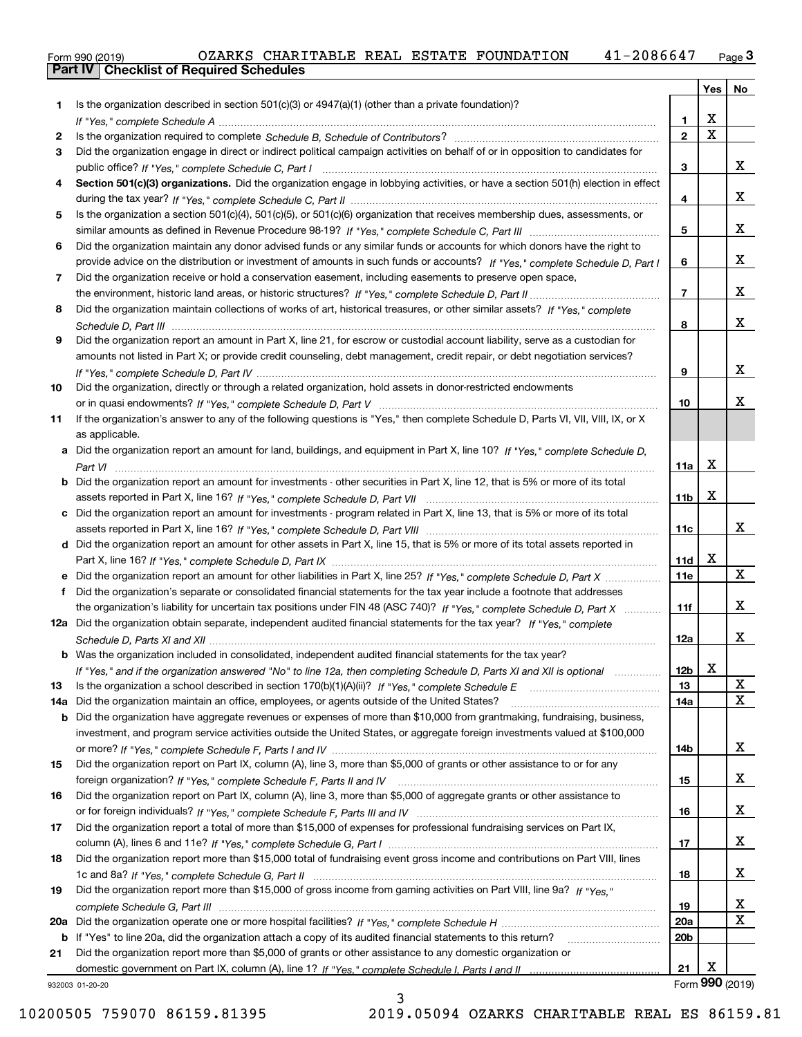|  | Form 990 (2019) |  |
|--|-----------------|--|
|  |                 |  |

|     |                                                                                                                                       |                 | Yes         | No              |
|-----|---------------------------------------------------------------------------------------------------------------------------------------|-----------------|-------------|-----------------|
| 1.  | Is the organization described in section $501(c)(3)$ or $4947(a)(1)$ (other than a private foundation)?                               |                 |             |                 |
|     |                                                                                                                                       | 1.              | X           |                 |
| 2   |                                                                                                                                       | $\mathbf{2}$    | $\mathbf X$ |                 |
| 3   | Did the organization engage in direct or indirect political campaign activities on behalf of or in opposition to candidates for       |                 |             |                 |
|     |                                                                                                                                       | 3               |             | x               |
| 4   | Section 501(c)(3) organizations. Did the organization engage in lobbying activities, or have a section 501(h) election in effect      |                 |             |                 |
|     |                                                                                                                                       | 4               |             | x               |
| 5   | Is the organization a section 501(c)(4), 501(c)(5), or 501(c)(6) organization that receives membership dues, assessments, or          |                 |             |                 |
|     |                                                                                                                                       | 5               |             | x               |
| 6   | Did the organization maintain any donor advised funds or any similar funds or accounts for which donors have the right to             |                 |             |                 |
|     | provide advice on the distribution or investment of amounts in such funds or accounts? If "Yes," complete Schedule D, Part I          | 6               |             | x               |
| 7   | Did the organization receive or hold a conservation easement, including easements to preserve open space,                             |                 |             | x               |
|     | Did the organization maintain collections of works of art, historical treasures, or other similar assets? If "Yes," complete          | 7               |             |                 |
| 8   |                                                                                                                                       | 8               |             | x               |
| 9   | Did the organization report an amount in Part X, line 21, for escrow or custodial account liability, serve as a custodian for         |                 |             |                 |
|     | amounts not listed in Part X; or provide credit counseling, debt management, credit repair, or debt negotiation services?             |                 |             |                 |
|     |                                                                                                                                       | 9               |             | x               |
| 10  | Did the organization, directly or through a related organization, hold assets in donor-restricted endowments                          |                 |             |                 |
|     |                                                                                                                                       | 10              |             | x               |
| 11  | If the organization's answer to any of the following questions is "Yes," then complete Schedule D, Parts VI, VII, VIII, IX, or X      |                 |             |                 |
|     | as applicable.                                                                                                                        |                 |             |                 |
|     | a Did the organization report an amount for land, buildings, and equipment in Part X, line 10? If "Yes," complete Schedule D,         |                 |             |                 |
|     |                                                                                                                                       | 11a             | X           |                 |
|     | <b>b</b> Did the organization report an amount for investments - other securities in Part X, line 12, that is 5% or more of its total |                 |             |                 |
|     |                                                                                                                                       | 11 <sub>b</sub> | X           |                 |
|     | c Did the organization report an amount for investments - program related in Part X, line 13, that is 5% or more of its total         |                 |             |                 |
|     |                                                                                                                                       | 11c             |             | x               |
|     | d Did the organization report an amount for other assets in Part X, line 15, that is 5% or more of its total assets reported in       |                 |             |                 |
|     |                                                                                                                                       | 11d             | х           |                 |
|     | e Did the organization report an amount for other liabilities in Part X, line 25? If "Yes," complete Schedule D, Part X               | <b>11e</b>      |             | X               |
|     | f Did the organization's separate or consolidated financial statements for the tax year include a footnote that addresses             |                 |             |                 |
|     | the organization's liability for uncertain tax positions under FIN 48 (ASC 740)? If "Yes," complete Schedule D, Part X                | 11f             |             | x               |
|     | 12a Did the organization obtain separate, independent audited financial statements for the tax year? If "Yes," complete               |                 |             | x               |
|     |                                                                                                                                       | 12a             |             |                 |
|     | <b>b</b> Was the organization included in consolidated, independent audited financial statements for the tax year?                    |                 | X.          |                 |
| 13  | If "Yes," and if the organization answered "No" to line 12a, then completing Schedule D, Parts XI and XII is optional                 | 12b<br>13       |             | X               |
| 14a | Did the organization maintain an office, employees, or agents outside of the United States?                                           | 14a             |             | X               |
|     | <b>b</b> Did the organization have aggregate revenues or expenses of more than \$10,000 from grantmaking, fundraising, business,      |                 |             |                 |
|     | investment, and program service activities outside the United States, or aggregate foreign investments valued at \$100,000            |                 |             |                 |
|     |                                                                                                                                       | 14b             |             | x               |
| 15  | Did the organization report on Part IX, column (A), line 3, more than \$5,000 of grants or other assistance to or for any             |                 |             |                 |
|     |                                                                                                                                       | 15              |             | X               |
| 16  | Did the organization report on Part IX, column (A), line 3, more than \$5,000 of aggregate grants or other assistance to              |                 |             |                 |
|     |                                                                                                                                       | 16              |             | X               |
| 17  | Did the organization report a total of more than \$15,000 of expenses for professional fundraising services on Part IX,               |                 |             |                 |
|     |                                                                                                                                       | 17              |             | X               |
| 18  | Did the organization report more than \$15,000 total of fundraising event gross income and contributions on Part VIII, lines          |                 |             |                 |
|     |                                                                                                                                       | 18              |             | X               |
| 19  | Did the organization report more than \$15,000 of gross income from gaming activities on Part VIII, line 9a? If "Yes."                |                 |             |                 |
|     |                                                                                                                                       | 19              |             | x               |
| 20a |                                                                                                                                       | 20a             |             | X               |
| b   | If "Yes" to line 20a, did the organization attach a copy of its audited financial statements to this return?                          | 20b             |             |                 |
| 21  | Did the organization report more than \$5,000 of grants or other assistance to any domestic organization or                           | 21              | х           |                 |
|     | 932003 01-20-20                                                                                                                       |                 |             | Form 990 (2019) |
|     |                                                                                                                                       |                 |             |                 |

932003 01-20-20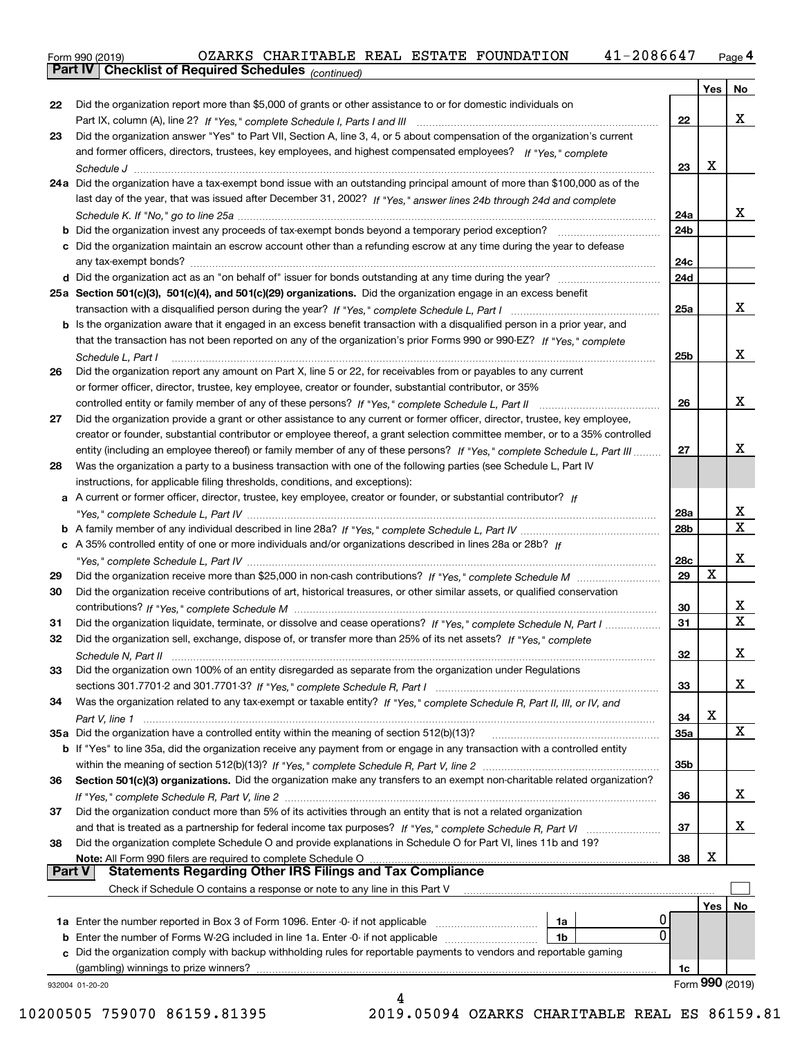Form 990 (2019) OZARKS CHARITABLE REAL ESTATE FOUNDATION 41-2 0 8 6 6 47 <sub>Page</sub> 4<br>**Part IV | Checklist of Required Schedules** <sub>(continued)</sub>

*(continued)*

|          |                                                                                                                                     |     | Yes             | No                      |
|----------|-------------------------------------------------------------------------------------------------------------------------------------|-----|-----------------|-------------------------|
| 22       | Did the organization report more than \$5,000 of grants or other assistance to or for domestic individuals on                       |     |                 |                         |
|          |                                                                                                                                     | 22  |                 | х                       |
| 23       | Did the organization answer "Yes" to Part VII, Section A, line 3, 4, or 5 about compensation of the organization's current          |     |                 |                         |
|          | and former officers, directors, trustees, key employees, and highest compensated employees? If "Yes." complete                      |     |                 |                         |
|          |                                                                                                                                     | 23  | х               |                         |
|          | 24a Did the organization have a tax-exempt bond issue with an outstanding principal amount of more than \$100,000 as of the         |     |                 |                         |
|          | last day of the year, that was issued after December 31, 2002? If "Yes," answer lines 24b through 24d and complete                  |     |                 |                         |
|          |                                                                                                                                     | 24a |                 | x                       |
|          |                                                                                                                                     | 24b |                 |                         |
|          | c Did the organization maintain an escrow account other than a refunding escrow at any time during the year to defease              |     |                 |                         |
|          |                                                                                                                                     | 24c |                 |                         |
|          |                                                                                                                                     | 24d |                 |                         |
|          | 25a Section 501(c)(3), 501(c)(4), and 501(c)(29) organizations. Did the organization engage in an excess benefit                    |     |                 |                         |
|          |                                                                                                                                     | 25a |                 | x                       |
|          | <b>b</b> Is the organization aware that it engaged in an excess benefit transaction with a disqualified person in a prior year, and |     |                 |                         |
|          | that the transaction has not been reported on any of the organization's prior Forms 990 or 990-EZ? If "Yes," complete               |     |                 |                         |
|          |                                                                                                                                     | 25b |                 | х                       |
|          | Schedule L, Part I                                                                                                                  |     |                 |                         |
| 26       | Did the organization report any amount on Part X, line 5 or 22, for receivables from or payables to any current                     |     |                 |                         |
|          | or former officer, director, trustee, key employee, creator or founder, substantial contributor, or 35%                             |     |                 |                         |
|          |                                                                                                                                     | 26  |                 | х                       |
| 27       | Did the organization provide a grant or other assistance to any current or former officer, director, trustee, key employee,         |     |                 |                         |
|          | creator or founder, substantial contributor or employee thereof, a grant selection committee member, or to a 35% controlled         |     |                 |                         |
|          | entity (including an employee thereof) or family member of any of these persons? If "Yes," complete Schedule L, Part III            | 27  |                 | х                       |
| 28       | Was the organization a party to a business transaction with one of the following parties (see Schedule L, Part IV                   |     |                 |                         |
|          | instructions, for applicable filing thresholds, conditions, and exceptions):                                                        |     |                 |                         |
|          | a A current or former officer, director, trustee, key employee, creator or founder, or substantial contributor? If                  |     |                 |                         |
|          |                                                                                                                                     | 28a |                 | x                       |
|          |                                                                                                                                     | 28b |                 | $\overline{\mathbf{x}}$ |
|          | c A 35% controlled entity of one or more individuals and/or organizations described in lines 28a or 28b? If                         |     |                 |                         |
|          |                                                                                                                                     | 28c |                 | х                       |
| 29       |                                                                                                                                     | 29  | X               |                         |
| 30       | Did the organization receive contributions of art, historical treasures, or other similar assets, or qualified conservation         |     |                 |                         |
|          |                                                                                                                                     | 30  |                 | х                       |
| 31       | Did the organization liquidate, terminate, or dissolve and cease operations? If "Yes," complete Schedule N, Part I                  | 31  |                 | $\mathbf X$             |
| 32       | Did the organization sell, exchange, dispose of, or transfer more than 25% of its net assets? If "Yes," complete                    |     |                 |                         |
|          |                                                                                                                                     |     |                 | x                       |
|          |                                                                                                                                     | 32  |                 |                         |
|          | Did the organization own 100% of an entity disregarded as separate from the organization under Regulations                          |     |                 |                         |
|          |                                                                                                                                     | 33  |                 | х                       |
| 34       | Was the organization related to any tax-exempt or taxable entity? If "Yes," complete Schedule R, Part II, III, or IV, and           |     |                 |                         |
|          |                                                                                                                                     | 34  | X               |                         |
|          | 35a Did the organization have a controlled entity within the meaning of section 512(b)(13)?                                         | 35а |                 | X                       |
|          | b If "Yes" to line 35a, did the organization receive any payment from or engage in any transaction with a controlled entity         |     |                 |                         |
|          |                                                                                                                                     | 35b |                 |                         |
| 36       | Section 501(c)(3) organizations. Did the organization make any transfers to an exempt non-charitable related organization?          |     |                 |                         |
|          |                                                                                                                                     | 36  |                 | х                       |
|          | Did the organization conduct more than 5% of its activities through an entity that is not a related organization                    |     |                 |                         |
|          |                                                                                                                                     | 37  |                 | х                       |
|          |                                                                                                                                     |     |                 |                         |
|          |                                                                                                                                     |     |                 |                         |
|          | Did the organization complete Schedule O and provide explanations in Schedule O for Part VI, lines 11b and 19?                      |     |                 |                         |
|          | Note: All Form 990 filers are required to complete Schedule O                                                                       | 38  | х               |                         |
|          | <b>Statements Regarding Other IRS Filings and Tax Compliance</b><br>Part V                                                          |     |                 |                         |
|          | Check if Schedule O contains a response or note to any line in this Part V                                                          |     |                 |                         |
| 37<br>38 |                                                                                                                                     |     | Yes             |                         |
|          | 0<br>1a Enter the number reported in Box 3 of Form 1096. Enter -0- if not applicable<br>1a                                          |     |                 |                         |
|          | 0<br><b>b</b> Enter the number of Forms W-2G included in line 1a. Enter -0- if not applicable<br>1b                                 |     |                 |                         |
|          | c Did the organization comply with backup withholding rules for reportable payments to vendors and reportable gaming                |     |                 | No                      |
|          |                                                                                                                                     | 1c  | Form 990 (2019) |                         |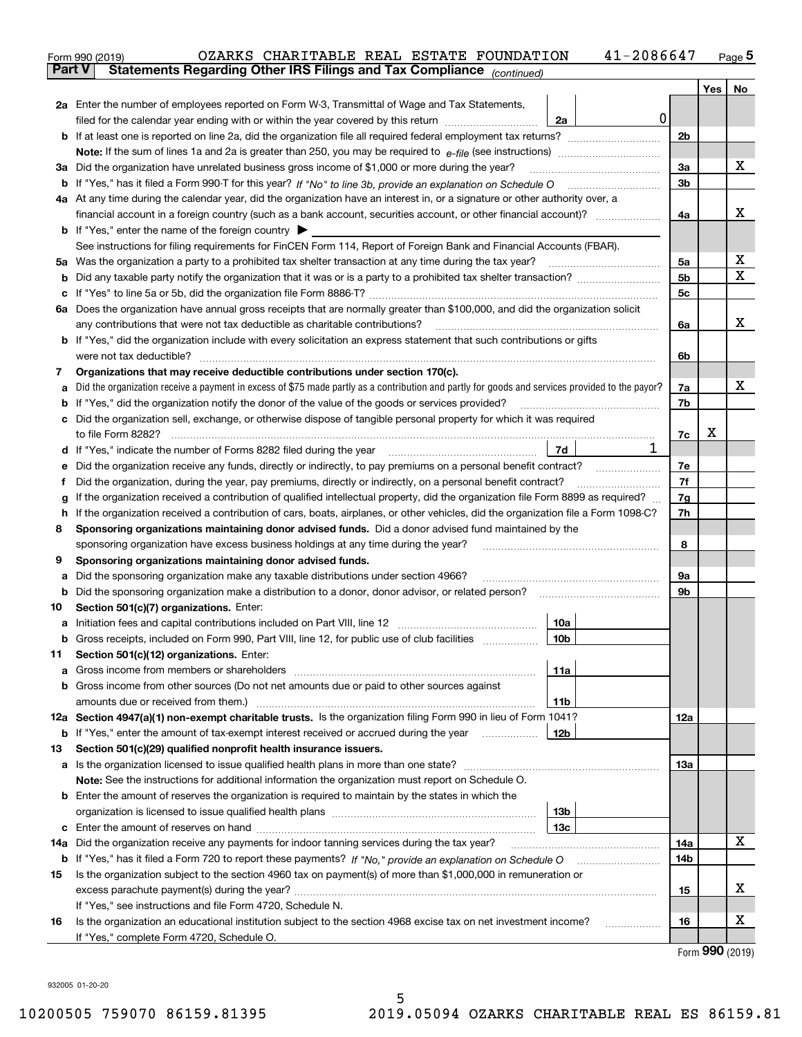|         | 41-2086647<br>OZARKS CHARITABLE REAL ESTATE FOUNDATION<br>Form 990 (2019)                                                                                                                                                     |     |         | $Page$ <sup>5</sup> |  |  |  |  |  |  |
|---------|-------------------------------------------------------------------------------------------------------------------------------------------------------------------------------------------------------------------------------|-----|---------|---------------------|--|--|--|--|--|--|
|         | Statements Regarding Other IRS Filings and Tax Compliance (continued)<br><b>Part V</b>                                                                                                                                        |     |         |                     |  |  |  |  |  |  |
|         |                                                                                                                                                                                                                               |     | Yes $ $ | No                  |  |  |  |  |  |  |
|         | 2a Enter the number of employees reported on Form W-3, Transmittal of Wage and Tax Statements,                                                                                                                                |     |         |                     |  |  |  |  |  |  |
|         | 0<br>filed for the calendar year ending with or within the year covered by this return <i>manumumumum</i><br>2a                                                                                                               |     |         |                     |  |  |  |  |  |  |
|         |                                                                                                                                                                                                                               | 2b  |         |                     |  |  |  |  |  |  |
|         |                                                                                                                                                                                                                               |     |         | x                   |  |  |  |  |  |  |
|         | 3a Did the organization have unrelated business gross income of \$1,000 or more during the year?                                                                                                                              |     |         |                     |  |  |  |  |  |  |
|         |                                                                                                                                                                                                                               | 3b  |         |                     |  |  |  |  |  |  |
|         | 4a At any time during the calendar year, did the organization have an interest in, or a signature or other authority over, a                                                                                                  |     |         |                     |  |  |  |  |  |  |
|         |                                                                                                                                                                                                                               | 4a  |         | x                   |  |  |  |  |  |  |
|         | <b>b</b> If "Yes," enter the name of the foreign country $\triangleright$                                                                                                                                                     |     |         |                     |  |  |  |  |  |  |
|         | See instructions for filing requirements for FinCEN Form 114, Report of Foreign Bank and Financial Accounts (FBAR).                                                                                                           |     |         |                     |  |  |  |  |  |  |
|         |                                                                                                                                                                                                                               | 5a  |         | Х                   |  |  |  |  |  |  |
|         |                                                                                                                                                                                                                               | 5b  |         | х                   |  |  |  |  |  |  |
|         |                                                                                                                                                                                                                               | 5c  |         |                     |  |  |  |  |  |  |
|         | 6a Does the organization have annual gross receipts that are normally greater than \$100,000, and did the organization solicit                                                                                                |     |         |                     |  |  |  |  |  |  |
|         | any contributions that were not tax deductible as charitable contributions?                                                                                                                                                   | 6a  |         | x                   |  |  |  |  |  |  |
|         | <b>b</b> If "Yes," did the organization include with every solicitation an express statement that such contributions or gifts                                                                                                 |     |         |                     |  |  |  |  |  |  |
|         | were not tax deductible?                                                                                                                                                                                                      | 6b  |         |                     |  |  |  |  |  |  |
| 7       | Organizations that may receive deductible contributions under section 170(c).                                                                                                                                                 |     |         |                     |  |  |  |  |  |  |
| а       | Did the organization receive a payment in excess of \$75 made partly as a contribution and partly for goods and services provided to the payor?                                                                               | 7a  |         | х                   |  |  |  |  |  |  |
|         | <b>b</b> If "Yes," did the organization notify the donor of the value of the goods or services provided?                                                                                                                      | 7b  |         |                     |  |  |  |  |  |  |
|         | c Did the organization sell, exchange, or otherwise dispose of tangible personal property for which it was required                                                                                                           | 7c  | х       |                     |  |  |  |  |  |  |
|         |                                                                                                                                                                                                                               |     |         |                     |  |  |  |  |  |  |
|         | 1<br>7d                                                                                                                                                                                                                       |     |         |                     |  |  |  |  |  |  |
| е       | Did the organization receive any funds, directly or indirectly, to pay premiums on a personal benefit contract?                                                                                                               |     |         |                     |  |  |  |  |  |  |
| f       | Did the organization, during the year, pay premiums, directly or indirectly, on a personal benefit contract?                                                                                                                  | 7f  |         |                     |  |  |  |  |  |  |
| g       | If the organization received a contribution of qualified intellectual property, did the organization file Form 8899 as required?                                                                                              | 7g  |         |                     |  |  |  |  |  |  |
|         | h If the organization received a contribution of cars, boats, airplanes, or other vehicles, did the organization file a Form 1098-C?                                                                                          | 7h  |         |                     |  |  |  |  |  |  |
| 8       | Sponsoring organizations maintaining donor advised funds. Did a donor advised fund maintained by the                                                                                                                          |     |         |                     |  |  |  |  |  |  |
|         | sponsoring organization have excess business holdings at any time during the year?                                                                                                                                            | 8   |         |                     |  |  |  |  |  |  |
| 9       | Sponsoring organizations maintaining donor advised funds.                                                                                                                                                                     |     |         |                     |  |  |  |  |  |  |
| а       | Did the sponsoring organization make any taxable distributions under section 4966?                                                                                                                                            | 9а  |         |                     |  |  |  |  |  |  |
|         | <b>b</b> Did the sponsoring organization make a distribution to a donor, donor advisor, or related person?                                                                                                                    | 9b  |         |                     |  |  |  |  |  |  |
| 10      | Section 501(c)(7) organizations. Enter:                                                                                                                                                                                       |     |         |                     |  |  |  |  |  |  |
| а       | 10a<br>Initiation fees and capital contributions included on Part VIII, line 12 [111] [11] [11] [12] [11] [11] [12] [<br> 10b <br>Gross receipts, included on Form 990, Part VIII, line 12, for public use of club facilities |     |         |                     |  |  |  |  |  |  |
|         |                                                                                                                                                                                                                               |     |         |                     |  |  |  |  |  |  |
| 11<br>a | Section 501(c)(12) organizations. Enter:<br>Gross income from members or shareholders<br>11a                                                                                                                                  |     |         |                     |  |  |  |  |  |  |
|         | b Gross income from other sources (Do not net amounts due or paid to other sources against                                                                                                                                    |     |         |                     |  |  |  |  |  |  |
|         | 11b                                                                                                                                                                                                                           |     |         |                     |  |  |  |  |  |  |
|         | 12a Section 4947(a)(1) non-exempt charitable trusts. Is the organization filing Form 990 in lieu of Form 1041?                                                                                                                | 12a |         |                     |  |  |  |  |  |  |
|         | 12b<br><b>b</b> If "Yes," enter the amount of tax-exempt interest received or accrued during the year                                                                                                                         |     |         |                     |  |  |  |  |  |  |
| 13      | Section 501(c)(29) qualified nonprofit health insurance issuers.                                                                                                                                                              |     |         |                     |  |  |  |  |  |  |
|         | a Is the organization licensed to issue qualified health plans in more than one state?                                                                                                                                        | 13а |         |                     |  |  |  |  |  |  |
|         | Note: See the instructions for additional information the organization must report on Schedule O.                                                                                                                             |     |         |                     |  |  |  |  |  |  |
|         | <b>b</b> Enter the amount of reserves the organization is required to maintain by the states in which the                                                                                                                     |     |         |                     |  |  |  |  |  |  |
|         | 13b                                                                                                                                                                                                                           |     |         |                     |  |  |  |  |  |  |
|         | 13с                                                                                                                                                                                                                           |     |         |                     |  |  |  |  |  |  |
|         | 14a Did the organization receive any payments for indoor tanning services during the tax year?                                                                                                                                | 14a |         | x                   |  |  |  |  |  |  |
|         | <b>b</b> If "Yes," has it filed a Form 720 to report these payments? If "No," provide an explanation on Schedule O                                                                                                            | 14b |         |                     |  |  |  |  |  |  |
| 15      | Is the organization subject to the section 4960 tax on payment(s) of more than \$1,000,000 in remuneration or                                                                                                                 |     |         |                     |  |  |  |  |  |  |
|         |                                                                                                                                                                                                                               | 15  |         | x                   |  |  |  |  |  |  |
|         | If "Yes," see instructions and file Form 4720, Schedule N.                                                                                                                                                                    |     |         |                     |  |  |  |  |  |  |
| 16      | Is the organization an educational institution subject to the section 4968 excise tax on net investment income?                                                                                                               | 16  |         | x                   |  |  |  |  |  |  |
|         | If "Yes," complete Form 4720, Schedule O.                                                                                                                                                                                     |     |         |                     |  |  |  |  |  |  |

Form (2019) **990**

932005 01-20-20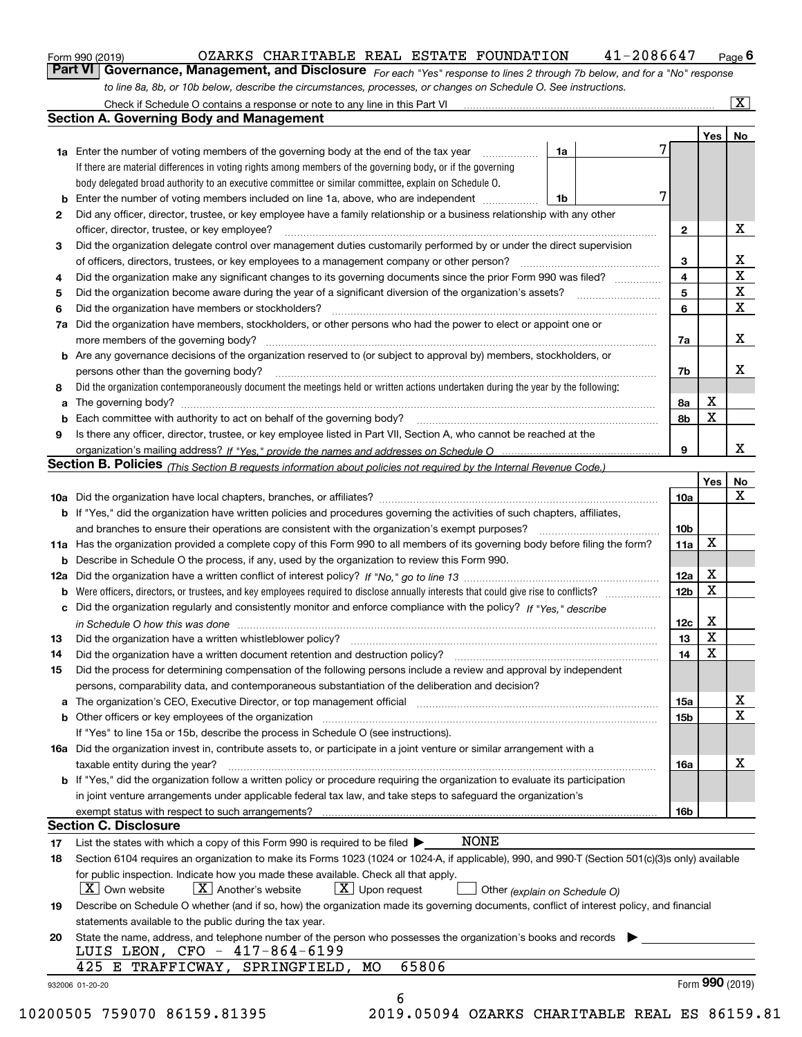|  | Form 990 (2019) |
|--|-----------------|
|  |                 |

### $_{\rm Form}$ 990 (2019) OZARKS CHARITABLE REAL ESTATE FOUNDATION 4 $1$ -2086647  $_{\rm Page}$

 $\boxed{\text{X}}$ 

orm 990 (2019) OZARKS CHARITABLE REAL ESTATE FOUNDATION 41-2086647 <sub>Page</sub> 6<br><mark>Part VI | Governance, Management, and Disclosure</mark> <sub>For each "Yes" response to lines 2 through 7b below, and for a "No" response</sub> *to line 8a, 8b, or 10b below, describe the circumstances, processes, or changes on Schedule O. See instructions.*

|    |                                                                                                                                                                                      |                              | Yes | No.                     |
|----|--------------------------------------------------------------------------------------------------------------------------------------------------------------------------------------|------------------------------|-----|-------------------------|
|    | 1a Enter the number of voting members of the governing body at the end of the tax year<br>1a<br>$\overline{\phantom{a}}$                                                             |                              |     |                         |
|    | If there are material differences in voting rights among members of the governing body, or if the governing                                                                          |                              |     |                         |
|    | body delegated broad authority to an executive committee or similar committee, explain on Schedule O.                                                                                |                              |     |                         |
|    | 7<br><b>b</b> Enter the number of voting members included on line 1a, above, who are independent <i>manumum</i><br>1b                                                                |                              |     |                         |
| 2  | Did any officer, director, trustee, or key employee have a family relationship or a business relationship with any other                                                             |                              |     |                         |
|    | officer, director, trustee, or key employee?                                                                                                                                         | $\mathbf{2}$                 |     | X                       |
| З  | Did the organization delegate control over management duties customarily performed by or under the direct supervision                                                                |                              |     |                         |
|    |                                                                                                                                                                                      |                              |     | X                       |
|    |                                                                                                                                                                                      | 3<br>$\overline{\mathbf{4}}$ |     | $\overline{\mathbf{x}}$ |
| 4  | Did the organization make any significant changes to its governing documents since the prior Form 990 was filed?                                                                     |                              |     | $\overline{\textbf{X}}$ |
| 5  |                                                                                                                                                                                      | 5                            |     | $\overline{\mathbf{x}}$ |
| 6  | Did the organization have members or stockholders?                                                                                                                                   | 6                            |     |                         |
|    | 7a Did the organization have members, stockholders, or other persons who had the power to elect or appoint one or                                                                    |                              |     |                         |
|    | more members of the governing body?                                                                                                                                                  | 7a                           |     | X                       |
|    | b Are any governance decisions of the organization reserved to (or subject to approval by) members, stockholders, or                                                                 |                              |     |                         |
|    | persons other than the governing body?                                                                                                                                               | 7b                           |     | х                       |
| 8  | Did the organization contemporaneously document the meetings held or written actions undertaken during the year by the following:                                                    |                              |     |                         |
| a  |                                                                                                                                                                                      | 8а                           | X   |                         |
|    |                                                                                                                                                                                      | 8b                           | X   |                         |
| 9  | Is there any officer, director, trustee, or key employee listed in Part VII, Section A, who cannot be reached at the                                                                 |                              |     |                         |
|    |                                                                                                                                                                                      | 9                            |     | x                       |
|    | Section B. Policies (This Section B requests information about policies not required by the Internal Revenue Code.)                                                                  |                              |     |                         |
|    |                                                                                                                                                                                      |                              | Yes | No                      |
|    |                                                                                                                                                                                      | 10a                          |     | X                       |
|    |                                                                                                                                                                                      |                              |     |                         |
|    | <b>b</b> If "Yes," did the organization have written policies and procedures governing the activities of such chapters, affiliates,                                                  |                              |     |                         |
|    |                                                                                                                                                                                      | 10 <sub>b</sub>              |     |                         |
|    | 11a Has the organization provided a complete copy of this Form 990 to all members of its governing body before filing the form?                                                      | 11a                          | x   |                         |
|    | <b>b</b> Describe in Schedule O the process, if any, used by the organization to review this Form 990.                                                                               |                              |     |                         |
|    |                                                                                                                                                                                      | 12a                          | X   |                         |
|    | <b>b</b> Were officers, directors, or trustees, and key employees required to disclose annually interests that could give rise to conflicts?                                         | 12 <sub>b</sub>              | X   |                         |
|    | c Did the organization regularly and consistently monitor and enforce compliance with the policy? If "Yes." describe                                                                 |                              |     |                         |
|    | in Schedule O how this was done manufactured and continuum and contact the Chedule O how this was done manufactured and contact the Schedule O how this was done                     | 12c                          | X   |                         |
| 13 |                                                                                                                                                                                      | 13                           | X   |                         |
| 14 |                                                                                                                                                                                      | 14                           | X   |                         |
| 15 | Did the process for determining compensation of the following persons include a review and approval by independent                                                                   |                              |     |                         |
|    | persons, comparability data, and contemporaneous substantiation of the deliberation and decision?                                                                                    |                              |     |                         |
|    | a The organization's CEO, Executive Director, or top management official manufactor content content of the organization's CEO, Executive Director, or top management official        | 15a                          |     | Х                       |
|    |                                                                                                                                                                                      | 15b                          |     | X                       |
|    | If "Yes" to line 15a or 15b, describe the process in Schedule O (see instructions).                                                                                                  |                              |     |                         |
|    |                                                                                                                                                                                      |                              |     |                         |
|    | 16a Did the organization invest in, contribute assets to, or participate in a joint venture or similar arrangement with a                                                            |                              |     | х                       |
|    | taxable entity during the year?                                                                                                                                                      | 16a                          |     |                         |
|    | <b>b</b> If "Yes," did the organization follow a written policy or procedure requiring the organization to evaluate its participation                                                |                              |     |                         |
|    | in joint venture arrangements under applicable federal tax law, and take steps to safeguard the organization's                                                                       |                              |     |                         |
|    |                                                                                                                                                                                      | 16b                          |     |                         |
|    | <b>Section C. Disclosure</b>                                                                                                                                                         |                              |     |                         |
| 17 | NONE<br>List the states with which a copy of this Form 990 is required to be filed $\blacktriangleright$                                                                             |                              |     |                         |
| 18 | Section 6104 requires an organization to make its Forms 1023 (1024 or 1024-A, if applicable), 990, and 990-T (Section 501(c)(3)s only) available                                     |                              |     |                         |
|    | for public inspection. Indicate how you made these available. Check all that apply.<br>$X$ Upon request<br>$X$ Own website<br>$X$ Another's website<br>Other (explain on Schedule O) |                              |     |                         |
| 19 | Describe on Schedule O whether (and if so, how) the organization made its governing documents, conflict of interest policy, and financial                                            |                              |     |                         |
|    | statements available to the public during the tax year.                                                                                                                              |                              |     |                         |
| 20 | State the name, address, and telephone number of the person who possesses the organization's books and records                                                                       |                              |     |                         |
|    | LUIS LEON, CFO - 417-864-6199                                                                                                                                                        |                              |     |                         |
|    |                                                                                                                                                                                      |                              |     |                         |
|    | 65806<br>425 E TRAFFICWAY, SPRINGFIELD,<br>MO                                                                                                                                        |                              |     |                         |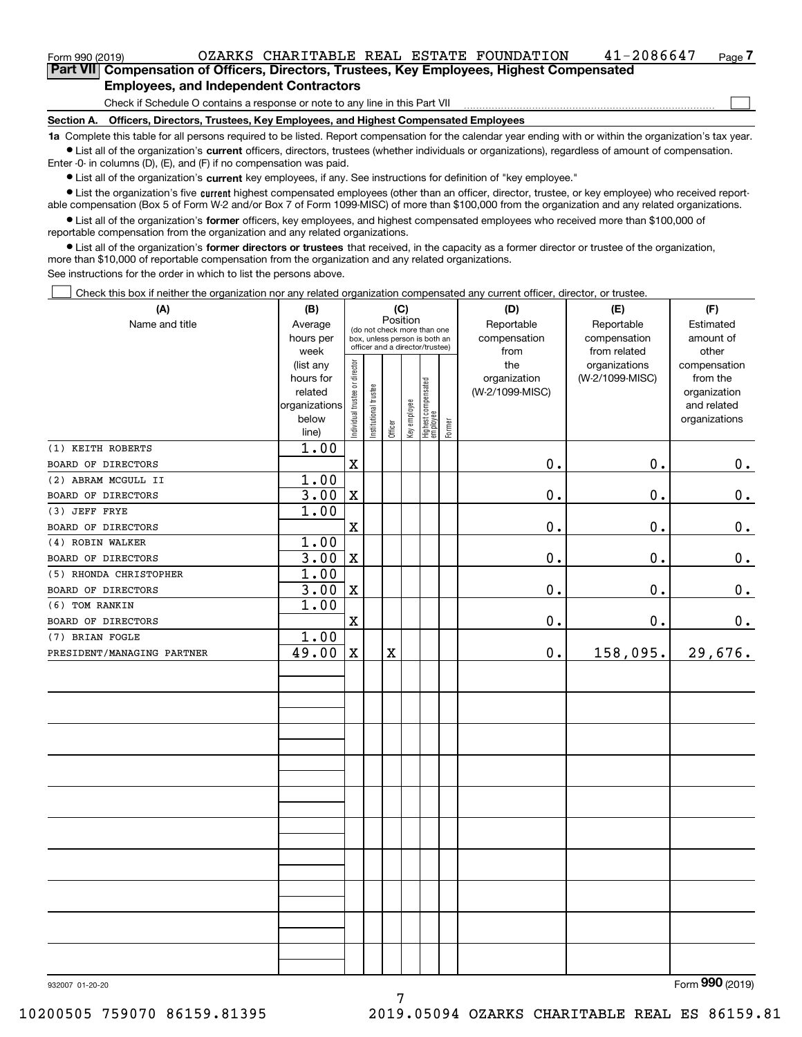### **Employees, and Independent Contractors**

Check if Schedule O contains a response or note to any line in this Part VII

**Section A. Officers, Directors, Trustees, Key Employees, and Highest Compensated Employees**

**1a**  Complete this table for all persons required to be listed. Report compensation for the calendar year ending with or within the organization's tax year. **•** List all of the organization's current officers, directors, trustees (whether individuals or organizations), regardless of amount of compensation.

Enter -0- in columns (D), (E), and (F) if no compensation was paid.

 $\bullet$  List all of the organization's  $\,$ current key employees, if any. See instructions for definition of "key employee."

**•** List the organization's five current highest compensated employees (other than an officer, director, trustee, or key employee) who received reportable compensation (Box 5 of Form W-2 and/or Box 7 of Form 1099-MISC) of more than \$100,000 from the organization and any related organizations.

**•** List all of the organization's former officers, key employees, and highest compensated employees who received more than \$100,000 of reportable compensation from the organization and any related organizations.

**former directors or trustees**  ¥ List all of the organization's that received, in the capacity as a former director or trustee of the organization, more than \$10,000 of reportable compensation from the organization and any related organizations.

See instructions for the order in which to list the persons above.

Check this box if neither the organization nor any related organization compensated any current officer, director, or trustee.  $\mathcal{L}^{\text{max}}$ 

| (A)                        | (B)                    |                                |                                                                  | (C)                     |              |                                   |        | (D)             | (E)                           | (F)                   |
|----------------------------|------------------------|--------------------------------|------------------------------------------------------------------|-------------------------|--------------|-----------------------------------|--------|-----------------|-------------------------------|-----------------------|
| Name and title             | Average                |                                | (do not check more than one                                      | Position                |              |                                   |        | Reportable      | Reportable                    | Estimated             |
|                            | hours per              |                                | box, unless person is both an<br>officer and a director/trustee) |                         |              |                                   |        | compensation    | compensation                  | amount of             |
|                            | week                   |                                |                                                                  |                         |              |                                   |        | from<br>the     | from related<br>organizations | other<br>compensation |
|                            | (list any<br>hours for |                                |                                                                  |                         |              |                                   |        | organization    | (W-2/1099-MISC)               | from the              |
|                            | related                |                                |                                                                  |                         |              |                                   |        | (W-2/1099-MISC) |                               | organization          |
|                            | organizations          |                                |                                                                  |                         |              |                                   |        |                 |                               | and related           |
|                            | below                  | Individual trustee or director | Institutional trustee                                            |                         | Key employee |                                   |        |                 |                               | organizations         |
|                            | line)                  |                                |                                                                  | Officer                 |              | Highest compensated<br>  employee | Former |                 |                               |                       |
| (1) KEITH ROBERTS          | 1.00                   |                                |                                                                  |                         |              |                                   |        |                 |                               |                       |
| BOARD OF DIRECTORS         |                        | $\mathbf X$                    |                                                                  |                         |              |                                   |        | 0.              | 0.                            | 0.                    |
| (2) ABRAM MCGULL II        | 1.00                   |                                |                                                                  |                         |              |                                   |        |                 |                               |                       |
| BOARD OF DIRECTORS         | 3.00                   | $\mathbf X$                    |                                                                  |                         |              |                                   |        | $0$ .           | 0.                            | $\mathbf 0$ .         |
| (3) JEFF FRYE              | 1.00                   |                                |                                                                  |                         |              |                                   |        |                 |                               |                       |
| BOARD OF DIRECTORS         |                        | $\mathbf X$                    |                                                                  |                         |              |                                   |        | $\mathbf 0$ .   | $0$ .                         | $\mathbf 0$ .         |
| (4) ROBIN WALKER           | 1.00                   |                                |                                                                  |                         |              |                                   |        |                 |                               |                       |
| BOARD OF DIRECTORS         | 3.00                   | $\mathbf X$                    |                                                                  |                         |              |                                   |        | $\mathbf 0$ .   | 0.                            | 0.                    |
| (5) RHONDA CHRISTOPHER     | 1.00                   |                                |                                                                  |                         |              |                                   |        |                 |                               |                       |
| BOARD OF DIRECTORS         | 3.00                   | $\mathbf X$                    |                                                                  |                         |              |                                   |        | 0.              | 0.                            | $\mathbf 0$ .         |
| (6) TOM RANKIN             | 1.00                   |                                |                                                                  |                         |              |                                   |        |                 |                               |                       |
| BOARD OF DIRECTORS         |                        | $\mathbf X$                    |                                                                  |                         |              |                                   |        | 0.              | 0.                            | 0.                    |
| (7) BRIAN FOGLE            | 1.00                   |                                |                                                                  |                         |              |                                   |        |                 |                               |                       |
| PRESIDENT/MANAGING PARTNER | 49.00                  | $\mathbf X$                    |                                                                  | $\overline{\textbf{X}}$ |              |                                   |        | $\mathbf 0$ .   | 158,095.                      | 29,676.               |
|                            |                        |                                |                                                                  |                         |              |                                   |        |                 |                               |                       |
|                            |                        |                                |                                                                  |                         |              |                                   |        |                 |                               |                       |
|                            |                        |                                |                                                                  |                         |              |                                   |        |                 |                               |                       |
|                            |                        |                                |                                                                  |                         |              |                                   |        |                 |                               |                       |
|                            |                        |                                |                                                                  |                         |              |                                   |        |                 |                               |                       |
|                            |                        |                                |                                                                  |                         |              |                                   |        |                 |                               |                       |
|                            |                        |                                |                                                                  |                         |              |                                   |        |                 |                               |                       |
|                            |                        |                                |                                                                  |                         |              |                                   |        |                 |                               |                       |
|                            |                        |                                |                                                                  |                         |              |                                   |        |                 |                               |                       |
|                            |                        |                                |                                                                  |                         |              |                                   |        |                 |                               |                       |
|                            |                        |                                |                                                                  |                         |              |                                   |        |                 |                               |                       |
|                            |                        |                                |                                                                  |                         |              |                                   |        |                 |                               |                       |
|                            |                        |                                |                                                                  |                         |              |                                   |        |                 |                               |                       |
|                            |                        |                                |                                                                  |                         |              |                                   |        |                 |                               |                       |
|                            |                        |                                |                                                                  |                         |              |                                   |        |                 |                               |                       |
|                            |                        |                                |                                                                  |                         |              |                                   |        |                 |                               |                       |
|                            |                        |                                |                                                                  |                         |              |                                   |        |                 |                               |                       |
|                            |                        |                                |                                                                  |                         |              |                                   |        |                 |                               |                       |
|                            |                        |                                |                                                                  |                         |              |                                   |        |                 |                               |                       |
|                            |                        |                                |                                                                  |                         |              |                                   |        |                 |                               |                       |
|                            |                        |                                |                                                                  |                         |              |                                   |        |                 |                               | $\overline{2}$        |

 $\mathcal{L}^{\text{max}}$ 

7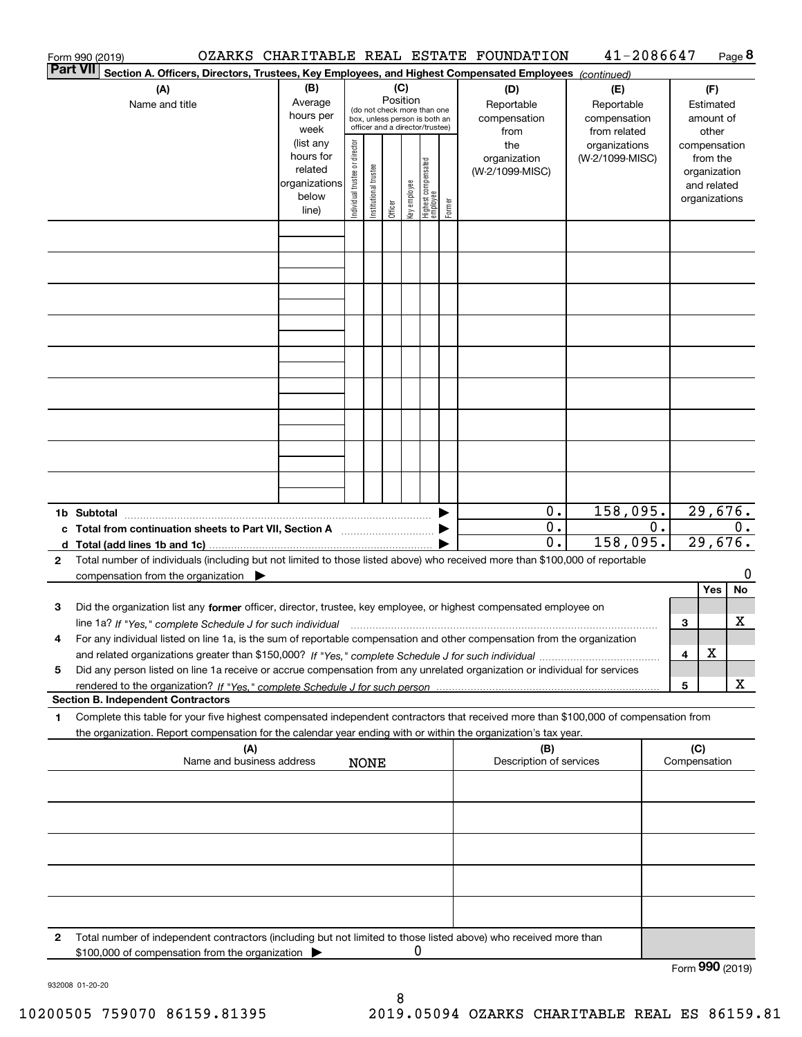|   | Form 990 (2019)                                                                                                                                                                                                                                                                                                                                                                                  |                                                                      |                                |                       |          |              |                                                                                                 |        | OZARKS CHARITABLE REAL ESTATE FOUNDATION       | 41-2086647                                       |    |                     |                                                                          | Page 8  |
|---|--------------------------------------------------------------------------------------------------------------------------------------------------------------------------------------------------------------------------------------------------------------------------------------------------------------------------------------------------------------------------------------------------|----------------------------------------------------------------------|--------------------------------|-----------------------|----------|--------------|-------------------------------------------------------------------------------------------------|--------|------------------------------------------------|--------------------------------------------------|----|---------------------|--------------------------------------------------------------------------|---------|
|   | <b>Part VII</b><br>Section A. Officers, Directors, Trustees, Key Employees, and Highest Compensated Employees (continued)                                                                                                                                                                                                                                                                        |                                                                      |                                |                       |          |              |                                                                                                 |        |                                                |                                                  |    |                     |                                                                          |         |
|   | (A)<br>Name and title                                                                                                                                                                                                                                                                                                                                                                            | (B)<br>Average<br>hours per<br>week                                  |                                |                       | Position | (C)          | (do not check more than one<br>box, unless person is both an<br>officer and a director/trustee) |        | (D)<br>Reportable<br>compensation              | (E)<br>Reportable<br>compensation                |    |                     | (F)<br>Estimated<br>amount of<br>other                                   |         |
|   |                                                                                                                                                                                                                                                                                                                                                                                                  | (list any<br>hours for<br>related<br>organizations<br>below<br>line) | Individual trustee or director | Institutional trustee | Officer  | Key employee | Highest compensated<br>employee                                                                 | Former | from<br>the<br>organization<br>(W-2/1099-MISC) | from related<br>organizations<br>(W-2/1099-MISC) |    |                     | compensation<br>from the<br>organization<br>and related<br>organizations |         |
|   |                                                                                                                                                                                                                                                                                                                                                                                                  |                                                                      |                                |                       |          |              |                                                                                                 |        |                                                |                                                  |    |                     |                                                                          |         |
|   |                                                                                                                                                                                                                                                                                                                                                                                                  |                                                                      |                                |                       |          |              |                                                                                                 |        |                                                |                                                  |    |                     |                                                                          |         |
|   |                                                                                                                                                                                                                                                                                                                                                                                                  |                                                                      |                                |                       |          |              |                                                                                                 |        |                                                |                                                  |    |                     |                                                                          |         |
|   |                                                                                                                                                                                                                                                                                                                                                                                                  |                                                                      |                                |                       |          |              |                                                                                                 |        |                                                |                                                  |    |                     |                                                                          |         |
|   |                                                                                                                                                                                                                                                                                                                                                                                                  |                                                                      |                                |                       |          |              |                                                                                                 |        |                                                |                                                  |    |                     |                                                                          |         |
|   |                                                                                                                                                                                                                                                                                                                                                                                                  |                                                                      |                                |                       |          |              |                                                                                                 |        |                                                |                                                  |    |                     |                                                                          |         |
|   |                                                                                                                                                                                                                                                                                                                                                                                                  |                                                                      |                                |                       |          |              |                                                                                                 |        | 0.                                             | 158,095.                                         |    |                     | 29,676.                                                                  |         |
|   | c Total from continuation sheets to Part VII, Section A manufactured by                                                                                                                                                                                                                                                                                                                          |                                                                      |                                |                       |          |              |                                                                                                 |        | $0$ .<br>0.                                    | 158,095.                                         | 0. |                     | 29,676.                                                                  | 0.      |
| 2 | Total number of individuals (including but not limited to those listed above) who received more than \$100,000 of reportable<br>compensation from the organization $\blacktriangleright$                                                                                                                                                                                                         |                                                                      |                                |                       |          |              |                                                                                                 |        |                                                |                                                  |    |                     | Yes                                                                      | 0<br>No |
| 3 | Did the organization list any former officer, director, trustee, key employee, or highest compensated employee on<br>line 1a? If "Yes," complete Schedule J for such individual manufactured contained and the 1a? If "Yes," complete Schedule J for such individual<br>For any individual listed on line 1a, is the sum of reportable compensation and other compensation from the organization |                                                                      |                                |                       |          |              |                                                                                                 |        |                                                |                                                  |    | 3                   |                                                                          | х       |
| 5 | Did any person listed on line 1a receive or accrue compensation from any unrelated organization or individual for services                                                                                                                                                                                                                                                                       |                                                                      |                                |                       |          |              |                                                                                                 |        |                                                |                                                  |    | 4                   | X                                                                        |         |
|   | <b>Section B. Independent Contractors</b>                                                                                                                                                                                                                                                                                                                                                        |                                                                      |                                |                       |          |              |                                                                                                 |        |                                                |                                                  |    | 5                   |                                                                          | x       |
| 1 | Complete this table for your five highest compensated independent contractors that received more than \$100,000 of compensation from<br>the organization. Report compensation for the calendar year ending with or within the organization's tax year.                                                                                                                                           |                                                                      |                                |                       |          |              |                                                                                                 |        |                                                |                                                  |    |                     |                                                                          |         |
|   | (A)<br>Name and business address                                                                                                                                                                                                                                                                                                                                                                 |                                                                      |                                | <b>NONE</b>           |          |              |                                                                                                 |        | (B)<br>Description of services                 |                                                  |    | (C)<br>Compensation |                                                                          |         |
|   |                                                                                                                                                                                                                                                                                                                                                                                                  |                                                                      |                                |                       |          |              |                                                                                                 |        |                                                |                                                  |    |                     |                                                                          |         |
|   |                                                                                                                                                                                                                                                                                                                                                                                                  |                                                                      |                                |                       |          |              |                                                                                                 |        |                                                |                                                  |    |                     |                                                                          |         |
|   |                                                                                                                                                                                                                                                                                                                                                                                                  |                                                                      |                                |                       |          |              |                                                                                                 |        |                                                |                                                  |    |                     |                                                                          |         |
| 2 | Total number of independent contractors (including but not limited to those listed above) who received more than                                                                                                                                                                                                                                                                                 |                                                                      |                                |                       |          |              |                                                                                                 |        |                                                |                                                  |    |                     |                                                                          |         |
|   | \$100,000 of compensation from the organization                                                                                                                                                                                                                                                                                                                                                  |                                                                      |                                |                       |          | 0            |                                                                                                 |        |                                                |                                                  |    | Form 990 (2019)     |                                                                          |         |

932008 01-20-20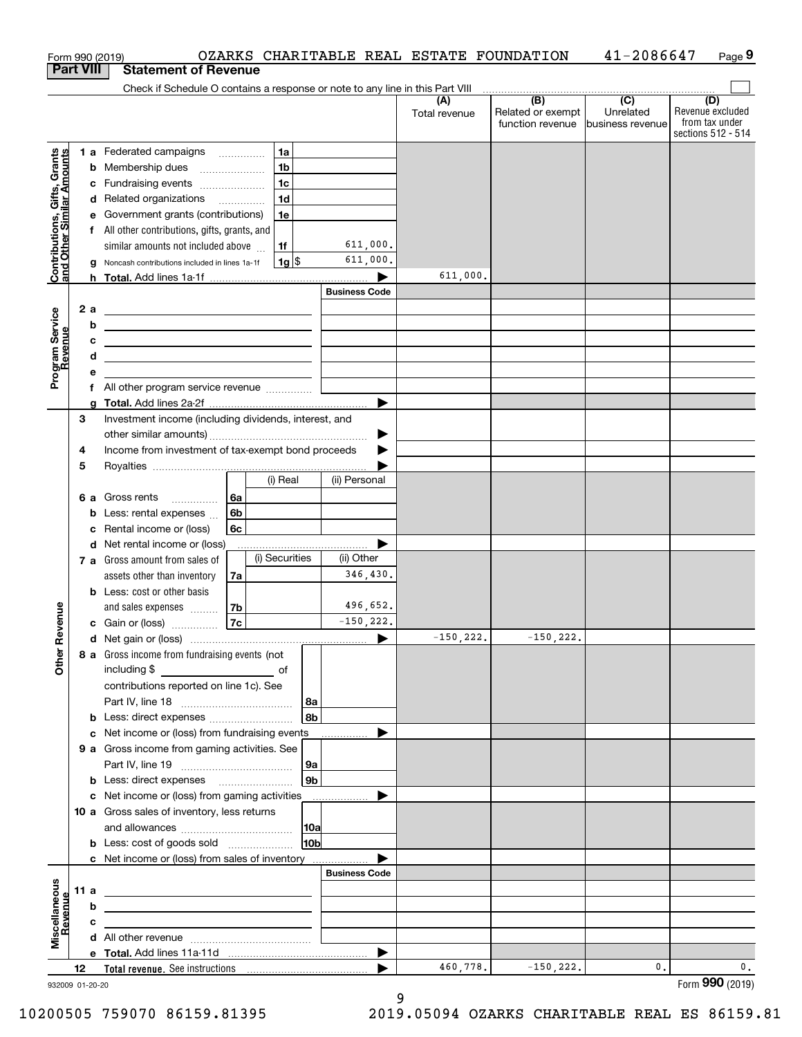| Form 990 (2019)                                           |      |    |                                                                               | OZARKS CHARITABLE REAL ESTATE FOUNDATION               |                        |                      |                                                                 | 41-2086647                    | Page 9                                                          |
|-----------------------------------------------------------|------|----|-------------------------------------------------------------------------------|--------------------------------------------------------|------------------------|----------------------|-----------------------------------------------------------------|-------------------------------|-----------------------------------------------------------------|
| <b>Part VIII</b>                                          |      |    | <b>Statement of Revenue</b>                                                   |                                                        |                        |                      |                                                                 |                               |                                                                 |
|                                                           |      |    | Check if Schedule O contains a response or note to any line in this Part VIII |                                                        |                        |                      |                                                                 |                               |                                                                 |
|                                                           |      |    |                                                                               |                                                        |                        | (A)<br>Total revenue | (B)<br>Related or exempt<br>function revenue   business revenue | $\overline{(C)}$<br>Unrelated | (D)<br>Revenue excluded<br>from tax under<br>sections 512 - 514 |
|                                                           |      |    | 1 a Federated campaigns                                                       | 1a                                                     |                        |                      |                                                                 |                               |                                                                 |
|                                                           |      |    | <b>b</b> Membership dues                                                      | 1 <sub>b</sub><br>$\ldots \ldots \ldots \ldots \ldots$ |                        |                      |                                                                 |                               |                                                                 |
|                                                           |      |    | c Fundraising events                                                          | 1 <sub>c</sub>                                         |                        |                      |                                                                 |                               |                                                                 |
|                                                           |      |    | d Related organizations                                                       | 1 <sub>d</sub>                                         |                        |                      |                                                                 |                               |                                                                 |
|                                                           |      |    | e Government grants (contributions)                                           | 1e                                                     |                        |                      |                                                                 |                               |                                                                 |
|                                                           |      |    | f All other contributions, gifts, grants, and                                 |                                                        |                        |                      |                                                                 |                               |                                                                 |
| Contributions, Gifts, Grants<br>and Other Similar Amounts |      |    | similar amounts not included above                                            | 1f                                                     | 611,000.               |                      |                                                                 |                               |                                                                 |
|                                                           |      |    | g Noncash contributions included in lines 1a-1f                               | $1g$ \$                                                | 611,000.               |                      |                                                                 |                               |                                                                 |
|                                                           |      |    |                                                                               |                                                        |                        | 611,000.             |                                                                 |                               |                                                                 |
|                                                           |      |    |                                                                               |                                                        | <b>Business Code</b>   |                      |                                                                 |                               |                                                                 |
|                                                           |      | 2a |                                                                               |                                                        |                        |                      |                                                                 |                               |                                                                 |
|                                                           |      | b  |                                                                               |                                                        |                        |                      |                                                                 |                               |                                                                 |
|                                                           |      | c  |                                                                               |                                                        |                        |                      |                                                                 |                               |                                                                 |
|                                                           |      | d  |                                                                               |                                                        |                        |                      |                                                                 |                               |                                                                 |
| Program Service<br>Revenue                                |      | е  |                                                                               |                                                        |                        |                      |                                                                 |                               |                                                                 |
|                                                           |      |    |                                                                               |                                                        |                        |                      |                                                                 |                               |                                                                 |
|                                                           |      |    |                                                                               |                                                        |                        |                      |                                                                 |                               |                                                                 |
|                                                           | 3    |    | Investment income (including dividends, interest, and                         |                                                        |                        |                      |                                                                 |                               |                                                                 |
|                                                           |      |    |                                                                               |                                                        | ▶                      |                      |                                                                 |                               |                                                                 |
|                                                           | 4    |    | Income from investment of tax-exempt bond proceeds                            |                                                        |                        |                      |                                                                 |                               |                                                                 |
|                                                           | 5    |    |                                                                               |                                                        |                        |                      |                                                                 |                               |                                                                 |
|                                                           |      |    |                                                                               | (i) Real                                               | (ii) Personal          |                      |                                                                 |                               |                                                                 |
|                                                           |      |    | <b>6 a</b> Gross rents                                                        | l 6a                                                   |                        |                      |                                                                 |                               |                                                                 |
|                                                           |      |    | <b>b</b> Less: rental expenses                                                | 6b                                                     |                        |                      |                                                                 |                               |                                                                 |
|                                                           |      |    | c Rental income or (loss)                                                     | 6c                                                     |                        |                      |                                                                 |                               |                                                                 |
|                                                           |      |    | d Net rental income or (loss)                                                 | (i) Securities                                         | ▶                      |                      |                                                                 |                               |                                                                 |
|                                                           |      |    | 7 a Gross amount from sales of                                                |                                                        | (ii) Other<br>346,430. |                      |                                                                 |                               |                                                                 |
|                                                           |      |    | assets other than inventory                                                   | 7a                                                     |                        |                      |                                                                 |                               |                                                                 |
|                                                           |      |    | <b>b</b> Less: cost or other basis                                            |                                                        | 496,652.               |                      |                                                                 |                               |                                                                 |
| evenue                                                    |      |    | and sales expenses<br>c Gain or (loss)                                        | 7b<br>7c                                               | $-150, 222.$           |                      |                                                                 |                               |                                                                 |
|                                                           |      |    |                                                                               |                                                        |                        | $-150, 222.$         | $-150, 222.$                                                    |                               |                                                                 |
| č                                                         |      |    | 8 a Gross income from fundraising events (not                                 |                                                        |                        |                      |                                                                 |                               |                                                                 |
| Other                                                     |      |    | including \$<br>$\overline{\phantom{a}}$ of                                   |                                                        |                        |                      |                                                                 |                               |                                                                 |
|                                                           |      |    | contributions reported on line 1c). See                                       |                                                        |                        |                      |                                                                 |                               |                                                                 |
|                                                           |      |    |                                                                               | 8a                                                     |                        |                      |                                                                 |                               |                                                                 |
|                                                           |      |    |                                                                               | 8b                                                     |                        |                      |                                                                 |                               |                                                                 |
|                                                           |      |    | c Net income or (loss) from fundraising events                                |                                                        |                        |                      |                                                                 |                               |                                                                 |
|                                                           |      |    | 9 a Gross income from gaming activities. See                                  |                                                        |                        |                      |                                                                 |                               |                                                                 |
|                                                           |      |    |                                                                               | 9a                                                     |                        |                      |                                                                 |                               |                                                                 |
|                                                           |      |    |                                                                               | 9b                                                     |                        |                      |                                                                 |                               |                                                                 |
|                                                           |      |    | c Net income or (loss) from gaming activities _______________                 |                                                        |                        |                      |                                                                 |                               |                                                                 |
|                                                           |      |    | 10 a Gross sales of inventory, less returns                                   |                                                        |                        |                      |                                                                 |                               |                                                                 |
|                                                           |      |    |                                                                               | 10a                                                    |                        |                      |                                                                 |                               |                                                                 |
|                                                           |      |    | <b>b</b> Less: cost of goods sold                                             | 10 <sub>b</sub>                                        |                        |                      |                                                                 |                               |                                                                 |
|                                                           |      |    | c Net income or (loss) from sales of inventory                                |                                                        |                        |                      |                                                                 |                               |                                                                 |
|                                                           |      |    |                                                                               |                                                        | <b>Business Code</b>   |                      |                                                                 |                               |                                                                 |
| Miscellaneous<br>Revenue                                  | 11 a |    |                                                                               |                                                        |                        |                      |                                                                 |                               |                                                                 |
|                                                           |      | b  |                                                                               |                                                        |                        |                      |                                                                 |                               |                                                                 |
|                                                           |      | c  |                                                                               |                                                        |                        |                      |                                                                 |                               |                                                                 |
|                                                           |      |    |                                                                               |                                                        |                        |                      |                                                                 |                               |                                                                 |
|                                                           |      |    |                                                                               |                                                        |                        |                      |                                                                 |                               |                                                                 |
|                                                           | 12   |    |                                                                               |                                                        | ▶                      | 460,778.             | $-150, 222.$                                                    | $\mathbf{0}$ .                | 0.                                                              |

9

<sup>932009 01-20-20</sup>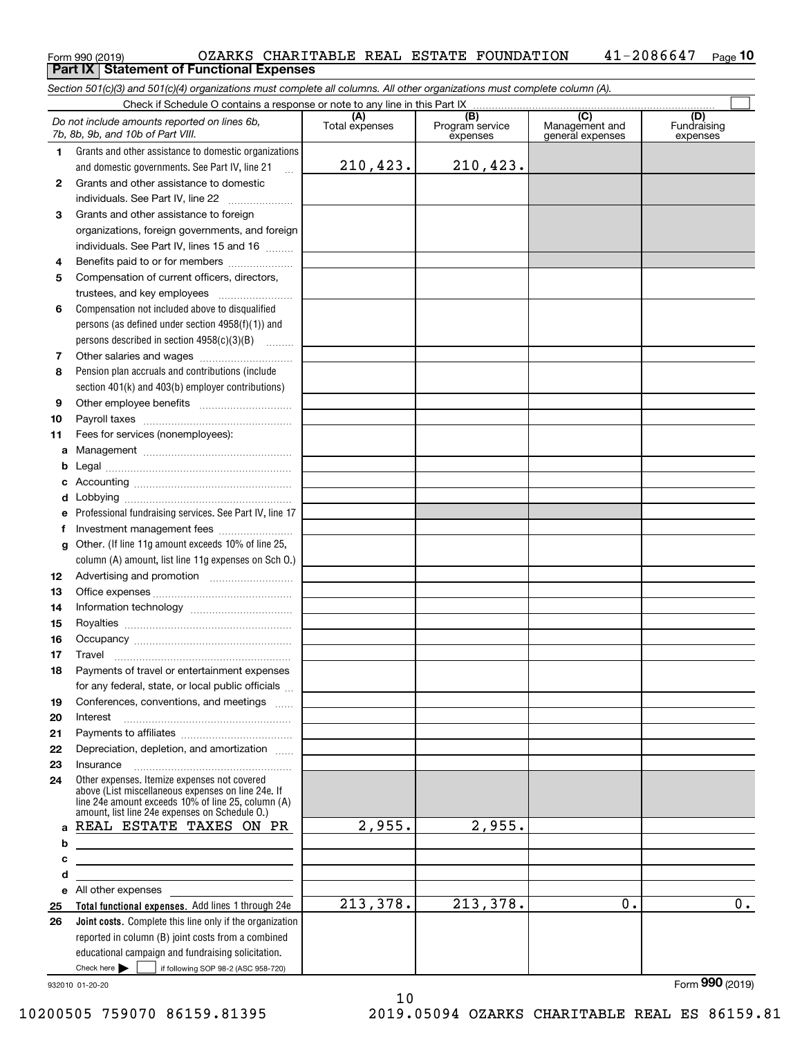### $_{\rm Form}$ 990 (2019) OZARKS CHARITABLE REAL ESTATE FOUNDATION  $\,$   $\,$  41–2086647  $\,$   $_{\rm Page}$ **10 Part IX Statement of Functional Expenses**

*Section 501(c)(3) and 501(c)(4) organizations must complete all columns. All other organizations must complete column (A).*

|              | Check if Schedule O contains a response or note to any line in this Part IX                                                                                                                                                          |                       |                                    |                                           |                                |  |  |  |
|--------------|--------------------------------------------------------------------------------------------------------------------------------------------------------------------------------------------------------------------------------------|-----------------------|------------------------------------|-------------------------------------------|--------------------------------|--|--|--|
|              | Do not include amounts reported on lines 6b,<br>7b, 8b, 9b, and 10b of Part VIII.                                                                                                                                                    | (A)<br>Total expenses | (B)<br>Program service<br>expenses | (C)<br>Management and<br>general expenses | (D)<br>Fundraising<br>expenses |  |  |  |
| 1.           | Grants and other assistance to domestic organizations                                                                                                                                                                                |                       |                                    |                                           |                                |  |  |  |
|              | and domestic governments. See Part IV, line 21<br>$\mathbf{r}$                                                                                                                                                                       | 210,423.              | 210,423.                           |                                           |                                |  |  |  |
| $\mathbf{2}$ | Grants and other assistance to domestic                                                                                                                                                                                              |                       |                                    |                                           |                                |  |  |  |
|              | individuals. See Part IV, line 22                                                                                                                                                                                                    |                       |                                    |                                           |                                |  |  |  |
| 3            | Grants and other assistance to foreign                                                                                                                                                                                               |                       |                                    |                                           |                                |  |  |  |
|              | organizations, foreign governments, and foreign                                                                                                                                                                                      |                       |                                    |                                           |                                |  |  |  |
|              | individuals. See Part IV, lines 15 and 16                                                                                                                                                                                            |                       |                                    |                                           |                                |  |  |  |
| 4            | Benefits paid to or for members                                                                                                                                                                                                      |                       |                                    |                                           |                                |  |  |  |
| 5            | Compensation of current officers, directors,                                                                                                                                                                                         |                       |                                    |                                           |                                |  |  |  |
|              | trustees, and key employees                                                                                                                                                                                                          |                       |                                    |                                           |                                |  |  |  |
| 6            | Compensation not included above to disqualified                                                                                                                                                                                      |                       |                                    |                                           |                                |  |  |  |
|              | persons (as defined under section $4958(f)(1)$ ) and                                                                                                                                                                                 |                       |                                    |                                           |                                |  |  |  |
|              | persons described in section $4958(c)(3)(B)$                                                                                                                                                                                         |                       |                                    |                                           |                                |  |  |  |
| 7            |                                                                                                                                                                                                                                      |                       |                                    |                                           |                                |  |  |  |
| 8            | Pension plan accruals and contributions (include                                                                                                                                                                                     |                       |                                    |                                           |                                |  |  |  |
|              | section 401(k) and 403(b) employer contributions)                                                                                                                                                                                    |                       |                                    |                                           |                                |  |  |  |
| 9            |                                                                                                                                                                                                                                      |                       |                                    |                                           |                                |  |  |  |
| 10           |                                                                                                                                                                                                                                      |                       |                                    |                                           |                                |  |  |  |
| 11           | Fees for services (nonemployees):                                                                                                                                                                                                    |                       |                                    |                                           |                                |  |  |  |
| a            |                                                                                                                                                                                                                                      |                       |                                    |                                           |                                |  |  |  |
| b            |                                                                                                                                                                                                                                      |                       |                                    |                                           |                                |  |  |  |
| c            |                                                                                                                                                                                                                                      |                       |                                    |                                           |                                |  |  |  |
| d            |                                                                                                                                                                                                                                      |                       |                                    |                                           |                                |  |  |  |
| е            | Professional fundraising services. See Part IV, line 17                                                                                                                                                                              |                       |                                    |                                           |                                |  |  |  |
| f            | Investment management fees                                                                                                                                                                                                           |                       |                                    |                                           |                                |  |  |  |
| g            | Other. (If line 11g amount exceeds 10% of line 25,                                                                                                                                                                                   |                       |                                    |                                           |                                |  |  |  |
|              | column (A) amount, list line 11g expenses on Sch O.)                                                                                                                                                                                 |                       |                                    |                                           |                                |  |  |  |
| 12           |                                                                                                                                                                                                                                      |                       |                                    |                                           |                                |  |  |  |
| 13           |                                                                                                                                                                                                                                      |                       |                                    |                                           |                                |  |  |  |
| 14           |                                                                                                                                                                                                                                      |                       |                                    |                                           |                                |  |  |  |
| 15           |                                                                                                                                                                                                                                      |                       |                                    |                                           |                                |  |  |  |
| 16           |                                                                                                                                                                                                                                      |                       |                                    |                                           |                                |  |  |  |
| 17           | Travel                                                                                                                                                                                                                               |                       |                                    |                                           |                                |  |  |  |
| 18           | Payments of travel or entertainment expenses                                                                                                                                                                                         |                       |                                    |                                           |                                |  |  |  |
|              | for any federal, state, or local public officials                                                                                                                                                                                    |                       |                                    |                                           |                                |  |  |  |
| 19           | Conferences, conventions, and meetings                                                                                                                                                                                               |                       |                                    |                                           |                                |  |  |  |
| 20           | Interest                                                                                                                                                                                                                             |                       |                                    |                                           |                                |  |  |  |
| 21           |                                                                                                                                                                                                                                      |                       |                                    |                                           |                                |  |  |  |
| 22           | Depreciation, depletion, and amortization                                                                                                                                                                                            |                       |                                    |                                           |                                |  |  |  |
| 23           | Insurance                                                                                                                                                                                                                            |                       |                                    |                                           |                                |  |  |  |
| 24           | Other expenses. Itemize expenses not covered<br>above (List miscellaneous expenses on line 24e. If<br>line 24e amount exceeds 10% of line 25, column (A)<br>amount, list line 24e expenses on Schedule O.)                           |                       |                                    |                                           |                                |  |  |  |
| a            | REAL ESTATE TAXES ON PR                                                                                                                                                                                                              | 2,955.                | 2,955.                             |                                           |                                |  |  |  |
| b            | the contract of the contract of the contract of the contract of the contract of                                                                                                                                                      |                       |                                    |                                           |                                |  |  |  |
| с            | <u> 1989 - Johann Barbara, martin amerikan basar dan basa dan basa dan basa dalam basa dalam basa dalam basa dala</u>                                                                                                                |                       |                                    |                                           |                                |  |  |  |
| d            | <u> 1989 - Johann Barbara, martxa alemaniar amerikan a</u>                                                                                                                                                                           |                       |                                    |                                           |                                |  |  |  |
| е            | All other expenses <b>with a set of the set of the set of the set of the set of the set of the set of the set of the set of the set of the set of the set of the set of the set of the set of the set of the set of the set of t</b> |                       |                                    |                                           |                                |  |  |  |
| 25           | Total functional expenses. Add lines 1 through 24e                                                                                                                                                                                   | 213,378.              | 213,378.                           | 0.                                        | $0$ .                          |  |  |  |
| 26           | Joint costs. Complete this line only if the organization                                                                                                                                                                             |                       |                                    |                                           |                                |  |  |  |
|              | reported in column (B) joint costs from a combined                                                                                                                                                                                   |                       |                                    |                                           |                                |  |  |  |
|              | educational campaign and fundraising solicitation.                                                                                                                                                                                   |                       |                                    |                                           |                                |  |  |  |
|              | Check here $\blacktriangleright$<br>if following SOP 98-2 (ASC 958-720)                                                                                                                                                              |                       |                                    |                                           |                                |  |  |  |

10

932010 01-20-20

Form (2019) **990**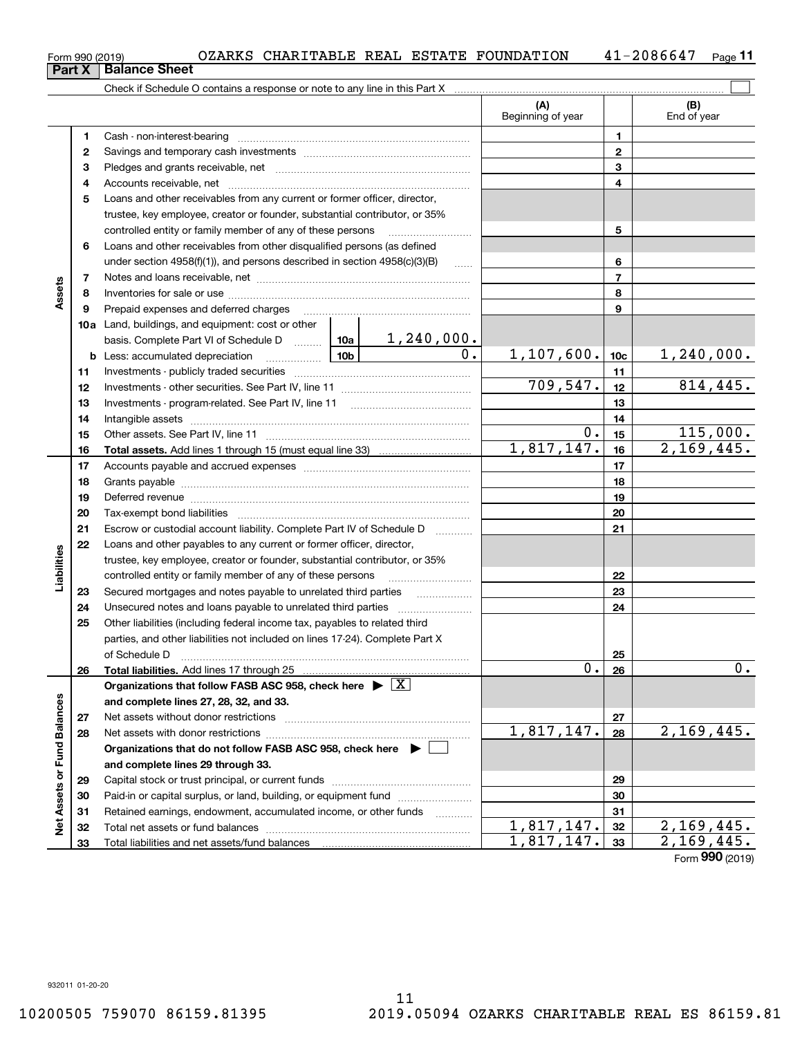| Form 990 (2019) |  |  |  |  |  | OZARKS CHARITABLE REAL ESTATE FOUNDATION | $-2086647$ | Page |  |
|-----------------|--|--|--|--|--|------------------------------------------|------------|------|--|
|-----------------|--|--|--|--|--|------------------------------------------|------------|------|--|

|                             |          |                                                                                                                                                                                                                                                                                                                                                                                                                                                                |                  | (A)<br>Beginning of year |                 | (B)<br>End of year       |
|-----------------------------|----------|----------------------------------------------------------------------------------------------------------------------------------------------------------------------------------------------------------------------------------------------------------------------------------------------------------------------------------------------------------------------------------------------------------------------------------------------------------------|------------------|--------------------------|-----------------|--------------------------|
|                             | 1        |                                                                                                                                                                                                                                                                                                                                                                                                                                                                |                  |                          | 1               |                          |
|                             | 2        |                                                                                                                                                                                                                                                                                                                                                                                                                                                                |                  | $\mathbf{2}$             |                 |                          |
|                             | з        |                                                                                                                                                                                                                                                                                                                                                                                                                                                                |                  | 3                        |                 |                          |
|                             | 4        |                                                                                                                                                                                                                                                                                                                                                                                                                                                                |                  |                          | 4               |                          |
|                             | 5        | Loans and other receivables from any current or former officer, director,                                                                                                                                                                                                                                                                                                                                                                                      |                  |                          |                 |                          |
|                             |          | trustee, key employee, creator or founder, substantial contributor, or 35%                                                                                                                                                                                                                                                                                                                                                                                     |                  |                          |                 |                          |
|                             |          | controlled entity or family member of any of these persons                                                                                                                                                                                                                                                                                                                                                                                                     |                  |                          | 5               |                          |
|                             | 6        | Loans and other receivables from other disqualified persons (as defined                                                                                                                                                                                                                                                                                                                                                                                        |                  |                          |                 |                          |
|                             |          | under section 4958(f)(1)), and persons described in section 4958(c)(3)(B)                                                                                                                                                                                                                                                                                                                                                                                      | $\sim$           |                          | 6               |                          |
|                             | 7        |                                                                                                                                                                                                                                                                                                                                                                                                                                                                |                  |                          | $\overline{7}$  |                          |
| Assets                      | 8        |                                                                                                                                                                                                                                                                                                                                                                                                                                                                |                  |                          | 8               |                          |
|                             | 9        | Prepaid expenses and deferred charges                                                                                                                                                                                                                                                                                                                                                                                                                          |                  |                          | 9               |                          |
|                             |          | <b>10a</b> Land, buildings, and equipment: cost or other                                                                                                                                                                                                                                                                                                                                                                                                       |                  |                          |                 |                          |
|                             |          | basis. Complete Part VI of Schedule D    10a   1, 240, 000.                                                                                                                                                                                                                                                                                                                                                                                                    |                  |                          |                 |                          |
|                             |          | <u>  10b</u> 10cm<br><b>b</b> Less: accumulated depreciation                                                                                                                                                                                                                                                                                                                                                                                                   | $\overline{0}$ . | 1,107,600.               | 10 <sub>c</sub> | 1, 240, 000.             |
|                             | 11       |                                                                                                                                                                                                                                                                                                                                                                                                                                                                |                  |                          | 11              |                          |
|                             | 12       |                                                                                                                                                                                                                                                                                                                                                                                                                                                                |                  | 709, 547.                | 12              | 814,445.                 |
|                             | 13       |                                                                                                                                                                                                                                                                                                                                                                                                                                                                |                  |                          | 13              |                          |
|                             | 14       |                                                                                                                                                                                                                                                                                                                                                                                                                                                                |                  |                          | 14              |                          |
|                             | 15       |                                                                                                                                                                                                                                                                                                                                                                                                                                                                | 0.               | 15                       | 115,000.        |                          |
|                             | 16       |                                                                                                                                                                                                                                                                                                                                                                                                                                                                |                  | 1,817,147.               | 16              | 2,169,445.               |
|                             | 17       |                                                                                                                                                                                                                                                                                                                                                                                                                                                                |                  | 17                       |                 |                          |
|                             | 18       |                                                                                                                                                                                                                                                                                                                                                                                                                                                                |                  | 18                       |                 |                          |
|                             | 19       | Deferred revenue manual contracts and contracts are all the contracts and contracts are contracted and contracts are contracted and contract are contracted and contract are contracted and contract are contracted and contra                                                                                                                                                                                                                                 |                  |                          | 19              |                          |
|                             | 20       |                                                                                                                                                                                                                                                                                                                                                                                                                                                                |                  |                          | 20              |                          |
|                             | 21       | Escrow or custodial account liability. Complete Part IV of Schedule D                                                                                                                                                                                                                                                                                                                                                                                          |                  |                          | 21              |                          |
|                             | 22       | Loans and other payables to any current or former officer, director,                                                                                                                                                                                                                                                                                                                                                                                           |                  |                          |                 |                          |
|                             |          | trustee, key employee, creator or founder, substantial contributor, or 35%                                                                                                                                                                                                                                                                                                                                                                                     |                  |                          |                 |                          |
| Liabilities                 |          | controlled entity or family member of any of these persons                                                                                                                                                                                                                                                                                                                                                                                                     |                  |                          | 22              |                          |
|                             | 23       | Secured mortgages and notes payable to unrelated third parties                                                                                                                                                                                                                                                                                                                                                                                                 |                  |                          | 23              |                          |
|                             | 24       |                                                                                                                                                                                                                                                                                                                                                                                                                                                                |                  |                          | 24              |                          |
|                             | 25       | Other liabilities (including federal income tax, payables to related third                                                                                                                                                                                                                                                                                                                                                                                     |                  |                          |                 |                          |
|                             |          | parties, and other liabilities not included on lines 17-24). Complete Part X                                                                                                                                                                                                                                                                                                                                                                                   |                  |                          |                 |                          |
|                             |          | of Schedule D<br>$\begin{minipage}{0.5\textwidth} \begin{tabular}{ l l l } \hline & \multicolumn{1}{ l l } \hline & \multicolumn{1}{ l } \multicolumn{1}{ l } \hline \multicolumn{1}{ l } \multicolumn{1}{ l } \multicolumn{1}{ l } \multicolumn{1}{ l } \multicolumn{1}{ l } \multicolumn{1}{ l } \multicolumn{1}{ l } \multicolumn{1}{ l } \multicolumn{1}{ l } \multicolumn{1}{ l } \multicolumn{1}{ l } \multicolumn{1}{ l } \multicolumn{1}{ l } \multic$ |                  | 25                       |                 |                          |
|                             | 26       | Total liabilities. Add lines 17 through 25                                                                                                                                                                                                                                                                                                                                                                                                                     |                  | 0.1                      | 26              | $\mathbf 0$ .            |
|                             |          | Organizations that follow FASB ASC 958, check here $\triangleright \lfloor X \rfloor$                                                                                                                                                                                                                                                                                                                                                                          |                  |                          |                 |                          |
|                             |          | and complete lines 27, 28, 32, and 33.                                                                                                                                                                                                                                                                                                                                                                                                                         |                  |                          |                 |                          |
|                             | 27       |                                                                                                                                                                                                                                                                                                                                                                                                                                                                |                  | 1,817,147.               | 27              |                          |
|                             | 28       |                                                                                                                                                                                                                                                                                                                                                                                                                                                                |                  |                          | 28              | 2,169,445.               |
|                             |          | Organizations that do not follow FASB ASC 958, check here ▶ □                                                                                                                                                                                                                                                                                                                                                                                                  |                  |                          |                 |                          |
|                             |          | and complete lines 29 through 33.                                                                                                                                                                                                                                                                                                                                                                                                                              |                  |                          |                 |                          |
|                             | 29       |                                                                                                                                                                                                                                                                                                                                                                                                                                                                |                  |                          | 29              |                          |
|                             | 30       | Paid-in or capital surplus, or land, building, or equipment fund                                                                                                                                                                                                                                                                                                                                                                                               |                  |                          | 30<br>31        |                          |
| Net Assets or Fund Balances | 31       | Retained earnings, endowment, accumulated income, or other funds                                                                                                                                                                                                                                                                                                                                                                                               |                  | 1,817,147.               | 32              | 2,169,445.               |
|                             | 32<br>33 |                                                                                                                                                                                                                                                                                                                                                                                                                                                                |                  | 1,817,147.               | 33              | $\overline{2,169,445}$ . |
|                             |          |                                                                                                                                                                                                                                                                                                                                                                                                                                                                |                  |                          |                 |                          |

Form (2019) **990**

**11**

| Form 990 (2019)               |  |  |
|-------------------------------|--|--|
| <b>Part X   Balance Sheet</b> |  |  |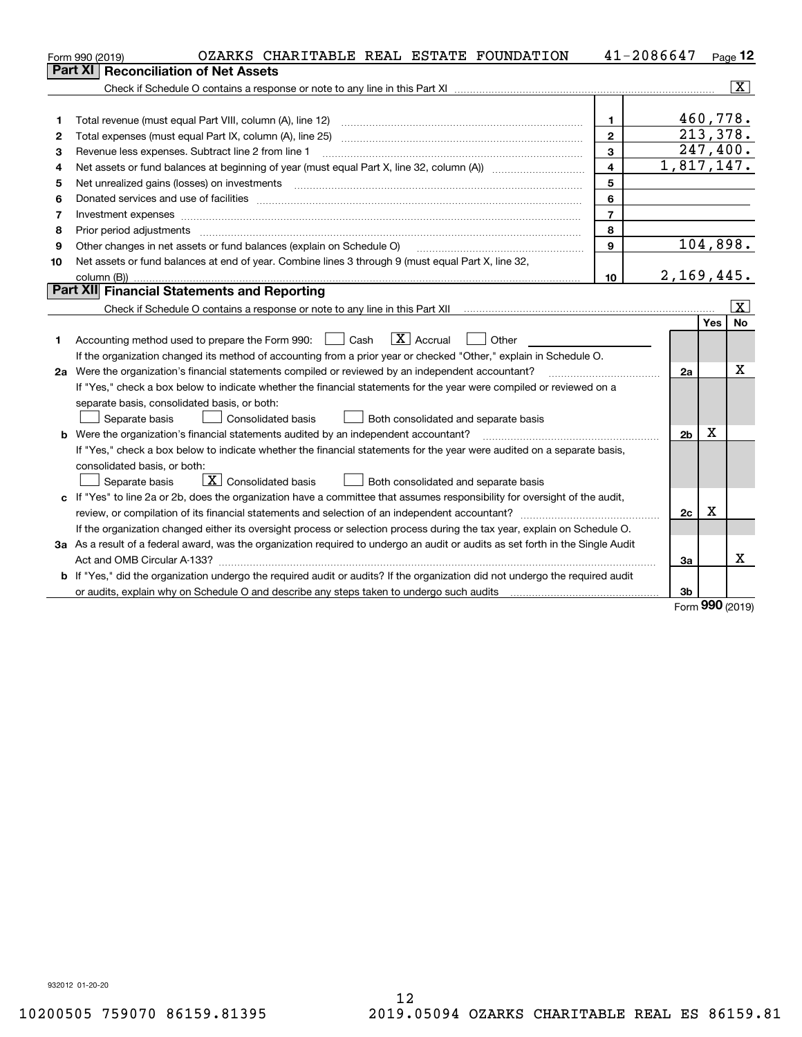|    | OZARKS CHARITABLE REAL ESTATE FOUNDATION<br>Form 990 (2019)                                                                                                                                                                                                                                                                                                                                                                                                             | 41-2086647              |                |            | $Page$ 12               |
|----|-------------------------------------------------------------------------------------------------------------------------------------------------------------------------------------------------------------------------------------------------------------------------------------------------------------------------------------------------------------------------------------------------------------------------------------------------------------------------|-------------------------|----------------|------------|-------------------------|
|    | <b>Reconciliation of Net Assets</b><br>Part XI                                                                                                                                                                                                                                                                                                                                                                                                                          |                         |                |            |                         |
|    |                                                                                                                                                                                                                                                                                                                                                                                                                                                                         |                         |                |            | - X                     |
|    |                                                                                                                                                                                                                                                                                                                                                                                                                                                                         |                         |                |            |                         |
| 1  | Total revenue (must equal Part VIII, column (A), line 12)                                                                                                                                                                                                                                                                                                                                                                                                               | 1.                      |                | 460,778.   |                         |
| 2  | Total expenses (must equal Part IX, column (A), line 25)                                                                                                                                                                                                                                                                                                                                                                                                                | $\overline{2}$          |                | 213,378.   |                         |
| 3  | Revenue less expenses. Subtract line 2 from line 1                                                                                                                                                                                                                                                                                                                                                                                                                      | 3                       |                | 247,400.   |                         |
| 4  |                                                                                                                                                                                                                                                                                                                                                                                                                                                                         | $\overline{\mathbf{4}}$ | 1,817,147.     |            |                         |
| 5  | Net unrealized gains (losses) on investments                                                                                                                                                                                                                                                                                                                                                                                                                            | 5                       |                |            |                         |
| 6  |                                                                                                                                                                                                                                                                                                                                                                                                                                                                         | 6                       |                |            |                         |
| 7  | Investment expenses                                                                                                                                                                                                                                                                                                                                                                                                                                                     | $\overline{7}$          |                |            |                         |
| 8  | Prior period adjustments<br>$\begin{minipage}{0.5\textwidth} \begin{tabular}{ l l l } \hline \multicolumn{1}{ l l l } \hline \multicolumn{1}{ l l } \multicolumn{1}{ l } \multicolumn{1}{ l } \multicolumn{1}{ l } \multicolumn{1}{ l } \multicolumn{1}{ l } \multicolumn{1}{ l } \multicolumn{1}{ l } \multicolumn{1}{ l } \multicolumn{1}{ l } \multicolumn{1}{ l } \multicolumn{1}{ l } \multicolumn{1}{ l } \multicolumn{1}{ l } \multicolumn{1}{ l } \multicolumn$ | 8                       |                |            |                         |
| 9  | Other changes in net assets or fund balances (explain on Schedule O)                                                                                                                                                                                                                                                                                                                                                                                                    | 9                       |                |            | 104,898.                |
| 10 | Net assets or fund balances at end of year. Combine lines 3 through 9 (must equal Part X, line 32,                                                                                                                                                                                                                                                                                                                                                                      |                         |                |            |                         |
|    |                                                                                                                                                                                                                                                                                                                                                                                                                                                                         | 10 <sup>10</sup>        | 2,169,445.     |            |                         |
|    | Part XII Financial Statements and Reporting                                                                                                                                                                                                                                                                                                                                                                                                                             |                         |                |            |                         |
|    |                                                                                                                                                                                                                                                                                                                                                                                                                                                                         |                         |                |            | $\overline{\mathbf{X}}$ |
|    |                                                                                                                                                                                                                                                                                                                                                                                                                                                                         |                         |                | <b>Yes</b> | <b>No</b>               |
| 1  | $ X $ Accrual<br>Accounting method used to prepare the Form 990: <u>I</u> Cash<br>Other                                                                                                                                                                                                                                                                                                                                                                                 |                         |                |            |                         |
|    | If the organization changed its method of accounting from a prior year or checked "Other," explain in Schedule O.                                                                                                                                                                                                                                                                                                                                                       |                         |                |            |                         |
|    | 2a Were the organization's financial statements compiled or reviewed by an independent accountant?                                                                                                                                                                                                                                                                                                                                                                      |                         | 2a             |            | X                       |
|    | If "Yes," check a box below to indicate whether the financial statements for the year were compiled or reviewed on a                                                                                                                                                                                                                                                                                                                                                    |                         |                |            |                         |
|    | separate basis, consolidated basis, or both:                                                                                                                                                                                                                                                                                                                                                                                                                            |                         |                |            |                         |
|    | Separate basis<br>Consolidated basis<br>Both consolidated and separate basis                                                                                                                                                                                                                                                                                                                                                                                            |                         |                |            |                         |
|    | <b>b</b> Were the organization's financial statements audited by an independent accountant?                                                                                                                                                                                                                                                                                                                                                                             |                         | 2 <sub>b</sub> | X          |                         |
|    | If "Yes," check a box below to indicate whether the financial statements for the year were audited on a separate basis,                                                                                                                                                                                                                                                                                                                                                 |                         |                |            |                         |
|    | consolidated basis, or both:                                                                                                                                                                                                                                                                                                                                                                                                                                            |                         |                |            |                         |
|    | $\boxed{\mathbf{X}}$ Consolidated basis<br>Separate basis<br>Both consolidated and separate basis                                                                                                                                                                                                                                                                                                                                                                       |                         |                |            |                         |
|    | c If "Yes" to line 2a or 2b, does the organization have a committee that assumes responsibility for oversight of the audit,                                                                                                                                                                                                                                                                                                                                             |                         |                |            |                         |
|    |                                                                                                                                                                                                                                                                                                                                                                                                                                                                         |                         | 2c             | X          |                         |
|    | If the organization changed either its oversight process or selection process during the tax year, explain on Schedule O.                                                                                                                                                                                                                                                                                                                                               |                         |                |            |                         |
|    | 3a As a result of a federal award, was the organization required to undergo an audit or audits as set forth in the Single Audit                                                                                                                                                                                                                                                                                                                                         |                         |                |            |                         |
|    |                                                                                                                                                                                                                                                                                                                                                                                                                                                                         |                         | За             |            | x                       |
|    | b If "Yes," did the organization undergo the required audit or audits? If the organization did not undergo the required audit                                                                                                                                                                                                                                                                                                                                           |                         |                |            |                         |
|    | or audits, explain why on Schedule O and describe any steps taken to undergo such audits                                                                                                                                                                                                                                                                                                                                                                                |                         | 3b             | nnn        |                         |

Form (2019) **990**

932012 01-20-20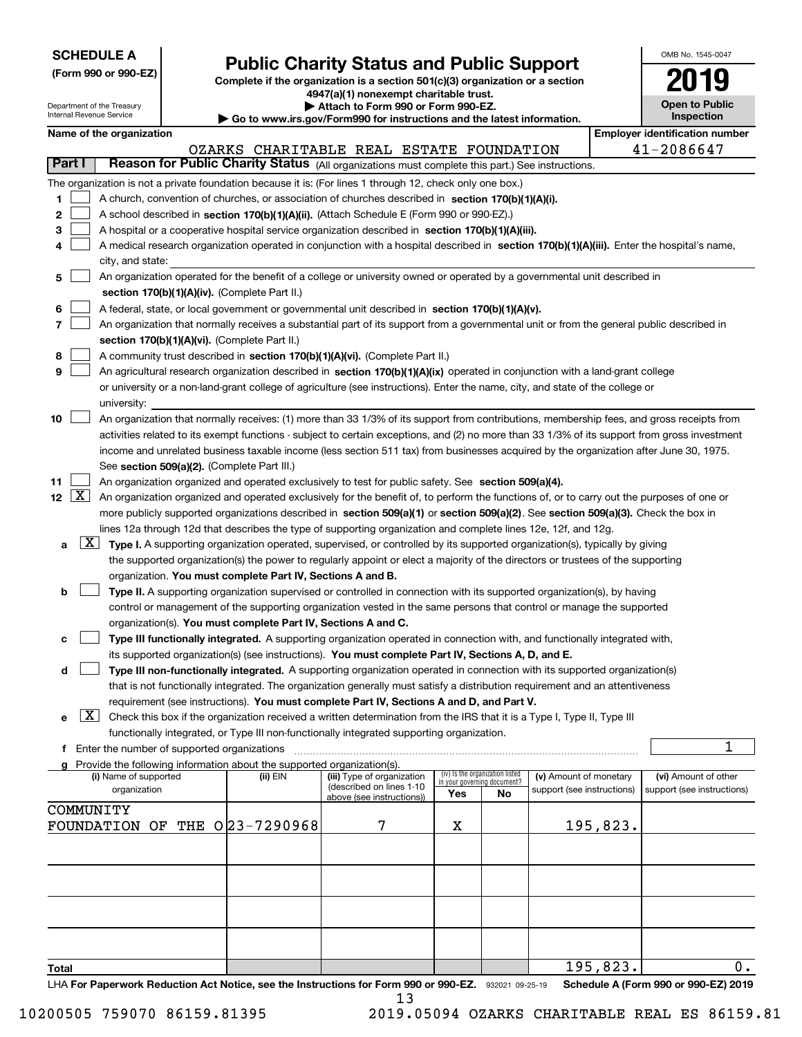| <b>SCHEDULE A</b> |
|-------------------|
|-------------------|

**(Form 990 or 990-EZ)**

# **Public Charity Status and Public Support**

**Complete if the organization is a section 501(c)(3) organization or a section 4947(a)(1) nonexempt charitable trust.**

| OMB No. 1545-0047                   |
|-------------------------------------|
| 2019                                |
| <b>Open to Public</b><br>Inspection |

|        |                       | Department of the Treasury<br>Internal Revenue Service                                                                                     |                                                      |                                                                                    | Attach to Form 990 or Form 990-EZ.<br>Go to www.irs.gov/Form990 for instructions and the latest information.                                                                                                  |                                 |    |                            |          | <b>Open to Public</b><br>Inspection   |  |
|--------|-----------------------|--------------------------------------------------------------------------------------------------------------------------------------------|------------------------------------------------------|------------------------------------------------------------------------------------|---------------------------------------------------------------------------------------------------------------------------------------------------------------------------------------------------------------|---------------------------------|----|----------------------------|----------|---------------------------------------|--|
|        |                       | Name of the organization                                                                                                                   |                                                      |                                                                                    |                                                                                                                                                                                                               |                                 |    |                            |          | <b>Employer identification number</b> |  |
|        |                       |                                                                                                                                            |                                                      |                                                                                    | OZARKS CHARITABLE REAL ESTATE FOUNDATION                                                                                                                                                                      |                                 |    |                            |          | 41-2086647                            |  |
| Part I |                       |                                                                                                                                            |                                                      |                                                                                    | Reason for Public Charity Status (All organizations must complete this part.) See instructions.                                                                                                               |                                 |    |                            |          |                                       |  |
|        |                       |                                                                                                                                            |                                                      |                                                                                    | The organization is not a private foundation because it is: (For lines 1 through 12, check only one box.)                                                                                                     |                                 |    |                            |          |                                       |  |
| 1      |                       |                                                                                                                                            |                                                      |                                                                                    | A church, convention of churches, or association of churches described in section 170(b)(1)(A)(i).                                                                                                            |                                 |    |                            |          |                                       |  |
| 2      |                       |                                                                                                                                            |                                                      |                                                                                    | A school described in section 170(b)(1)(A)(ii). (Attach Schedule E (Form 990 or 990-EZ).)                                                                                                                     |                                 |    |                            |          |                                       |  |
| 3      |                       |                                                                                                                                            |                                                      |                                                                                    | A hospital or a cooperative hospital service organization described in section 170(b)(1)(A)(iii).                                                                                                             |                                 |    |                            |          |                                       |  |
| 4      |                       | A medical research organization operated in conjunction with a hospital described in section 170(b)(1)(A)(iii). Enter the hospital's name, |                                                      |                                                                                    |                                                                                                                                                                                                               |                                 |    |                            |          |                                       |  |
|        |                       | city, and state:                                                                                                                           |                                                      |                                                                                    |                                                                                                                                                                                                               |                                 |    |                            |          |                                       |  |
| 5      |                       |                                                                                                                                            |                                                      |                                                                                    | An organization operated for the benefit of a college or university owned or operated by a governmental unit described in                                                                                     |                                 |    |                            |          |                                       |  |
|        |                       |                                                                                                                                            |                                                      | section 170(b)(1)(A)(iv). (Complete Part II.)                                      |                                                                                                                                                                                                               |                                 |    |                            |          |                                       |  |
| 6      |                       |                                                                                                                                            |                                                      |                                                                                    | A federal, state, or local government or governmental unit described in section 170(b)(1)(A)(v).                                                                                                              |                                 |    |                            |          |                                       |  |
| 7      |                       |                                                                                                                                            |                                                      |                                                                                    | An organization that normally receives a substantial part of its support from a governmental unit or from the general public described in                                                                     |                                 |    |                            |          |                                       |  |
|        |                       |                                                                                                                                            |                                                      | section 170(b)(1)(A)(vi). (Complete Part II.)                                      |                                                                                                                                                                                                               |                                 |    |                            |          |                                       |  |
| 8<br>9 |                       |                                                                                                                                            |                                                      |                                                                                    | A community trust described in section 170(b)(1)(A)(vi). (Complete Part II.)<br>An agricultural research organization described in section 170(b)(1)(A)(ix) operated in conjunction with a land-grant college |                                 |    |                            |          |                                       |  |
|        |                       |                                                                                                                                            |                                                      |                                                                                    | or university or a non-land-grant college of agriculture (see instructions). Enter the name, city, and state of the college or                                                                                |                                 |    |                            |          |                                       |  |
|        |                       | university:                                                                                                                                |                                                      |                                                                                    |                                                                                                                                                                                                               |                                 |    |                            |          |                                       |  |
| 10     |                       |                                                                                                                                            |                                                      |                                                                                    | An organization that normally receives: (1) more than 33 1/3% of its support from contributions, membership fees, and gross receipts from                                                                     |                                 |    |                            |          |                                       |  |
|        |                       |                                                                                                                                            |                                                      |                                                                                    | activities related to its exempt functions - subject to certain exceptions, and (2) no more than 33 1/3% of its support from gross investment                                                                 |                                 |    |                            |          |                                       |  |
|        |                       |                                                                                                                                            |                                                      |                                                                                    | income and unrelated business taxable income (less section 511 tax) from businesses acquired by the organization after June 30, 1975.                                                                         |                                 |    |                            |          |                                       |  |
|        |                       |                                                                                                                                            |                                                      | See section 509(a)(2). (Complete Part III.)                                        |                                                                                                                                                                                                               |                                 |    |                            |          |                                       |  |
| 11     |                       |                                                                                                                                            |                                                      |                                                                                    | An organization organized and operated exclusively to test for public safety. See section 509(a)(4).                                                                                                          |                                 |    |                            |          |                                       |  |
|        | 12 $\boxed{\text{X}}$ |                                                                                                                                            |                                                      |                                                                                    | An organization organized and operated exclusively for the benefit of, to perform the functions of, or to carry out the purposes of one or                                                                    |                                 |    |                            |          |                                       |  |
|        |                       |                                                                                                                                            |                                                      |                                                                                    | more publicly supported organizations described in section 509(a)(1) or section 509(a)(2). See section 509(a)(3). Check the box in                                                                            |                                 |    |                            |          |                                       |  |
|        |                       |                                                                                                                                            |                                                      |                                                                                    | lines 12a through 12d that describes the type of supporting organization and complete lines 12e, 12f, and 12g.                                                                                                |                                 |    |                            |          |                                       |  |
| а      | $\lfloor x \rfloor$   |                                                                                                                                            |                                                      |                                                                                    | Type I. A supporting organization operated, supervised, or controlled by its supported organization(s), typically by giving                                                                                   |                                 |    |                            |          |                                       |  |
|        |                       |                                                                                                                                            |                                                      |                                                                                    | the supported organization(s) the power to regularly appoint or elect a majority of the directors or trustees of the supporting                                                                               |                                 |    |                            |          |                                       |  |
|        |                       |                                                                                                                                            |                                                      | organization. You must complete Part IV, Sections A and B.                         |                                                                                                                                                                                                               |                                 |    |                            |          |                                       |  |
| b      |                       |                                                                                                                                            |                                                      |                                                                                    | Type II. A supporting organization supervised or controlled in connection with its supported organization(s), by having                                                                                       |                                 |    |                            |          |                                       |  |
|        |                       |                                                                                                                                            |                                                      | organization(s). You must complete Part IV, Sections A and C.                      | control or management of the supporting organization vested in the same persons that control or manage the supported                                                                                          |                                 |    |                            |          |                                       |  |
| c      |                       |                                                                                                                                            |                                                      |                                                                                    | Type III functionally integrated. A supporting organization operated in connection with, and functionally integrated with,                                                                                    |                                 |    |                            |          |                                       |  |
|        |                       |                                                                                                                                            |                                                      |                                                                                    | its supported organization(s) (see instructions). You must complete Part IV, Sections A, D, and E.                                                                                                            |                                 |    |                            |          |                                       |  |
| d      |                       |                                                                                                                                            |                                                      |                                                                                    | Type III non-functionally integrated. A supporting organization operated in connection with its supported organization(s)                                                                                     |                                 |    |                            |          |                                       |  |
|        |                       |                                                                                                                                            |                                                      |                                                                                    | that is not functionally integrated. The organization generally must satisfy a distribution requirement and an attentiveness                                                                                  |                                 |    |                            |          |                                       |  |
|        |                       |                                                                                                                                            |                                                      |                                                                                    | requirement (see instructions). You must complete Part IV, Sections A and D, and Part V.                                                                                                                      |                                 |    |                            |          |                                       |  |
| е      | X                     |                                                                                                                                            |                                                      |                                                                                    | Check this box if the organization received a written determination from the IRS that it is a Type I, Type II, Type III                                                                                       |                                 |    |                            |          |                                       |  |
|        |                       |                                                                                                                                            |                                                      |                                                                                    | functionally integrated, or Type III non-functionally integrated supporting organization.                                                                                                                     |                                 |    |                            |          |                                       |  |
|        |                       |                                                                                                                                            | <b>f</b> Enter the number of supported organizations |                                                                                    |                                                                                                                                                                                                               |                                 |    |                            |          | 1                                     |  |
|        |                       | (i) Name of supported                                                                                                                      |                                                      | Provide the following information about the supported organization(s).<br>(ii) EIN | (iii) Type of organization                                                                                                                                                                                    | (iv) Is the organization listed |    | (v) Amount of monetary     |          | (vi) Amount of other                  |  |
|        |                       | organization                                                                                                                               |                                                      |                                                                                    | (described on lines 1-10                                                                                                                                                                                      | in your governing document?     |    | support (see instructions) |          | support (see instructions)            |  |
|        |                       | COMMUNITY                                                                                                                                  |                                                      |                                                                                    | above (see instructions))                                                                                                                                                                                     | Yes                             | No |                            |          |                                       |  |
|        |                       | FOUNDATION                                                                                                                                 |                                                      | OF THE 023-7290968                                                                 | 7                                                                                                                                                                                                             | х                               |    |                            | 195,823. |                                       |  |
|        |                       |                                                                                                                                            |                                                      |                                                                                    |                                                                                                                                                                                                               |                                 |    |                            |          |                                       |  |
|        |                       |                                                                                                                                            |                                                      |                                                                                    |                                                                                                                                                                                                               |                                 |    |                            |          |                                       |  |
|        |                       |                                                                                                                                            |                                                      |                                                                                    |                                                                                                                                                                                                               |                                 |    |                            |          |                                       |  |
|        |                       |                                                                                                                                            |                                                      |                                                                                    |                                                                                                                                                                                                               |                                 |    |                            |          |                                       |  |
|        |                       |                                                                                                                                            |                                                      |                                                                                    |                                                                                                                                                                                                               |                                 |    |                            |          |                                       |  |
|        |                       |                                                                                                                                            |                                                      |                                                                                    |                                                                                                                                                                                                               |                                 |    |                            |          |                                       |  |
|        |                       |                                                                                                                                            |                                                      |                                                                                    |                                                                                                                                                                                                               |                                 |    |                            |          |                                       |  |
|        |                       |                                                                                                                                            |                                                      |                                                                                    |                                                                                                                                                                                                               |                                 |    |                            |          |                                       |  |
| Total  |                       |                                                                                                                                            |                                                      |                                                                                    |                                                                                                                                                                                                               |                                 |    |                            | 195,823. | 0.                                    |  |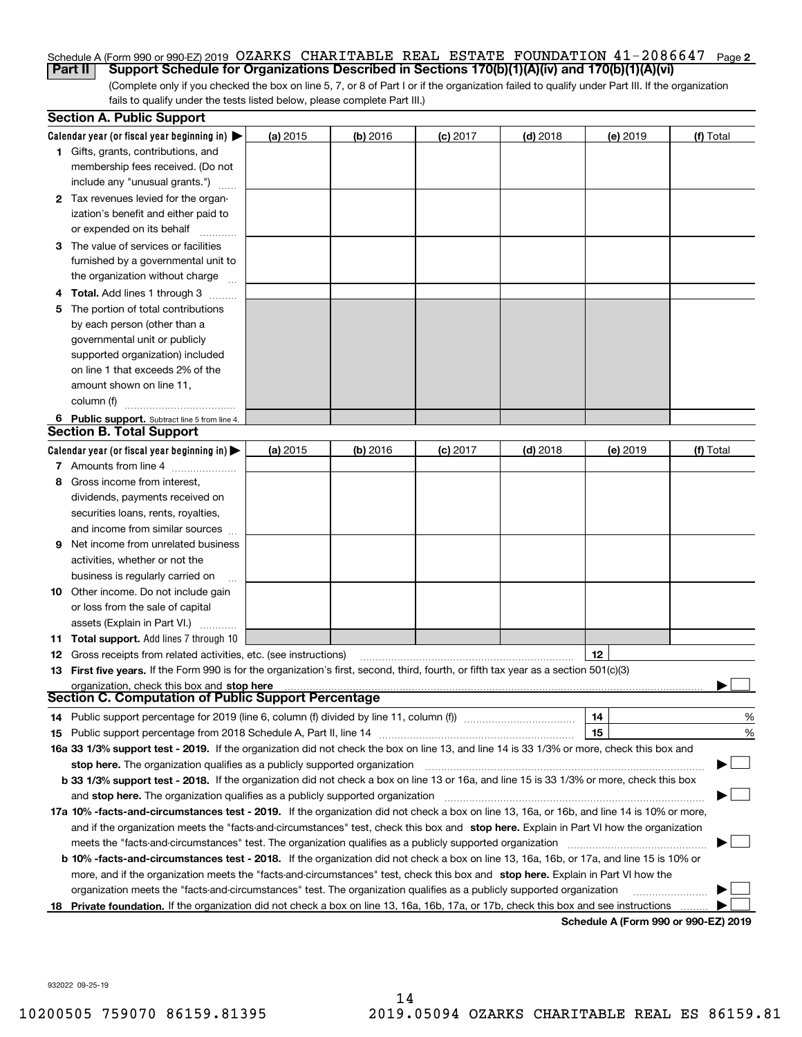### Schedule A (Form 990 or 990-EZ) 2019 OZARKS CHARITABLE REAL ESTATE FOUNDATION 41-2086647 Page **2 Part II Support Schedule for Organizations Described in Sections 170(b)(1)(A)(iv) and 170(b)(1)(A)(vi)**

(Complete only if you checked the box on line 5, 7, or 8 of Part I or if the organization failed to qualify under Part III. If the organization fails to qualify under the tests listed below, please complete Part III.)

|    | <b>Section A. Public Support</b>                                                                                                               |            |            |            |            |          |                                      |
|----|------------------------------------------------------------------------------------------------------------------------------------------------|------------|------------|------------|------------|----------|--------------------------------------|
|    | Calendar year (or fiscal year beginning in) $\blacktriangleright$                                                                              | (a) 2015   | $(b)$ 2016 | $(c)$ 2017 | $(d)$ 2018 | (e) 2019 | (f) Total                            |
|    | <b>1</b> Gifts, grants, contributions, and                                                                                                     |            |            |            |            |          |                                      |
|    | membership fees received. (Do not                                                                                                              |            |            |            |            |          |                                      |
|    | include any "unusual grants.")                                                                                                                 |            |            |            |            |          |                                      |
|    | 2 Tax revenues levied for the organ-                                                                                                           |            |            |            |            |          |                                      |
|    | ization's benefit and either paid to                                                                                                           |            |            |            |            |          |                                      |
|    | or expended on its behalf                                                                                                                      |            |            |            |            |          |                                      |
|    | 3 The value of services or facilities                                                                                                          |            |            |            |            |          |                                      |
|    | furnished by a governmental unit to                                                                                                            |            |            |            |            |          |                                      |
|    | the organization without charge                                                                                                                |            |            |            |            |          |                                      |
|    | <b>4 Total.</b> Add lines 1 through 3                                                                                                          |            |            |            |            |          |                                      |
| 5. | The portion of total contributions                                                                                                             |            |            |            |            |          |                                      |
|    | by each person (other than a                                                                                                                   |            |            |            |            |          |                                      |
|    | governmental unit or publicly                                                                                                                  |            |            |            |            |          |                                      |
|    | supported organization) included                                                                                                               |            |            |            |            |          |                                      |
|    | on line 1 that exceeds 2% of the                                                                                                               |            |            |            |            |          |                                      |
|    | amount shown on line 11,                                                                                                                       |            |            |            |            |          |                                      |
|    | column (f)                                                                                                                                     |            |            |            |            |          |                                      |
|    | 6 Public support. Subtract line 5 from line 4.                                                                                                 |            |            |            |            |          |                                      |
|    | <b>Section B. Total Support</b>                                                                                                                |            |            |            |            |          |                                      |
|    | Calendar year (or fiscal year beginning in) $\blacktriangleright$                                                                              | (a) $2015$ | $(b)$ 2016 | $(c)$ 2017 | $(d)$ 2018 | (e) 2019 | (f) Total                            |
|    | 7 Amounts from line 4                                                                                                                          |            |            |            |            |          |                                      |
| 8  | Gross income from interest,                                                                                                                    |            |            |            |            |          |                                      |
|    | dividends, payments received on                                                                                                                |            |            |            |            |          |                                      |
|    | securities loans, rents, royalties,                                                                                                            |            |            |            |            |          |                                      |
|    | and income from similar sources                                                                                                                |            |            |            |            |          |                                      |
| 9  | Net income from unrelated business                                                                                                             |            |            |            |            |          |                                      |
|    | activities, whether or not the                                                                                                                 |            |            |            |            |          |                                      |
|    | business is regularly carried on                                                                                                               |            |            |            |            |          |                                      |
|    | <b>10</b> Other income. Do not include gain                                                                                                    |            |            |            |            |          |                                      |
|    | or loss from the sale of capital                                                                                                               |            |            |            |            |          |                                      |
|    | assets (Explain in Part VI.)                                                                                                                   |            |            |            |            |          |                                      |
|    | <b>11 Total support.</b> Add lines 7 through 10                                                                                                |            |            |            |            |          |                                      |
|    | <b>12</b> Gross receipts from related activities, etc. (see instructions)                                                                      |            |            |            |            | 12       |                                      |
|    | 13 First five years. If the Form 990 is for the organization's first, second, third, fourth, or fifth tax year as a section 501(c)(3)          |            |            |            |            |          |                                      |
|    | organization, check this box and stop here                                                                                                     |            |            |            |            |          |                                      |
|    | Section C. Computation of Public Support Percentage                                                                                            |            |            |            |            |          |                                      |
|    | 14 Public support percentage for 2019 (line 6, column (f) divided by line 11, column (f) <i>mummumumumum</i>                                   |            |            |            |            | 14       | %                                    |
|    |                                                                                                                                                |            |            |            |            | 15       | %                                    |
|    | 16a 33 1/3% support test - 2019. If the organization did not check the box on line 13, and line 14 is 33 1/3% or more, check this box and      |            |            |            |            |          |                                      |
|    | stop here. The organization qualifies as a publicly supported organization                                                                     |            |            |            |            |          |                                      |
|    | b 33 1/3% support test - 2018. If the organization did not check a box on line 13 or 16a, and line 15 is 33 1/3% or more, check this box       |            |            |            |            |          |                                      |
|    | and stop here. The organization qualifies as a publicly supported organization                                                                 |            |            |            |            |          |                                      |
|    | 17a 10% -facts-and-circumstances test - 2019. If the organization did not check a box on line 13, 16a, or 16b, and line 14 is 10% or more,     |            |            |            |            |          |                                      |
|    | and if the organization meets the "facts-and-circumstances" test, check this box and stop here. Explain in Part VI how the organization        |            |            |            |            |          |                                      |
|    | meets the "facts-and-circumstances" test. The organization qualifies as a publicly supported organization                                      |            |            |            |            |          |                                      |
|    | <b>b 10% -facts-and-circumstances test - 2018.</b> If the organization did not check a box on line 13, 16a, 16b, or 17a, and line 15 is 10% or |            |            |            |            |          |                                      |
|    | more, and if the organization meets the "facts-and-circumstances" test, check this box and stop here. Explain in Part VI how the               |            |            |            |            |          |                                      |
|    | organization meets the "facts-and-circumstances" test. The organization qualifies as a publicly supported organization                         |            |            |            |            |          |                                      |
|    | 18 Private foundation. If the organization did not check a box on line 13, 16a, 16b, 17a, or 17b, check this box and see instructions          |            |            |            |            |          |                                      |
|    |                                                                                                                                                |            |            |            |            |          | Schedule A (Form 990 or 990-F7) 2019 |

**Schedule A (Form 990 or 990-EZ) 2019**

932022 09-25-19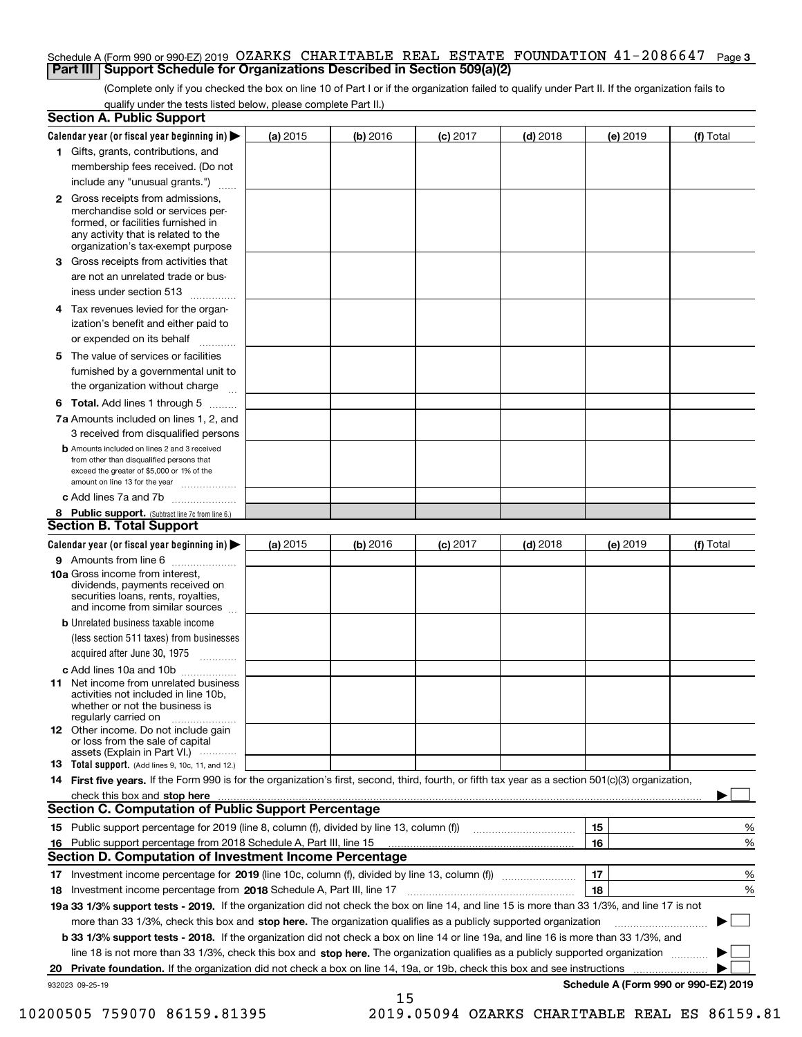### Schedule A (Form 990 or 990-EZ) 2019 OZARKS CHARITABLE REAL ESTATE FOUNDATION 41-2086647 Page **3 Part III Support Schedule for Organizations Described in Section 509(a)(2)**

(Complete only if you checked the box on line 10 of Part I or if the organization failed to qualify under Part II. If the organization fails to qualify under the tests listed below, please complete Part II.)

| <b>Section A. Public Support</b>                                                                                                                                                                                                                             |          |          |            |            |          |                                      |
|--------------------------------------------------------------------------------------------------------------------------------------------------------------------------------------------------------------------------------------------------------------|----------|----------|------------|------------|----------|--------------------------------------|
| Calendar year (or fiscal year beginning in)                                                                                                                                                                                                                  | (a) 2015 | (b) 2016 | $(c)$ 2017 | $(d)$ 2018 | (e) 2019 | (f) Total                            |
| 1 Gifts, grants, contributions, and                                                                                                                                                                                                                          |          |          |            |            |          |                                      |
| membership fees received. (Do not                                                                                                                                                                                                                            |          |          |            |            |          |                                      |
| include any "unusual grants.")                                                                                                                                                                                                                               |          |          |            |            |          |                                      |
| <b>2</b> Gross receipts from admissions,<br>merchandise sold or services per-<br>formed, or facilities furnished in<br>any activity that is related to the<br>organization's tax-exempt purpose                                                              |          |          |            |            |          |                                      |
| 3 Gross receipts from activities that<br>are not an unrelated trade or bus-                                                                                                                                                                                  |          |          |            |            |          |                                      |
| iness under section 513                                                                                                                                                                                                                                      |          |          |            |            |          |                                      |
| 4 Tax revenues levied for the organ-                                                                                                                                                                                                                         |          |          |            |            |          |                                      |
| ization's benefit and either paid to<br>or expended on its behalf                                                                                                                                                                                            |          |          |            |            |          |                                      |
| 5 The value of services or facilities                                                                                                                                                                                                                        |          |          |            |            |          |                                      |
| furnished by a governmental unit to                                                                                                                                                                                                                          |          |          |            |            |          |                                      |
| the organization without charge                                                                                                                                                                                                                              |          |          |            |            |          |                                      |
| <b>6 Total.</b> Add lines 1 through 5                                                                                                                                                                                                                        |          |          |            |            |          |                                      |
| 7a Amounts included on lines 1, 2, and<br>3 received from disqualified persons                                                                                                                                                                               |          |          |            |            |          |                                      |
| <b>b</b> Amounts included on lines 2 and 3 received<br>from other than disqualified persons that<br>exceed the greater of \$5,000 or 1% of the<br>amount on line 13 for the year                                                                             |          |          |            |            |          |                                      |
| c Add lines 7a and 7b                                                                                                                                                                                                                                        |          |          |            |            |          |                                      |
| 8 Public support. (Subtract line 7c from line 6.)                                                                                                                                                                                                            |          |          |            |            |          |                                      |
| <b>Section B. Total Support</b>                                                                                                                                                                                                                              |          |          |            |            |          |                                      |
| Calendar year (or fiscal year beginning in)                                                                                                                                                                                                                  | (a) 2015 | (b) 2016 | $(c)$ 2017 | $(d)$ 2018 | (e) 2019 | (f) Total                            |
| 9 Amounts from line 6                                                                                                                                                                                                                                        |          |          |            |            |          |                                      |
| 10a Gross income from interest,<br>dividends, payments received on<br>securities loans, rents, royalties,<br>and income from similar sources                                                                                                                 |          |          |            |            |          |                                      |
| <b>b</b> Unrelated business taxable income<br>(less section 511 taxes) from businesses                                                                                                                                                                       |          |          |            |            |          |                                      |
| acquired after June 30, 1975                                                                                                                                                                                                                                 |          |          |            |            |          |                                      |
| c Add lines 10a and 10b                                                                                                                                                                                                                                      |          |          |            |            |          |                                      |
| 11 Net income from unrelated business<br>activities not included in line 10b,<br>whether or not the business is<br>regularly carried on                                                                                                                      |          |          |            |            |          |                                      |
| <b>12</b> Other income. Do not include gain<br>or loss from the sale of capital<br>assets (Explain in Part VI.)                                                                                                                                              |          |          |            |            |          |                                      |
| <b>13 Total support.</b> (Add lines 9, 10c, 11, and 12.)                                                                                                                                                                                                     |          |          |            |            |          |                                      |
| 14 First five years. If the Form 990 is for the organization's first, second, third, fourth, or fifth tax year as a section 501(c)(3) organization,                                                                                                          |          |          |            |            |          |                                      |
| check this box and stop here <i>machine and content and stop</i> here <i>manufacture and stop</i> here <i>manufacture</i> and <b>stop here</b> <i>manufacture and stop</i> here <i>manufacture and stop</i> here <i>manufacture manufacture manufacture </i> |          |          |            |            |          |                                      |
| Section C. Computation of Public Support Percentage                                                                                                                                                                                                          |          |          |            |            |          |                                      |
| 15 Public support percentage for 2019 (line 8, column (f), divided by line 13, column (f))                                                                                                                                                                   |          |          |            |            | 15       | %                                    |
| 16 Public support percentage from 2018 Schedule A, Part III, line 15                                                                                                                                                                                         |          |          |            |            | 16       | %                                    |
| <b>Section D. Computation of Investment Income Percentage</b>                                                                                                                                                                                                |          |          |            |            |          |                                      |
| 17 Investment income percentage for 2019 (line 10c, column (f), divided by line 13, column (f))                                                                                                                                                              |          |          |            |            | 17       | %                                    |
| 18 Investment income percentage from 2018 Schedule A, Part III, line 17                                                                                                                                                                                      |          |          |            |            | 18       | %                                    |
| 19a 33 1/3% support tests - 2019. If the organization did not check the box on line 14, and line 15 is more than 33 1/3%, and line 17 is not                                                                                                                 |          |          |            |            |          |                                      |
| more than 33 1/3%, check this box and stop here. The organization qualifies as a publicly supported organization                                                                                                                                             |          |          |            |            |          |                                      |
| <b>b 33 1/3% support tests - 2018.</b> If the organization did not check a box on line 14 or line 19a, and line 16 is more than 33 1/3%, and                                                                                                                 |          |          |            |            |          |                                      |
| line 18 is not more than 33 1/3%, check this box and stop here. The organization qualifies as a publicly supported organization                                                                                                                              |          |          |            |            |          |                                      |
| 20 Private foundation. If the organization did not check a box on line 14, 19a, or 19b, check this box and see instructions                                                                                                                                  |          |          |            |            |          |                                      |
| 932023 09-25-19                                                                                                                                                                                                                                              |          | 15       |            |            |          | Schedule A (Form 990 or 990-EZ) 2019 |

10200505 759070 86159.81395 2019.05094 OZARKS CHARITABLE REAL ES 86159.81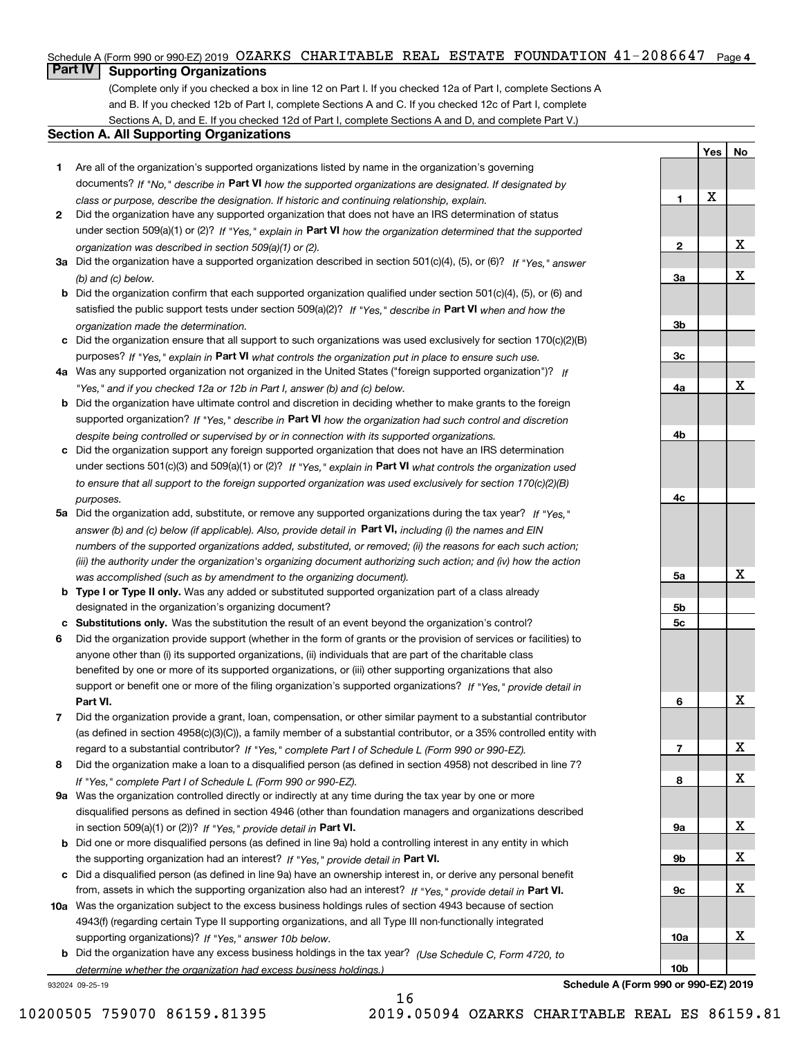### Schedule A (Form 990 or 990-EZ) 2019 OZARKS CHARITABLE REAL ESTATE FOUNDATION  $41\text{--}2086647$  Page 4

### **Part IV Supporting Organizations**

(Complete only if you checked a box in line 12 on Part I. If you checked 12a of Part I, complete Sections A and B. If you checked 12b of Part I, complete Sections A and C. If you checked 12c of Part I, complete Sections A, D, and E. If you checked 12d of Part I, complete Sections A and D, and complete Part V.)

### **Section A. All Supporting Organizations**

- **1** Are all of the organization's supported organizations listed by name in the organization's governing documents? If "No," describe in **Part VI** how the supported organizations are designated. If designated by *class or purpose, describe the designation. If historic and continuing relationship, explain.*
- **2** Did the organization have any supported organization that does not have an IRS determination of status under section 509(a)(1) or (2)? If "Yes," explain in Part VI how the organization determined that the supported *organization was described in section 509(a)(1) or (2).*
- **3a** Did the organization have a supported organization described in section 501(c)(4), (5), or (6)? If "Yes," answer *(b) and (c) below.*
- **b** Did the organization confirm that each supported organization qualified under section 501(c)(4), (5), or (6) and satisfied the public support tests under section 509(a)(2)? If "Yes," describe in **Part VI** when and how the *organization made the determination.*
- **c**Did the organization ensure that all support to such organizations was used exclusively for section 170(c)(2)(B) purposes? If "Yes," explain in **Part VI** what controls the organization put in place to ensure such use.
- **4a***If* Was any supported organization not organized in the United States ("foreign supported organization")? *"Yes," and if you checked 12a or 12b in Part I, answer (b) and (c) below.*
- **b** Did the organization have ultimate control and discretion in deciding whether to make grants to the foreign supported organization? If "Yes," describe in **Part VI** how the organization had such control and discretion *despite being controlled or supervised by or in connection with its supported organizations.*
- **c** Did the organization support any foreign supported organization that does not have an IRS determination under sections 501(c)(3) and 509(a)(1) or (2)? If "Yes," explain in **Part VI** what controls the organization used *to ensure that all support to the foreign supported organization was used exclusively for section 170(c)(2)(B) purposes.*
- **5a** Did the organization add, substitute, or remove any supported organizations during the tax year? If "Yes," answer (b) and (c) below (if applicable). Also, provide detail in **Part VI,** including (i) the names and EIN *numbers of the supported organizations added, substituted, or removed; (ii) the reasons for each such action; (iii) the authority under the organization's organizing document authorizing such action; and (iv) how the action was accomplished (such as by amendment to the organizing document).*
- **b** Type I or Type II only. Was any added or substituted supported organization part of a class already designated in the organization's organizing document?
- **cSubstitutions only.**  Was the substitution the result of an event beyond the organization's control?
- **6** Did the organization provide support (whether in the form of grants or the provision of services or facilities) to **Part VI.** *If "Yes," provide detail in* support or benefit one or more of the filing organization's supported organizations? anyone other than (i) its supported organizations, (ii) individuals that are part of the charitable class benefited by one or more of its supported organizations, or (iii) other supporting organizations that also
- **7**Did the organization provide a grant, loan, compensation, or other similar payment to a substantial contributor *If "Yes," complete Part I of Schedule L (Form 990 or 990-EZ).* regard to a substantial contributor? (as defined in section 4958(c)(3)(C)), a family member of a substantial contributor, or a 35% controlled entity with
- **8** Did the organization make a loan to a disqualified person (as defined in section 4958) not described in line 7? *If "Yes," complete Part I of Schedule L (Form 990 or 990-EZ).*
- **9a** Was the organization controlled directly or indirectly at any time during the tax year by one or more in section 509(a)(1) or (2))? If "Yes," *provide detail in* <code>Part VI.</code> disqualified persons as defined in section 4946 (other than foundation managers and organizations described
- **b** Did one or more disqualified persons (as defined in line 9a) hold a controlling interest in any entity in which the supporting organization had an interest? If "Yes," provide detail in P**art VI**.
- **c**Did a disqualified person (as defined in line 9a) have an ownership interest in, or derive any personal benefit from, assets in which the supporting organization also had an interest? If "Yes," provide detail in P**art VI.**
- **10a** Was the organization subject to the excess business holdings rules of section 4943 because of section supporting organizations)? If "Yes," answer 10b below. 4943(f) (regarding certain Type II supporting organizations, and all Type III non-functionally integrated
- **b** Did the organization have any excess business holdings in the tax year? (Use Schedule C, Form 4720, to *determine whether the organization had excess business holdings.)*

16

932024 09-25-19

**Schedule A (Form 990 or 990-EZ) 2019**

**Yes**

X

**1**

**2**

**3a**

**3b**

**3c**

**4a**

**4b**

**4c**

**5a**

**5b5c**

**6**

**7**

**8**

**9a**

**9b**

**9c**

**10a**

**10b**

**No**

X

X

X

X

X

X

X

X

X

X

X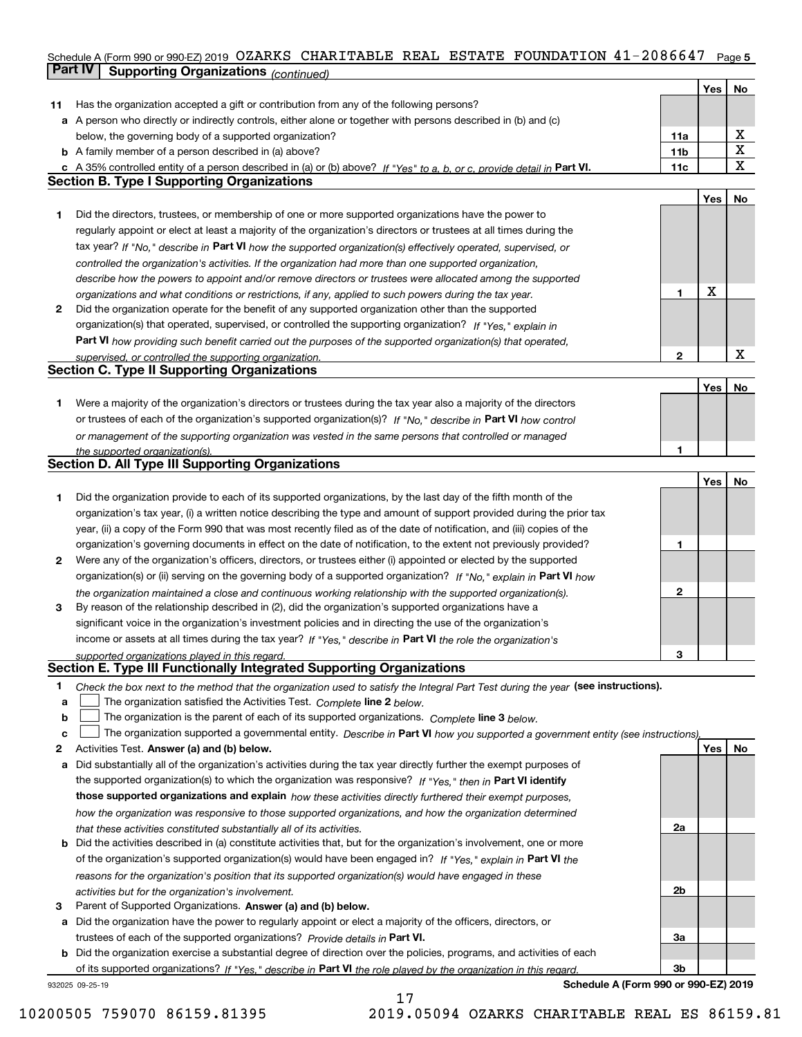### Schedule A (Form 990 or 990-EZ) 2019 OZARKS CHARITABLE REAL ESTATE FOUNDATION 41-2086647 Page 5 **Part IV** Supporting Organizations (*continued*)

|    |                                                                                                                                                                                                                      |                 | Yes | No          |
|----|----------------------------------------------------------------------------------------------------------------------------------------------------------------------------------------------------------------------|-----------------|-----|-------------|
| 11 | Has the organization accepted a gift or contribution from any of the following persons?                                                                                                                              |                 |     |             |
|    | a A person who directly or indirectly controls, either alone or together with persons described in (b) and (c)                                                                                                       |                 |     |             |
|    | below, the governing body of a supported organization?                                                                                                                                                               | 11a             |     | X           |
|    | <b>b</b> A family member of a person described in (a) above?                                                                                                                                                         | 11 <sub>b</sub> |     | X           |
|    | c A 35% controlled entity of a person described in (a) or (b) above? If "Yes" to a, b, or c, provide detail in Part VI.                                                                                              | 11c             |     | $\mathbf X$ |
|    | <b>Section B. Type I Supporting Organizations</b>                                                                                                                                                                    |                 |     |             |
|    |                                                                                                                                                                                                                      |                 | Yes | No          |
| 1. | Did the directors, trustees, or membership of one or more supported organizations have the power to                                                                                                                  |                 |     |             |
|    | regularly appoint or elect at least a majority of the organization's directors or trustees at all times during the                                                                                                   |                 |     |             |
|    | tax year? If "No," describe in Part VI how the supported organization(s) effectively operated, supervised, or                                                                                                        |                 |     |             |
|    | controlled the organization's activities. If the organization had more than one supported organization,                                                                                                              |                 |     |             |
|    | describe how the powers to appoint and/or remove directors or trustees were allocated among the supported                                                                                                            |                 |     |             |
|    |                                                                                                                                                                                                                      | 1               | X   |             |
| 2  | organizations and what conditions or restrictions, if any, applied to such powers during the tax year.<br>Did the organization operate for the benefit of any supported organization other than the supported        |                 |     |             |
|    |                                                                                                                                                                                                                      |                 |     |             |
|    | organization(s) that operated, supervised, or controlled the supporting organization? If "Yes," explain in                                                                                                           |                 |     |             |
|    | Part VI how providing such benefit carried out the purposes of the supported organization(s) that operated,                                                                                                          |                 |     | $\mathbf X$ |
|    | supervised, or controlled the supporting organization.<br><b>Section C. Type II Supporting Organizations</b>                                                                                                         | $\mathbf{2}$    |     |             |
|    |                                                                                                                                                                                                                      |                 | Yes | No          |
| 1. | Were a majority of the organization's directors or trustees during the tax year also a majority of the directors                                                                                                     |                 |     |             |
|    | or trustees of each of the organization's supported organization(s)? If "No." describe in Part VI how control                                                                                                        |                 |     |             |
|    |                                                                                                                                                                                                                      |                 |     |             |
|    | or management of the supporting organization was vested in the same persons that controlled or managed                                                                                                               | 1               |     |             |
|    | the supported organization(s).<br><b>Section D. All Type III Supporting Organizations</b>                                                                                                                            |                 |     |             |
|    |                                                                                                                                                                                                                      |                 | Yes | No          |
| 1  | Did the organization provide to each of its supported organizations, by the last day of the fifth month of the                                                                                                       |                 |     |             |
|    | organization's tax year, (i) a written notice describing the type and amount of support provided during the prior tax                                                                                                |                 |     |             |
|    | year, (ii) a copy of the Form 990 that was most recently filed as of the date of notification, and (iii) copies of the                                                                                               |                 |     |             |
|    | organization's governing documents in effect on the date of notification, to the extent not previously provided?                                                                                                     | 1               |     |             |
| 2  | Were any of the organization's officers, directors, or trustees either (i) appointed or elected by the supported                                                                                                     |                 |     |             |
|    |                                                                                                                                                                                                                      |                 |     |             |
|    | organization(s) or (ii) serving on the governing body of a supported organization? If "No," explain in Part VI how                                                                                                   | 2               |     |             |
| 3  | the organization maintained a close and continuous working relationship with the supported organization(s).<br>By reason of the relationship described in (2), did the organization's supported organizations have a |                 |     |             |
|    | significant voice in the organization's investment policies and in directing the use of the organization's                                                                                                           |                 |     |             |
|    | income or assets at all times during the tax year? If "Yes," describe in Part VI the role the organization's                                                                                                         |                 |     |             |
|    | supported organizations played in this regard.                                                                                                                                                                       | З               |     |             |
|    | Section E. Type III Functionally Integrated Supporting Organizations                                                                                                                                                 |                 |     |             |
| 1  | Check the box next to the method that the organization used to satisfy the Integral Part Test during the year (see instructions).                                                                                    |                 |     |             |
| a  | The organization satisfied the Activities Test. Complete line 2 below.                                                                                                                                               |                 |     |             |
| b  | The organization is the parent of each of its supported organizations. Complete line 3 below.                                                                                                                        |                 |     |             |
| c  | The organization supported a governmental entity. Describe in Part VI how you supported a government entity (see instructions),                                                                                      |                 |     |             |
| 2  | Activities Test. Answer (a) and (b) below.                                                                                                                                                                           |                 | Yes | No          |
| a  | Did substantially all of the organization's activities during the tax year directly further the exempt purposes of                                                                                                   |                 |     |             |
|    | the supported organization(s) to which the organization was responsive? If "Yes," then in Part VI identify                                                                                                           |                 |     |             |
|    | those supported organizations and explain how these activities directly furthered their exempt purposes,                                                                                                             |                 |     |             |
|    | how the organization was responsive to those supported organizations, and how the organization determined                                                                                                            |                 |     |             |
|    | that these activities constituted substantially all of its activities.                                                                                                                                               | 2a              |     |             |
| b  | Did the activities described in (a) constitute activities that, but for the organization's involvement, one or more                                                                                                  |                 |     |             |
|    | of the organization's supported organization(s) would have been engaged in? If "Yes," explain in Part VI the                                                                                                         |                 |     |             |
|    | reasons for the organization's position that its supported organization(s) would have engaged in these                                                                                                               |                 |     |             |
|    | activities but for the organization's involvement.                                                                                                                                                                   | 2b              |     |             |
| 3  | Parent of Supported Organizations. Answer (a) and (b) below.                                                                                                                                                         |                 |     |             |
| а  | Did the organization have the power to regularly appoint or elect a majority of the officers, directors, or                                                                                                          |                 |     |             |
|    | trustees of each of the supported organizations? Provide details in Part VI.                                                                                                                                         | За              |     |             |
|    | <b>b</b> Did the organization exercise a substantial degree of direction over the policies, programs, and activities of each                                                                                         |                 |     |             |
|    | of its supported organizations? If "Yes," describe in Part VI the role played by the organization in this regard.                                                                                                    | Зb              |     |             |
|    | Schedule A (Form 990 or 990-EZ) 2019<br>932025 09-25-19                                                                                                                                                              |                 |     |             |

17

10200505 759070 86159.81395 2019.05094 OZARKS CHARITABLE REAL ES 86159.81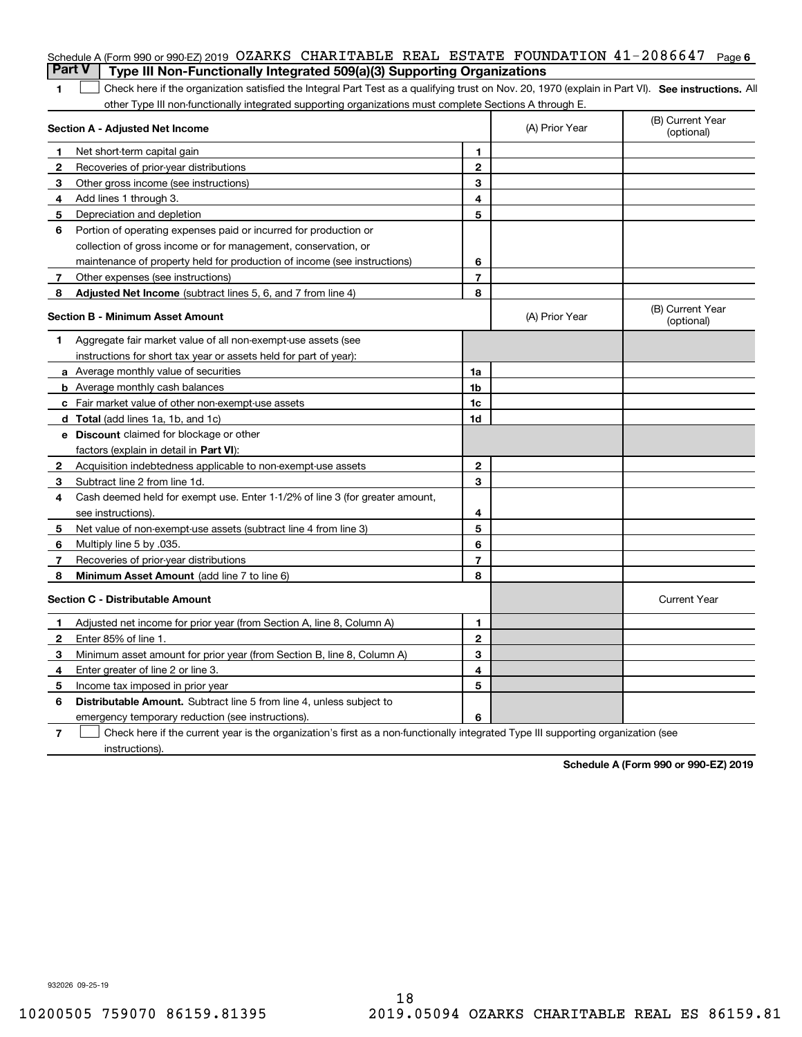|                | Schedule A (Form 990 or 990-EZ) 2019 OZARKS CHARITABLE REAL ESTATE FOUNDATION 41-2086647<br><b>Part V</b><br>Type III Non-Functionally Integrated 509(a)(3) Supporting Organizations |                |                | Page 6                         |
|----------------|--------------------------------------------------------------------------------------------------------------------------------------------------------------------------------------|----------------|----------------|--------------------------------|
| 1              | Check here if the organization satisfied the Integral Part Test as a qualifying trust on Nov. 20, 1970 (explain in Part VI). See instructions. Al                                    |                |                |                                |
|                | other Type III non-functionally integrated supporting organizations must complete Sections A through E.                                                                              |                |                |                                |
|                | Section A - Adjusted Net Income                                                                                                                                                      |                | (A) Prior Year | (B) Current Year<br>(optional) |
| 1              | Net short-term capital gain                                                                                                                                                          | 1.             |                |                                |
| $\overline{2}$ | Recoveries of prior-year distributions                                                                                                                                               | $\mathbf{2}$   |                |                                |
| З              | Other gross income (see instructions)                                                                                                                                                | 3              |                |                                |
| 4              | Add lines 1 through 3.                                                                                                                                                               | 4              |                |                                |
| 5              | Depreciation and depletion                                                                                                                                                           | 5              |                |                                |
| 6              | Portion of operating expenses paid or incurred for production or                                                                                                                     |                |                |                                |
|                | collection of gross income or for management, conservation, or                                                                                                                       |                |                |                                |
|                | maintenance of property held for production of income (see instructions)                                                                                                             | 6              |                |                                |
| 7              | Other expenses (see instructions)                                                                                                                                                    | $\overline{7}$ |                |                                |
| 8              | Adjusted Net Income (subtract lines 5, 6, and 7 from line 4)                                                                                                                         | 8              |                |                                |
|                | Section B - Minimum Asset Amount                                                                                                                                                     |                | (A) Prior Year | (B) Current Year<br>(optional) |
| 1              | Aggregate fair market value of all non-exempt-use assets (see                                                                                                                        |                |                |                                |
|                | instructions for short tax year or assets held for part of year):                                                                                                                    |                |                |                                |
|                | <b>a</b> Average monthly value of securities                                                                                                                                         | 1a             |                |                                |
|                | <b>b</b> Average monthly cash balances                                                                                                                                               | 1b             |                |                                |
|                | c Fair market value of other non-exempt-use assets                                                                                                                                   | 1c             |                |                                |
|                | d Total (add lines 1a, 1b, and 1c)                                                                                                                                                   | 1d             |                |                                |
|                | <b>e</b> Discount claimed for blockage or other                                                                                                                                      |                |                |                                |
|                | factors (explain in detail in Part VI):                                                                                                                                              |                |                |                                |
| 2              | Acquisition indebtedness applicable to non-exempt-use assets                                                                                                                         | $\mathbf{2}$   |                |                                |
| 3              | Subtract line 2 from line 1d.                                                                                                                                                        | 3              |                |                                |
| 4              | Cash deemed held for exempt use. Enter 1-1/2% of line 3 (for greater amount,                                                                                                         |                |                |                                |
|                | see instructions).                                                                                                                                                                   | 4              |                |                                |
| 5              | Net value of non-exempt-use assets (subtract line 4 from line 3)                                                                                                                     | 5              |                |                                |
| 6              | Multiply line 5 by .035.                                                                                                                                                             | 6              |                |                                |
| 7              | Recoveries of prior-year distributions                                                                                                                                               | $\overline{7}$ |                |                                |
| 8              | Minimum Asset Amount (add line 7 to line 6)                                                                                                                                          | 8              |                |                                |
|                | <b>Section C - Distributable Amount</b>                                                                                                                                              |                |                | <b>Current Year</b>            |
|                | Adjusted net income for prior year (from Section A, line 8, Column A)                                                                                                                | 1              |                |                                |
|                | Enter 85% of line 1.                                                                                                                                                                 | 2              |                |                                |
| З              | Minimum asset amount for prior year (from Section B, line 8, Column A)                                                                                                               | 3              |                |                                |
| 4              | Enter greater of line 2 or line 3.                                                                                                                                                   | 4              |                |                                |
| 5              | Income tax imposed in prior year                                                                                                                                                     | 5              |                |                                |
| 6              | <b>Distributable Amount.</b> Subtract line 5 from line 4, unless subject to                                                                                                          |                |                |                                |
|                | emergency temporary reduction (see instructions).                                                                                                                                    | 6              |                |                                |
| 7              | Check here if the current year is the organization's first as a non-functionally integrated Type III supporting organization (see                                                    |                |                |                                |

instructions).

**Schedule A (Form 990 or 990-EZ) 2019**

932026 09-25-19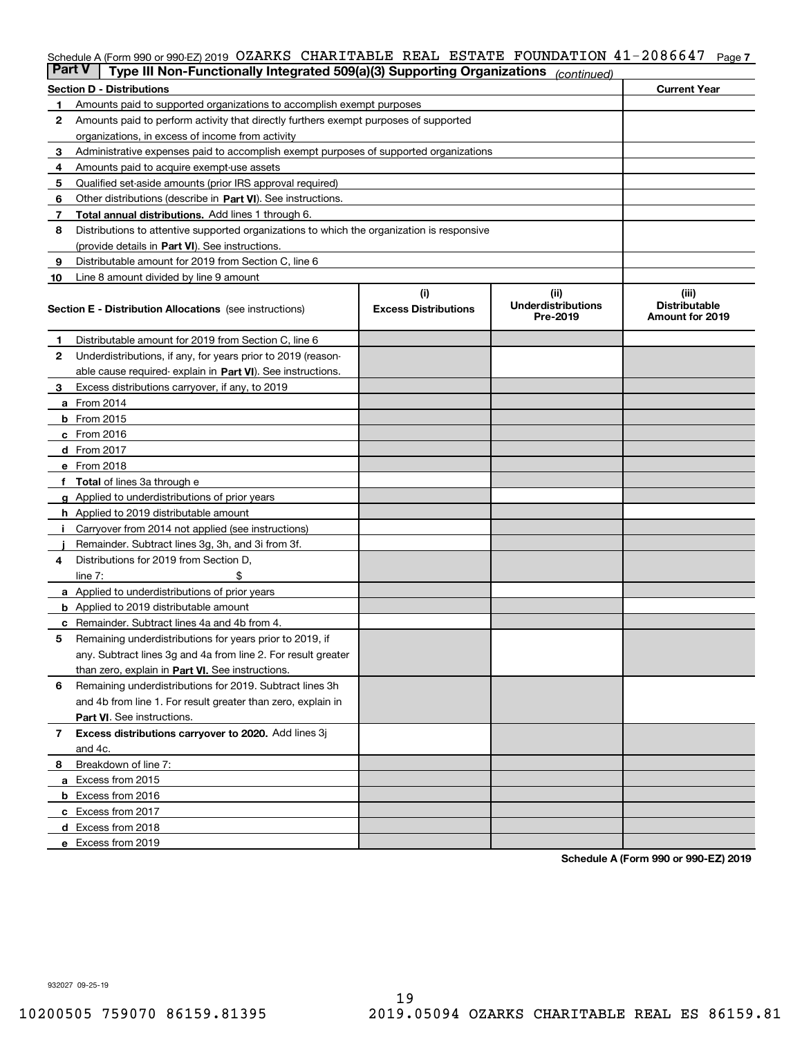### Schedule A (Form 990 or 990-EZ) 2019 OZARKS CHARITABLE REAL ESTATE FOUNDATION 41-2086647 Page 7

| <b>Part V</b> | Type III Non-Functionally Integrated 509(a)(3) Supporting Organizations                    |                             | (continued)                           |                                         |  |  |  |  |
|---------------|--------------------------------------------------------------------------------------------|-----------------------------|---------------------------------------|-----------------------------------------|--|--|--|--|
|               | <b>Section D - Distributions</b>                                                           |                             |                                       | <b>Current Year</b>                     |  |  |  |  |
| 1             | Amounts paid to supported organizations to accomplish exempt purposes                      |                             |                                       |                                         |  |  |  |  |
| 2             | Amounts paid to perform activity that directly furthers exempt purposes of supported       |                             |                                       |                                         |  |  |  |  |
|               | organizations, in excess of income from activity                                           |                             |                                       |                                         |  |  |  |  |
| 3             | Administrative expenses paid to accomplish exempt purposes of supported organizations      |                             |                                       |                                         |  |  |  |  |
| 4             | Amounts paid to acquire exempt-use assets                                                  |                             |                                       |                                         |  |  |  |  |
| 5             | Qualified set-aside amounts (prior IRS approval required)                                  |                             |                                       |                                         |  |  |  |  |
| 6             | Other distributions (describe in Part VI). See instructions.                               |                             |                                       |                                         |  |  |  |  |
| 7             | <b>Total annual distributions.</b> Add lines 1 through 6.                                  |                             |                                       |                                         |  |  |  |  |
| 8             | Distributions to attentive supported organizations to which the organization is responsive |                             |                                       |                                         |  |  |  |  |
|               | (provide details in Part VI). See instructions.                                            |                             |                                       |                                         |  |  |  |  |
| 9             | Distributable amount for 2019 from Section C, line 6                                       |                             |                                       |                                         |  |  |  |  |
| 10            | Line 8 amount divided by line 9 amount                                                     |                             |                                       |                                         |  |  |  |  |
|               |                                                                                            | (i)                         | (ii)                                  | (iii)                                   |  |  |  |  |
|               | <b>Section E - Distribution Allocations</b> (see instructions)                             | <b>Excess Distributions</b> | <b>Underdistributions</b><br>Pre-2019 | <b>Distributable</b><br>Amount for 2019 |  |  |  |  |
| 1             | Distributable amount for 2019 from Section C, line 6                                       |                             |                                       |                                         |  |  |  |  |
| 2             | Underdistributions, if any, for years prior to 2019 (reason-                               |                             |                                       |                                         |  |  |  |  |
|               | able cause required- explain in Part VI). See instructions.                                |                             |                                       |                                         |  |  |  |  |
| З             | Excess distributions carryover, if any, to 2019                                            |                             |                                       |                                         |  |  |  |  |
|               | <b>a</b> From 2014                                                                         |                             |                                       |                                         |  |  |  |  |
|               | <b>b</b> From 2015                                                                         |                             |                                       |                                         |  |  |  |  |
|               | $c$ From 2016                                                                              |                             |                                       |                                         |  |  |  |  |
|               | d From 2017                                                                                |                             |                                       |                                         |  |  |  |  |
|               | e From 2018                                                                                |                             |                                       |                                         |  |  |  |  |
|               | Total of lines 3a through e                                                                |                             |                                       |                                         |  |  |  |  |
| g             | Applied to underdistributions of prior years                                               |                             |                                       |                                         |  |  |  |  |
|               | <b>h</b> Applied to 2019 distributable amount                                              |                             |                                       |                                         |  |  |  |  |
|               | Carryover from 2014 not applied (see instructions)                                         |                             |                                       |                                         |  |  |  |  |
|               | Remainder. Subtract lines 3g, 3h, and 3i from 3f.                                          |                             |                                       |                                         |  |  |  |  |
| 4             | Distributions for 2019 from Section D,                                                     |                             |                                       |                                         |  |  |  |  |
|               | line $7:$                                                                                  |                             |                                       |                                         |  |  |  |  |
|               | <b>a</b> Applied to underdistributions of prior years                                      |                             |                                       |                                         |  |  |  |  |
|               | <b>b</b> Applied to 2019 distributable amount                                              |                             |                                       |                                         |  |  |  |  |
|               | c Remainder. Subtract lines 4a and 4b from 4.                                              |                             |                                       |                                         |  |  |  |  |
| 5             | Remaining underdistributions for years prior to 2019, if                                   |                             |                                       |                                         |  |  |  |  |
|               | any. Subtract lines 3g and 4a from line 2. For result greater                              |                             |                                       |                                         |  |  |  |  |
|               | than zero, explain in Part VI. See instructions.                                           |                             |                                       |                                         |  |  |  |  |
| 6             | Remaining underdistributions for 2019. Subtract lines 3h                                   |                             |                                       |                                         |  |  |  |  |
|               | and 4b from line 1. For result greater than zero, explain in                               |                             |                                       |                                         |  |  |  |  |
|               | Part VI. See instructions.                                                                 |                             |                                       |                                         |  |  |  |  |
| 7             | Excess distributions carryover to 2020. Add lines 3j                                       |                             |                                       |                                         |  |  |  |  |
|               | and 4c.                                                                                    |                             |                                       |                                         |  |  |  |  |
| 8             | Breakdown of line 7:                                                                       |                             |                                       |                                         |  |  |  |  |
|               | a Excess from 2015                                                                         |                             |                                       |                                         |  |  |  |  |
|               | <b>b</b> Excess from 2016                                                                  |                             |                                       |                                         |  |  |  |  |
|               | c Excess from 2017                                                                         |                             |                                       |                                         |  |  |  |  |
|               | d Excess from 2018                                                                         |                             |                                       |                                         |  |  |  |  |
|               | e Excess from 2019                                                                         |                             |                                       |                                         |  |  |  |  |
|               |                                                                                            |                             |                                       |                                         |  |  |  |  |

**Schedule A (Form 990 or 990-EZ) 2019**

932027 09-25-19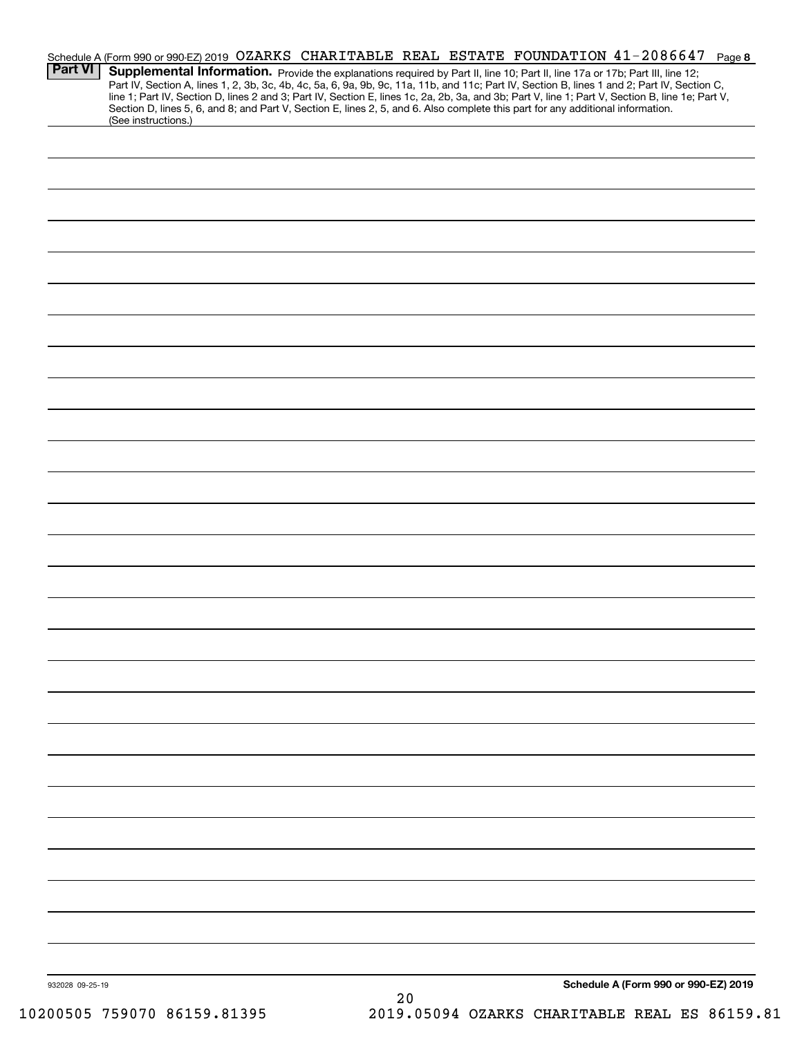| <b>Part VI</b>  | Schedule A (Form 990 or 990-EZ) 2019 OZARKS CHARITABLE REAL ESTATE FOUNDATION 41-2086647 Page 8<br>Supplemental Information. Provide the explanations required by Part II, line 10; Part II, line 17a or 17b; Part III, line 12;<br>Part IV, Section A, lines 1, 2, 3b, 3c, 4b, 4c, 5a, 6, 9a, 9b, 9c, 11a, 11b, and 11c; Part IV, Section B, lines 1 and 2; Part IV, Section C,<br>line 1; Part IV, Section D, lines 2 and 3; Part IV, Section E, lines 1c, 2a, 2b, 3a, and 3b; Part V, line 1; Part V, Section B, line 1e; Part V,<br>Section D, lines 5, 6, and 8; and Part V, Section E, lines 2, 5, and 6. Also complete this part for any additional information.<br>(See instructions.) |      |                                      |
|-----------------|------------------------------------------------------------------------------------------------------------------------------------------------------------------------------------------------------------------------------------------------------------------------------------------------------------------------------------------------------------------------------------------------------------------------------------------------------------------------------------------------------------------------------------------------------------------------------------------------------------------------------------------------------------------------------------------------|------|--------------------------------------|
|                 |                                                                                                                                                                                                                                                                                                                                                                                                                                                                                                                                                                                                                                                                                                |      |                                      |
|                 |                                                                                                                                                                                                                                                                                                                                                                                                                                                                                                                                                                                                                                                                                                |      |                                      |
|                 |                                                                                                                                                                                                                                                                                                                                                                                                                                                                                                                                                                                                                                                                                                |      |                                      |
|                 |                                                                                                                                                                                                                                                                                                                                                                                                                                                                                                                                                                                                                                                                                                |      |                                      |
|                 |                                                                                                                                                                                                                                                                                                                                                                                                                                                                                                                                                                                                                                                                                                |      |                                      |
|                 |                                                                                                                                                                                                                                                                                                                                                                                                                                                                                                                                                                                                                                                                                                |      |                                      |
|                 |                                                                                                                                                                                                                                                                                                                                                                                                                                                                                                                                                                                                                                                                                                |      |                                      |
|                 |                                                                                                                                                                                                                                                                                                                                                                                                                                                                                                                                                                                                                                                                                                |      |                                      |
|                 |                                                                                                                                                                                                                                                                                                                                                                                                                                                                                                                                                                                                                                                                                                |      |                                      |
|                 |                                                                                                                                                                                                                                                                                                                                                                                                                                                                                                                                                                                                                                                                                                |      |                                      |
|                 |                                                                                                                                                                                                                                                                                                                                                                                                                                                                                                                                                                                                                                                                                                |      |                                      |
|                 |                                                                                                                                                                                                                                                                                                                                                                                                                                                                                                                                                                                                                                                                                                |      |                                      |
|                 |                                                                                                                                                                                                                                                                                                                                                                                                                                                                                                                                                                                                                                                                                                |      |                                      |
|                 |                                                                                                                                                                                                                                                                                                                                                                                                                                                                                                                                                                                                                                                                                                |      |                                      |
|                 |                                                                                                                                                                                                                                                                                                                                                                                                                                                                                                                                                                                                                                                                                                |      |                                      |
|                 |                                                                                                                                                                                                                                                                                                                                                                                                                                                                                                                                                                                                                                                                                                |      |                                      |
|                 |                                                                                                                                                                                                                                                                                                                                                                                                                                                                                                                                                                                                                                                                                                |      |                                      |
|                 |                                                                                                                                                                                                                                                                                                                                                                                                                                                                                                                                                                                                                                                                                                |      |                                      |
|                 |                                                                                                                                                                                                                                                                                                                                                                                                                                                                                                                                                                                                                                                                                                |      |                                      |
|                 |                                                                                                                                                                                                                                                                                                                                                                                                                                                                                                                                                                                                                                                                                                |      |                                      |
|                 |                                                                                                                                                                                                                                                                                                                                                                                                                                                                                                                                                                                                                                                                                                |      |                                      |
|                 |                                                                                                                                                                                                                                                                                                                                                                                                                                                                                                                                                                                                                                                                                                |      |                                      |
| 932028 09-25-19 |                                                                                                                                                                                                                                                                                                                                                                                                                                                                                                                                                                                                                                                                                                | $20$ | Schedule A (Form 990 or 990-EZ) 2019 |

10200505 759070 86159.81395 2019.05094 OZARKS CHARITABLE REAL ES 86159.81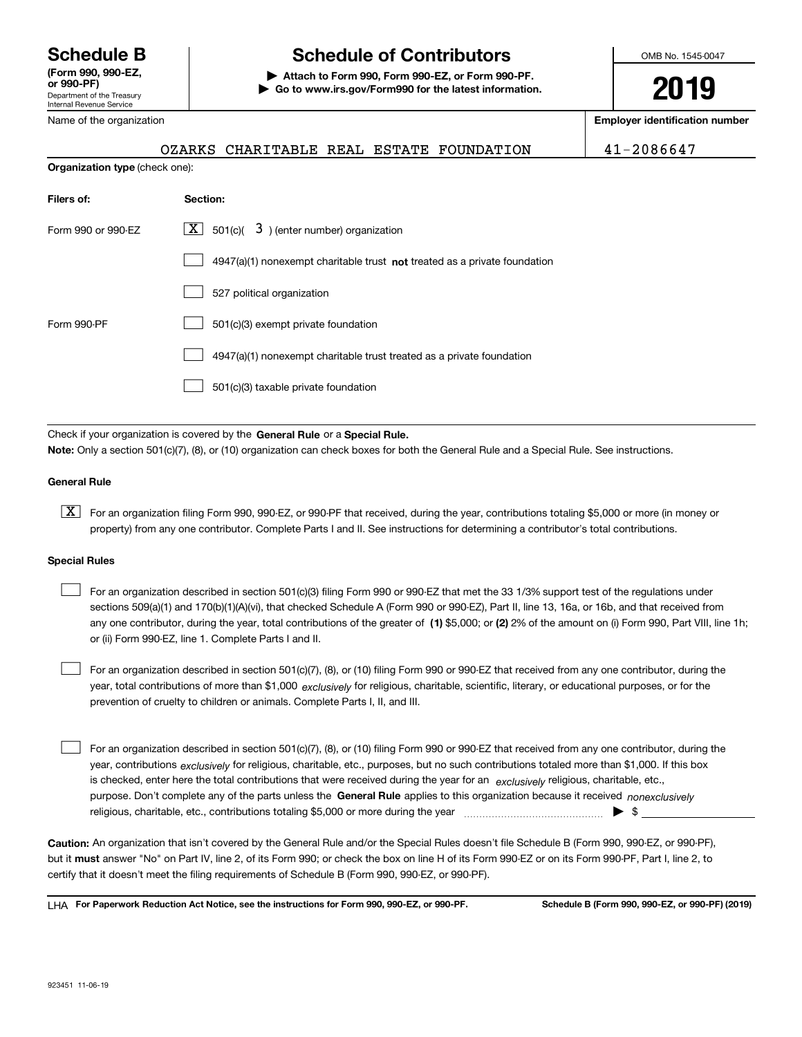Department of the Treasury Internal Revenue Service **(Form 990, 990-EZ, or 990-PF)** Name of the organization

**Organization type** (check one):

# **Schedule B Schedule of Contributors**

**| Attach to Form 990, Form 990-EZ, or Form 990-PF. | Go to www.irs.gov/Form990 for the latest information.** OMB No. 1545-0047

**2019**

**Employer identification number**

OZARKS CHARITABLE REAL ESTATE FOUNDATION 41-2086647

| Filers of:         | Section:                                                                    |
|--------------------|-----------------------------------------------------------------------------|
| Form 990 or 990-EZ | $\boxed{\textbf{X}}$ 501(c)( 3) (enter number) organization                 |
|                    | $4947(a)(1)$ nonexempt charitable trust not treated as a private foundation |
|                    | 527 political organization                                                  |
| Form 990-PF        | 501(c)(3) exempt private foundation                                         |
|                    | 4947(a)(1) nonexempt charitable trust treated as a private foundation       |
|                    | 501(c)(3) taxable private foundation                                        |

Check if your organization is covered by the **General Rule** or a **Special Rule. Note:**  Only a section 501(c)(7), (8), or (10) organization can check boxes for both the General Rule and a Special Rule. See instructions.

### **General Rule**

 $\boxed{\textbf{X}}$  For an organization filing Form 990, 990-EZ, or 990-PF that received, during the year, contributions totaling \$5,000 or more (in money or property) from any one contributor. Complete Parts I and II. See instructions for determining a contributor's total contributions.

### **Special Rules**

any one contributor, during the year, total contributions of the greater of  $\,$  (1) \$5,000; or **(2)** 2% of the amount on (i) Form 990, Part VIII, line 1h; For an organization described in section 501(c)(3) filing Form 990 or 990-EZ that met the 33 1/3% support test of the regulations under sections 509(a)(1) and 170(b)(1)(A)(vi), that checked Schedule A (Form 990 or 990-EZ), Part II, line 13, 16a, or 16b, and that received from or (ii) Form 990-EZ, line 1. Complete Parts I and II.  $\mathcal{L}^{\text{max}}$ 

year, total contributions of more than \$1,000 *exclusively* for religious, charitable, scientific, literary, or educational purposes, or for the For an organization described in section 501(c)(7), (8), or (10) filing Form 990 or 990-EZ that received from any one contributor, during the prevention of cruelty to children or animals. Complete Parts I, II, and III.  $\mathcal{L}^{\text{max}}$ 

purpose. Don't complete any of the parts unless the **General Rule** applies to this organization because it received *nonexclusively* year, contributions <sub>exclusively</sub> for religious, charitable, etc., purposes, but no such contributions totaled more than \$1,000. If this box is checked, enter here the total contributions that were received during the year for an  $\;$ exclusively religious, charitable, etc., For an organization described in section 501(c)(7), (8), or (10) filing Form 990 or 990-EZ that received from any one contributor, during the religious, charitable, etc., contributions totaling \$5,000 or more during the year  $\Box$ — $\Box$   $\Box$  $\mathcal{L}^{\text{max}}$ 

**Caution:**  An organization that isn't covered by the General Rule and/or the Special Rules doesn't file Schedule B (Form 990, 990-EZ, or 990-PF),  **must** but it answer "No" on Part IV, line 2, of its Form 990; or check the box on line H of its Form 990-EZ or on its Form 990-PF, Part I, line 2, to certify that it doesn't meet the filing requirements of Schedule B (Form 990, 990-EZ, or 990-PF).

**For Paperwork Reduction Act Notice, see the instructions for Form 990, 990-EZ, or 990-PF. Schedule B (Form 990, 990-EZ, or 990-PF) (2019)** LHA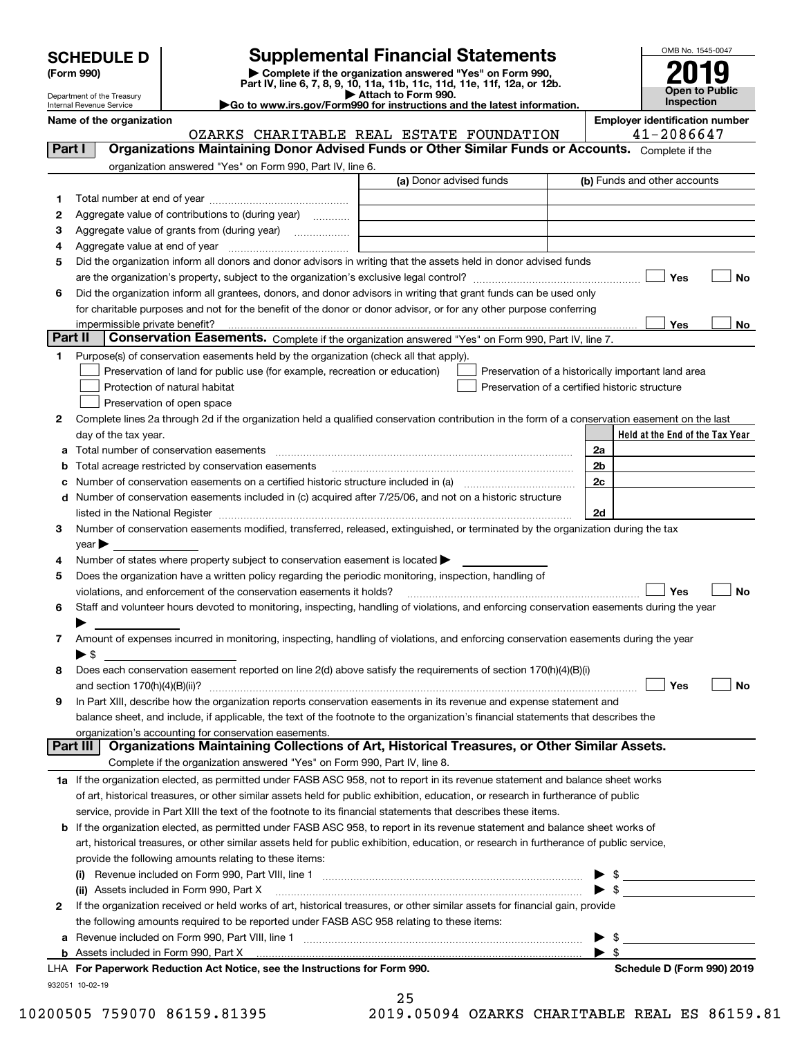| <b>SCHEDULE D</b> |  |
|-------------------|--|
|-------------------|--|

Department of the Treasury Internal Revenue Service

| (Form 990) |  |
|------------|--|
|------------|--|

# **Supplemental Financial Statements**

(Form 990)<br>
Pepartment of the Treasury<br>
Department of the Treasury<br>
Department of the Treasury<br>
Department of the Treasury<br> **Co to www.irs.gov/Form990 for instructions and the latest information.**<br> **Co to www.irs.gov/Form9** 

|  |  |  | ►Go to www.irs.gov/Form990 for instructions and the latest informati |  |  |  |
|--|--|--|----------------------------------------------------------------------|--|--|--|
|  |  |  |                                                                      |  |  |  |



OZARKS CHARITABLE REAL ESTATE FOUNDATION | 41-2086647

**Name of the organization Employer identification number**

| Part I  | <b>Organizations Maintaining Donor Advised Funds or Other Similar Funds or Accounts.</b> Complete if the                                                                                                                       |                                                |                |                                                    |
|---------|--------------------------------------------------------------------------------------------------------------------------------------------------------------------------------------------------------------------------------|------------------------------------------------|----------------|----------------------------------------------------|
|         | organization answered "Yes" on Form 990, Part IV, line 6.                                                                                                                                                                      | (a) Donor advised funds                        |                | (b) Funds and other accounts                       |
|         |                                                                                                                                                                                                                                |                                                |                |                                                    |
| 1.      |                                                                                                                                                                                                                                |                                                |                |                                                    |
| 2       | Aggregate value of contributions to (during year)                                                                                                                                                                              |                                                |                |                                                    |
| 3       |                                                                                                                                                                                                                                |                                                |                |                                                    |
| 4       |                                                                                                                                                                                                                                |                                                |                |                                                    |
| 5       | Did the organization inform all donors and donor advisors in writing that the assets held in donor advised funds                                                                                                               |                                                |                |                                                    |
|         |                                                                                                                                                                                                                                |                                                |                | Yes<br>No                                          |
| 6       | Did the organization inform all grantees, donors, and donor advisors in writing that grant funds can be used only                                                                                                              |                                                |                |                                                    |
|         | for charitable purposes and not for the benefit of the donor or donor advisor, or for any other purpose conferring                                                                                                             |                                                |                |                                                    |
| Part II | impermissible private benefit?<br>Conservation Easements. Complete if the organization answered "Yes" on Form 990, Part IV, line 7.                                                                                            |                                                |                | Yes<br>No                                          |
| 1       |                                                                                                                                                                                                                                |                                                |                |                                                    |
|         | Purpose(s) of conservation easements held by the organization (check all that apply).<br>Preservation of land for public use (for example, recreation or education)                                                            |                                                |                |                                                    |
|         | Protection of natural habitat                                                                                                                                                                                                  | Preservation of a certified historic structure |                | Preservation of a historically important land area |
|         | Preservation of open space                                                                                                                                                                                                     |                                                |                |                                                    |
|         | Complete lines 2a through 2d if the organization held a qualified conservation contribution in the form of a conservation easement on the last                                                                                 |                                                |                |                                                    |
| 2       | day of the tax year.                                                                                                                                                                                                           |                                                |                | Held at the End of the Tax Year                    |
|         |                                                                                                                                                                                                                                |                                                |                |                                                    |
|         | <b>b</b> Total acreage restricted by conservation easements                                                                                                                                                                    |                                                | 2a<br>2b       |                                                    |
|         | Number of conservation easements on a certified historic structure included in (a) manufactured in the manufactured in the manufactured in the manufactured in the manufactured in the manufactured in the manufactured in the |                                                | 2 <sub>c</sub> |                                                    |
| c       | d Number of conservation easements included in (c) acquired after 7/25/06, and not on a historic structure                                                                                                                     |                                                |                |                                                    |
|         |                                                                                                                                                                                                                                |                                                | 2d             |                                                    |
| 3       | Number of conservation easements modified, transferred, released, extinguished, or terminated by the organization during the tax                                                                                               |                                                |                |                                                    |
|         | $year \blacktriangleright$                                                                                                                                                                                                     |                                                |                |                                                    |
| 4       | Number of states where property subject to conservation easement is located $\blacktriangleright$                                                                                                                              |                                                |                |                                                    |
| 5       | Does the organization have a written policy regarding the periodic monitoring, inspection, handling of                                                                                                                         |                                                |                |                                                    |
|         | violations, and enforcement of the conservation easements it holds?                                                                                                                                                            |                                                |                | Yes<br>No                                          |
| 6       | Staff and volunteer hours devoted to monitoring, inspecting, handling of violations, and enforcing conservation easements during the year                                                                                      |                                                |                |                                                    |
|         |                                                                                                                                                                                                                                |                                                |                |                                                    |
| 7       | Amount of expenses incurred in monitoring, inspecting, handling of violations, and enforcing conservation easements during the year                                                                                            |                                                |                |                                                    |
|         | $\blacktriangleright$ \$                                                                                                                                                                                                       |                                                |                |                                                    |
| 8       | Does each conservation easement reported on line 2(d) above satisfy the requirements of section 170(h)(4)(B)(i)                                                                                                                |                                                |                |                                                    |
|         |                                                                                                                                                                                                                                |                                                |                | Yes<br>No                                          |
| 9       | In Part XIII, describe how the organization reports conservation easements in its revenue and expense statement and                                                                                                            |                                                |                |                                                    |
|         | balance sheet, and include, if applicable, the text of the footnote to the organization's financial statements that describes the                                                                                              |                                                |                |                                                    |
|         | organization's accounting for conservation easements.                                                                                                                                                                          |                                                |                |                                                    |
|         | Organizations Maintaining Collections of Art, Historical Treasures, or Other Similar Assets.<br>Part III                                                                                                                       |                                                |                |                                                    |
|         | Complete if the organization answered "Yes" on Form 990, Part IV, line 8.                                                                                                                                                      |                                                |                |                                                    |
|         | 1a If the organization elected, as permitted under FASB ASC 958, not to report in its revenue statement and balance sheet works                                                                                                |                                                |                |                                                    |
|         | of art, historical treasures, or other similar assets held for public exhibition, education, or research in furtherance of public                                                                                              |                                                |                |                                                    |
|         | service, provide in Part XIII the text of the footnote to its financial statements that describes these items.                                                                                                                 |                                                |                |                                                    |
|         | <b>b</b> If the organization elected, as permitted under FASB ASC 958, to report in its revenue statement and balance sheet works of                                                                                           |                                                |                |                                                    |
|         | art, historical treasures, or other similar assets held for public exhibition, education, or research in furtherance of public service,                                                                                        |                                                |                |                                                    |
|         | provide the following amounts relating to these items:                                                                                                                                                                         |                                                |                |                                                    |
|         |                                                                                                                                                                                                                                |                                                |                | $\triangleright$ \$                                |
|         | (ii) Assets included in Form 990, Part X                                                                                                                                                                                       |                                                |                | $\triangleright$ \$                                |
| 2       | If the organization received or held works of art, historical treasures, or other similar assets for financial gain, provide                                                                                                   |                                                |                |                                                    |
|         | the following amounts required to be reported under FASB ASC 958 relating to these items:                                                                                                                                      |                                                |                |                                                    |
| a       |                                                                                                                                                                                                                                |                                                |                | $\frac{1}{2}$                                      |
|         | b Assets included in Form 990, Part X [111] [2000] [2012] [2012] [2012] [2012] [2012] [2012] [2012] [2012] [2012] [2012] [2012] [2012] [2012] [2012] [2012] [2012] [2012] [2012] [2012] [2012] [2012] [2012] [2012] [2012] [20 |                                                |                |                                                    |
|         | LHA For Paperwork Reduction Act Notice, see the Instructions for Form 990.                                                                                                                                                     |                                                |                | Schedule D (Form 990) 2019                         |
|         | 932051 10-02-19                                                                                                                                                                                                                |                                                |                |                                                    |
|         |                                                                                                                                                                                                                                | 25                                             |                |                                                    |

|  | 25   |  |  |                                                   |  |
|--|------|--|--|---------------------------------------------------|--|
|  | 71 O |  |  | $\bigcap$ $\bigcap$ $\bigcap$ $\bigcap$ $\bigcap$ |  |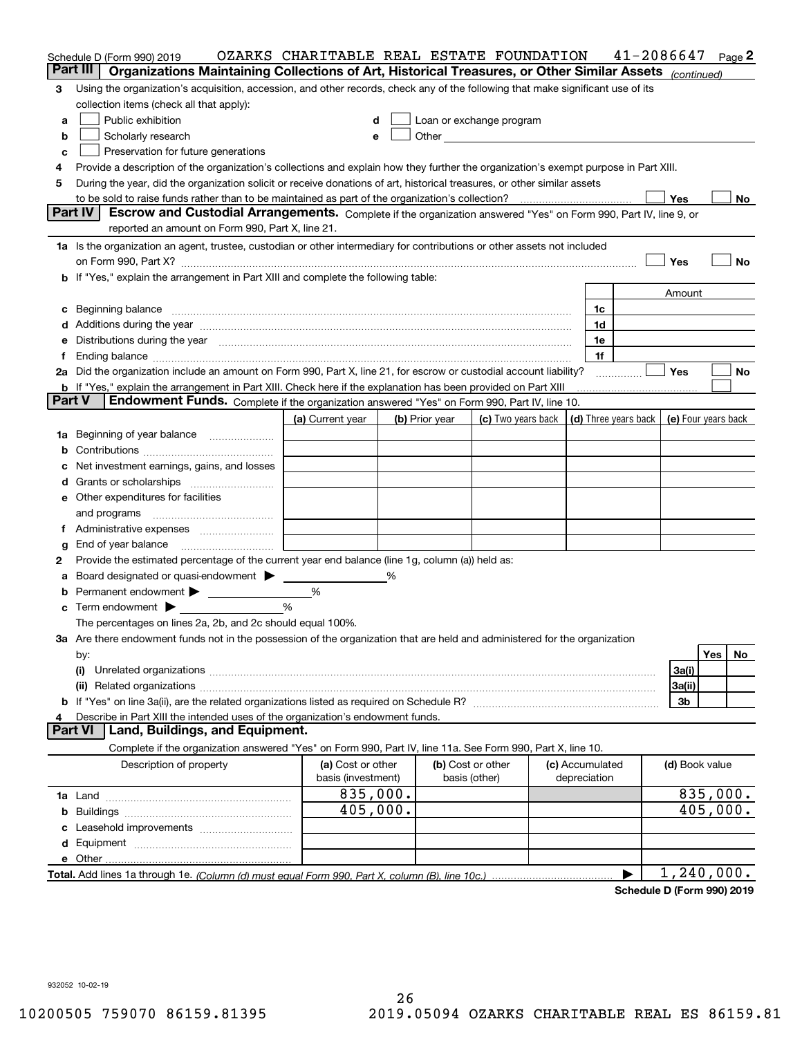|               | Schedule D (Form 990) 2019                                                                                                                                                                                                     | OZARKS CHARITABLE REAL ESTATE FOUNDATION |   |                                    |                                                                                                                                                                                                                               |                                 | 41-2086647 |                |          | Page 2 |
|---------------|--------------------------------------------------------------------------------------------------------------------------------------------------------------------------------------------------------------------------------|------------------------------------------|---|------------------------------------|-------------------------------------------------------------------------------------------------------------------------------------------------------------------------------------------------------------------------------|---------------------------------|------------|----------------|----------|--------|
|               | Part III<br>Organizations Maintaining Collections of Art, Historical Treasures, or Other Similar Assets (continued)                                                                                                            |                                          |   |                                    |                                                                                                                                                                                                                               |                                 |            |                |          |        |
| 3             | Using the organization's acquisition, accession, and other records, check any of the following that make significant use of its                                                                                                |                                          |   |                                    |                                                                                                                                                                                                                               |                                 |            |                |          |        |
|               | collection items (check all that apply):                                                                                                                                                                                       |                                          |   |                                    |                                                                                                                                                                                                                               |                                 |            |                |          |        |
| а             | Public exhibition                                                                                                                                                                                                              | d                                        |   |                                    | Loan or exchange program                                                                                                                                                                                                      |                                 |            |                |          |        |
| b             | Scholarly research                                                                                                                                                                                                             | e                                        |   |                                    | Other and the contract of the contract of the contract of the contract of the contract of the contract of the contract of the contract of the contract of the contract of the contract of the contract of the contract of the |                                 |            |                |          |        |
| c             | Preservation for future generations                                                                                                                                                                                            |                                          |   |                                    |                                                                                                                                                                                                                               |                                 |            |                |          |        |
| 4             | Provide a description of the organization's collections and explain how they further the organization's exempt purpose in Part XIII.                                                                                           |                                          |   |                                    |                                                                                                                                                                                                                               |                                 |            |                |          |        |
| 5             | During the year, did the organization solicit or receive donations of art, historical treasures, or other similar assets                                                                                                       |                                          |   |                                    |                                                                                                                                                                                                                               |                                 |            |                |          |        |
|               |                                                                                                                                                                                                                                |                                          |   |                                    |                                                                                                                                                                                                                               |                                 |            | Yes            |          | No     |
|               | Part IV<br>Escrow and Custodial Arrangements. Complete if the organization answered "Yes" on Form 990, Part IV, line 9, or<br>reported an amount on Form 990, Part X, line 21.                                                 |                                          |   |                                    |                                                                                                                                                                                                                               |                                 |            |                |          |        |
|               | 1a Is the organization an agent, trustee, custodian or other intermediary for contributions or other assets not included                                                                                                       |                                          |   |                                    |                                                                                                                                                                                                                               |                                 |            |                |          |        |
|               |                                                                                                                                                                                                                                |                                          |   |                                    |                                                                                                                                                                                                                               |                                 |            | Yes            |          | No     |
|               | <b>b</b> If "Yes," explain the arrangement in Part XIII and complete the following table:                                                                                                                                      |                                          |   |                                    |                                                                                                                                                                                                                               |                                 |            |                |          |        |
|               |                                                                                                                                                                                                                                |                                          |   |                                    |                                                                                                                                                                                                                               |                                 |            | Amount         |          |        |
|               | c Beginning balance measurements and the contract of the contract of the contract of the contract of the contract of the contract of the contract of the contract of the contract of the contract of the contract of the contr |                                          |   |                                    |                                                                                                                                                                                                                               | 1c                              |            |                |          |        |
|               |                                                                                                                                                                                                                                |                                          |   |                                    |                                                                                                                                                                                                                               | 1d                              |            |                |          |        |
|               | e Distributions during the year manufactured and continuum and contact the year manufactured and contact the year manufactured and contact the year manufactured and contact the year manufactured and contact the year manufa |                                          |   |                                    |                                                                                                                                                                                                                               | 1e                              |            |                |          |        |
|               |                                                                                                                                                                                                                                |                                          |   |                                    |                                                                                                                                                                                                                               | 1f                              |            |                |          |        |
|               | 2a Did the organization include an amount on Form 990, Part X, line 21, for escrow or custodial account liability?                                                                                                             |                                          |   |                                    |                                                                                                                                                                                                                               |                                 |            | Yes            |          | No     |
|               | <b>b</b> If "Yes," explain the arrangement in Part XIII. Check here if the explanation has been provided on Part XIII                                                                                                          |                                          |   |                                    |                                                                                                                                                                                                                               |                                 |            |                |          |        |
| <b>Part V</b> | Endowment Funds. Complete if the organization answered "Yes" on Form 990, Part IV, line 10.                                                                                                                                    |                                          |   |                                    |                                                                                                                                                                                                                               |                                 |            |                |          |        |
|               |                                                                                                                                                                                                                                | (a) Current year                         |   | (b) Prior year                     | (c) Two years back   (d) Three years back   (e) Four years back                                                                                                                                                               |                                 |            |                |          |        |
|               | 1a Beginning of year balance                                                                                                                                                                                                   |                                          |   |                                    |                                                                                                                                                                                                                               |                                 |            |                |          |        |
| b             |                                                                                                                                                                                                                                |                                          |   |                                    |                                                                                                                                                                                                                               |                                 |            |                |          |        |
| c             | Net investment earnings, gains, and losses                                                                                                                                                                                     |                                          |   |                                    |                                                                                                                                                                                                                               |                                 |            |                |          |        |
|               |                                                                                                                                                                                                                                |                                          |   |                                    |                                                                                                                                                                                                                               |                                 |            |                |          |        |
|               | e Other expenditures for facilities                                                                                                                                                                                            |                                          |   |                                    |                                                                                                                                                                                                                               |                                 |            |                |          |        |
|               |                                                                                                                                                                                                                                |                                          |   |                                    |                                                                                                                                                                                                                               |                                 |            |                |          |        |
|               |                                                                                                                                                                                                                                |                                          |   |                                    |                                                                                                                                                                                                                               |                                 |            |                |          |        |
| g             | End of year balance                                                                                                                                                                                                            |                                          |   |                                    |                                                                                                                                                                                                                               |                                 |            |                |          |        |
| 2             | Provide the estimated percentage of the current year end balance (line 1g, column (a)) held as:                                                                                                                                |                                          |   |                                    |                                                                                                                                                                                                                               |                                 |            |                |          |        |
| а             | Board designated or quasi-endowment > ______                                                                                                                                                                                   |                                          | % |                                    |                                                                                                                                                                                                                               |                                 |            |                |          |        |
|               | $\mathbf c$ Term endowment $\blacktriangleright$                                                                                                                                                                               | %<br>$\%$                                |   |                                    |                                                                                                                                                                                                                               |                                 |            |                |          |        |
|               |                                                                                                                                                                                                                                |                                          |   |                                    |                                                                                                                                                                                                                               |                                 |            |                |          |        |
|               | The percentages on lines 2a, 2b, and 2c should equal 100%.<br>3a Are there endowment funds not in the possession of the organization that are held and administered for the organization                                       |                                          |   |                                    |                                                                                                                                                                                                                               |                                 |            |                |          |        |
|               |                                                                                                                                                                                                                                |                                          |   |                                    |                                                                                                                                                                                                                               |                                 |            |                | Yes      | No     |
|               | by:<br>(i)                                                                                                                                                                                                                     |                                          |   |                                    |                                                                                                                                                                                                                               |                                 |            | 3a(i)          |          |        |
|               |                                                                                                                                                                                                                                |                                          |   |                                    |                                                                                                                                                                                                                               |                                 |            | 3a(ii)         |          |        |
|               |                                                                                                                                                                                                                                |                                          |   |                                    |                                                                                                                                                                                                                               |                                 |            | 3b             |          |        |
| 4             | Describe in Part XIII the intended uses of the organization's endowment funds.                                                                                                                                                 |                                          |   |                                    |                                                                                                                                                                                                                               |                                 |            |                |          |        |
|               | Land, Buildings, and Equipment.<br><b>Part VI</b>                                                                                                                                                                              |                                          |   |                                    |                                                                                                                                                                                                                               |                                 |            |                |          |        |
|               | Complete if the organization answered "Yes" on Form 990, Part IV, line 11a. See Form 990, Part X, line 10.                                                                                                                     |                                          |   |                                    |                                                                                                                                                                                                                               |                                 |            |                |          |        |
|               | Description of property                                                                                                                                                                                                        | (a) Cost or other<br>basis (investment)  |   | (b) Cost or other<br>basis (other) |                                                                                                                                                                                                                               | (c) Accumulated<br>depreciation |            | (d) Book value |          |        |
|               |                                                                                                                                                                                                                                | 835,000.                                 |   |                                    |                                                                                                                                                                                                                               |                                 |            |                | 835,000. |        |
|               |                                                                                                                                                                                                                                | 405,000.                                 |   |                                    |                                                                                                                                                                                                                               |                                 |            |                | 405,000. |        |
|               |                                                                                                                                                                                                                                |                                          |   |                                    |                                                                                                                                                                                                                               |                                 |            |                |          |        |
|               |                                                                                                                                                                                                                                |                                          |   |                                    |                                                                                                                                                                                                                               |                                 |            |                |          |        |
|               |                                                                                                                                                                                                                                |                                          |   |                                    |                                                                                                                                                                                                                               |                                 |            |                |          |        |
|               |                                                                                                                                                                                                                                |                                          |   |                                    |                                                                                                                                                                                                                               |                                 | ▶          | 1,240,000.     |          |        |
|               |                                                                                                                                                                                                                                |                                          |   |                                    |                                                                                                                                                                                                                               |                                 |            |                |          |        |

**Schedule D (Form 990) 2019**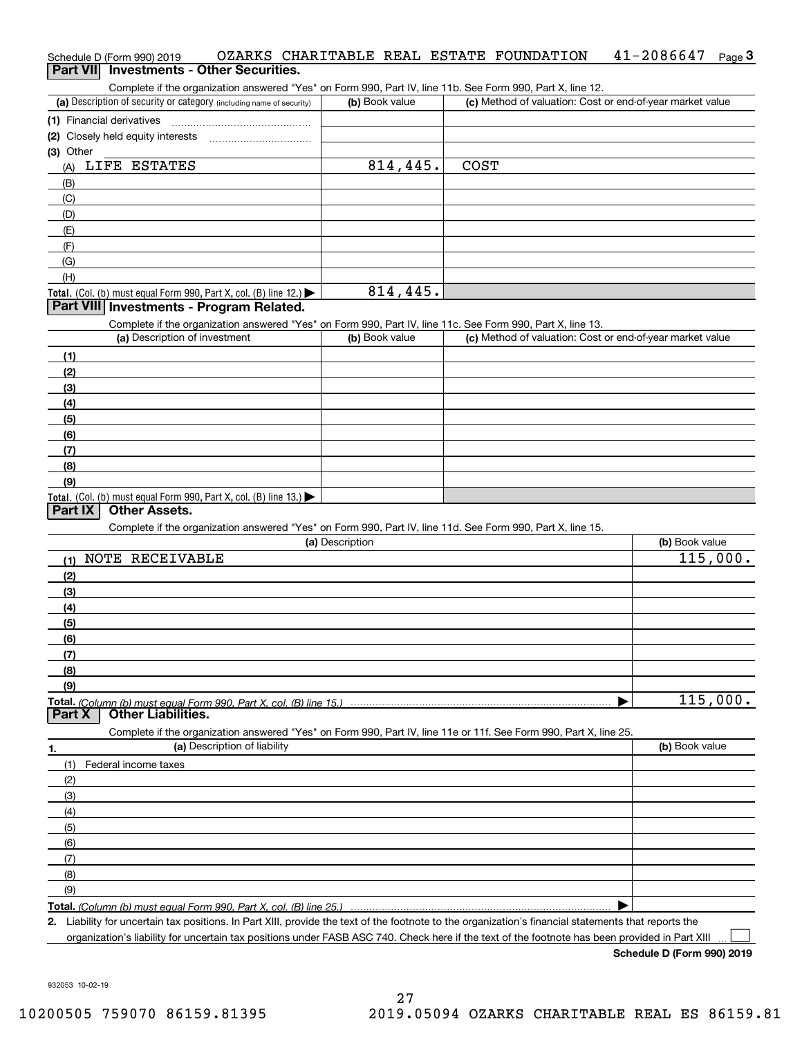### Schedule D (Form 990) 2019 OZARKS CHARITABLE REAL ESTATE FOUNDATION 41-2086647 <sub>Page</sub> 3<br>| **Part VII** | Investments - Other Securities.  $41 - 2086647$  Page 3

Complete if the organization answered "Yes" on Form 990, Part IV, line 11b. See Form 990, Part X, line 12.

| (a) Description of security or category (including name of security) | (b) Book value | (c) Method of valuation: Cost or end-of-year market value |
|----------------------------------------------------------------------|----------------|-----------------------------------------------------------|
| (1) Financial derivatives                                            |                |                                                           |
| (2) Closely held equity interests                                    |                |                                                           |
| (3) Other                                                            |                |                                                           |
| LIFE ESTATES<br>(A)                                                  | 814,445.       | <b>COST</b>                                               |
| (B)                                                                  |                |                                                           |
| (C)                                                                  |                |                                                           |
| (D)                                                                  |                |                                                           |
| (E)                                                                  |                |                                                           |
| (F)                                                                  |                |                                                           |
| (G)                                                                  |                |                                                           |
| (H)                                                                  |                |                                                           |
| Total. (Col. (b) must equal Form 990, Part X, col. (B) line $12$ .)  | 814,445.       |                                                           |

### **Part VIII Investments - Program Related.**

Complete if the organization answered "Yes" on Form 990, Part IV, line 11c. See Form 990, Part X, line 13.

| (a) Description of investment                                                          | (b) Book value | (c) Method of valuation: Cost or end-of-year market value |
|----------------------------------------------------------------------------------------|----------------|-----------------------------------------------------------|
| (1)                                                                                    |                |                                                           |
| (2)                                                                                    |                |                                                           |
| $\frac{1}{2}$                                                                          |                |                                                           |
| (4)                                                                                    |                |                                                           |
| $\frac{1}{2}$                                                                          |                |                                                           |
| (6)                                                                                    |                |                                                           |
| $\sqrt{(7)}$                                                                           |                |                                                           |
| (8)                                                                                    |                |                                                           |
| (9)                                                                                    |                |                                                           |
| Total. (Col. (b) must equal Form 990, Part X, col. (B) line 13.) $\blacktriangleright$ |                |                                                           |

### **Part IX Other Assets.**

Complete if the organization answered "Yes" on Form 990, Part IV, line 11d. See Form 990, Part X, line 15.

|                                    | (a) Description                                                                                                   | (b) Book value |
|------------------------------------|-------------------------------------------------------------------------------------------------------------------|----------------|
| NOTE RECEIVABLE<br>(1)             |                                                                                                                   | 115,000.       |
| (2)                                |                                                                                                                   |                |
| (3)                                |                                                                                                                   |                |
| (4)                                |                                                                                                                   |                |
| (5)                                |                                                                                                                   |                |
| (6)                                |                                                                                                                   |                |
| (7)                                |                                                                                                                   |                |
| (8)                                |                                                                                                                   |                |
| (9)                                |                                                                                                                   |                |
|                                    |                                                                                                                   | 115,000.       |
|                                    |                                                                                                                   |                |
|                                    | Complete if the organization answered "Yes" on Form 990, Part IV, line 11e or 11f. See Form 990, Part X, line 25. |                |
| (a) Description of liability<br>1. |                                                                                                                   | (b) Book value |
| Federal income taxes<br>(1)        |                                                                                                                   |                |
| (2)                                |                                                                                                                   |                |
| (3)                                |                                                                                                                   |                |
| (4)                                |                                                                                                                   |                |
| (5)                                |                                                                                                                   |                |
| (6)                                |                                                                                                                   |                |
| (7)                                |                                                                                                                   |                |
| (8)                                |                                                                                                                   |                |

**Total.**  *(Column (b) must equal Form 990, Part X, col. (B) line 25.)*

**2.**Liability for uncertain tax positions. In Part XIII, provide the text of the footnote to the organization's financial statements that reports the

organization's liability for uncertain tax positions under FASB ASC 740. Check here if the text of the footnote has been provided in Part XIII

**Schedule D (Form 990) 2019**

 $\mathcal{L}^{\text{max}}$ 

 $\blacktriangleright$ 

932053 10-02-19

(9)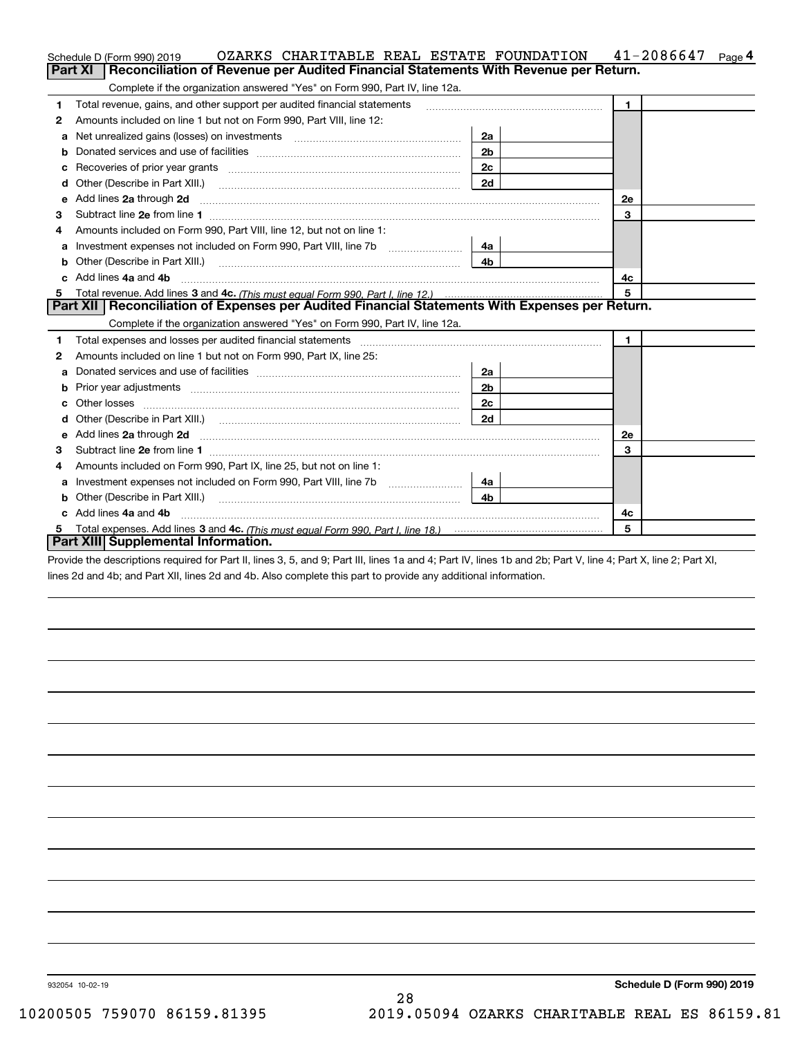|    | OZARKS CHARITABLE REAL ESTATE FOUNDATION<br>Schedule D (Form 990) 2019                                                                                                                                                         |                | $41 - 2086647$ Page 4 |
|----|--------------------------------------------------------------------------------------------------------------------------------------------------------------------------------------------------------------------------------|----------------|-----------------------|
|    | Part XI<br>Reconciliation of Revenue per Audited Financial Statements With Revenue per Return.                                                                                                                                 |                |                       |
|    | Complete if the organization answered "Yes" on Form 990, Part IV, line 12a.                                                                                                                                                    |                |                       |
| 1  | Total revenue, gains, and other support per audited financial statements                                                                                                                                                       |                | $\mathbf{1}$          |
| 2  | Amounts included on line 1 but not on Form 990, Part VIII, line 12:                                                                                                                                                            |                |                       |
| a  | Net unrealized gains (losses) on investments [11] matter contracts and the unrealized gains (losses) on investments                                                                                                            | 2a             |                       |
| b  |                                                                                                                                                                                                                                | 2 <sub>b</sub> |                       |
| с  |                                                                                                                                                                                                                                | 2c             |                       |
| d  | Other (Describe in Part XIII.)                                                                                                                                                                                                 | 2d             |                       |
| е  | Add lines 2a through 2d                                                                                                                                                                                                        |                | 2e                    |
| З  | Subtract line 2e from line 1 <b>Manual Community and Community</b> Subtract line 2e from line 1                                                                                                                                |                | 3                     |
| 4  | Amounts included on Form 990, Part VIII, line 12, but not on line 1:                                                                                                                                                           |                |                       |
| а  |                                                                                                                                                                                                                                | 4a             |                       |
| b  | Other (Describe in Part XIII.) <b>COLOGIST: (2014)</b> (2014) 2014                                                                                                                                                             | 4b             |                       |
| c. | Add lines 4a and 4b                                                                                                                                                                                                            |                | 4c                    |
| 5  |                                                                                                                                                                                                                                |                | 5                     |
|    | Part XII   Reconciliation of Expenses per Audited Financial Statements With Expenses per Return.<br>Complete if the organization answered "Yes" on Form 990, Part IV, line 12a.                                                |                |                       |
| 1  | Total expenses and losses per audited financial statements [11] [12] manuscription control expenses and losses per audited financial statements [12] [12] manuscription of the statements [12] manuscription of the statements |                | $\mathbf{1}$          |
| 2  | Amounts included on line 1 but not on Form 990, Part IX, line 25:                                                                                                                                                              |                |                       |
| a  |                                                                                                                                                                                                                                | 2a             |                       |
| b  |                                                                                                                                                                                                                                | 2b             |                       |
| с  |                                                                                                                                                                                                                                | 2с             |                       |
| d  |                                                                                                                                                                                                                                | 2d             |                       |
| е  | Add lines 2a through 2d <b>must be a constructed as the constant of the constant of the constant of the construction</b>                                                                                                       |                | <b>2e</b>             |
| 3  |                                                                                                                                                                                                                                |                | 3                     |
| 4  | Amounts included on Form 990, Part IX, line 25, but not on line 1:                                                                                                                                                             |                |                       |
| a  |                                                                                                                                                                                                                                | 4a             |                       |
| b  | Other (Describe in Part XIII.)                                                                                                                                                                                                 | 4b.            |                       |
| c  | Add lines 4a and 4b                                                                                                                                                                                                            |                | 4c                    |
|    |                                                                                                                                                                                                                                |                | 5                     |
|    | Part XIII Supplemental Information.                                                                                                                                                                                            |                |                       |
|    |                                                                                                                                                                                                                                |                |                       |

Provide the descriptions required for Part II, lines 3, 5, and 9; Part III, lines 1a and 4; Part IV, lines 1b and 2b; Part V, line 4; Part X, line 2; Part XI, lines 2d and 4b; and Part XII, lines 2d and 4b. Also complete this part to provide any additional information.

932054 10-02-19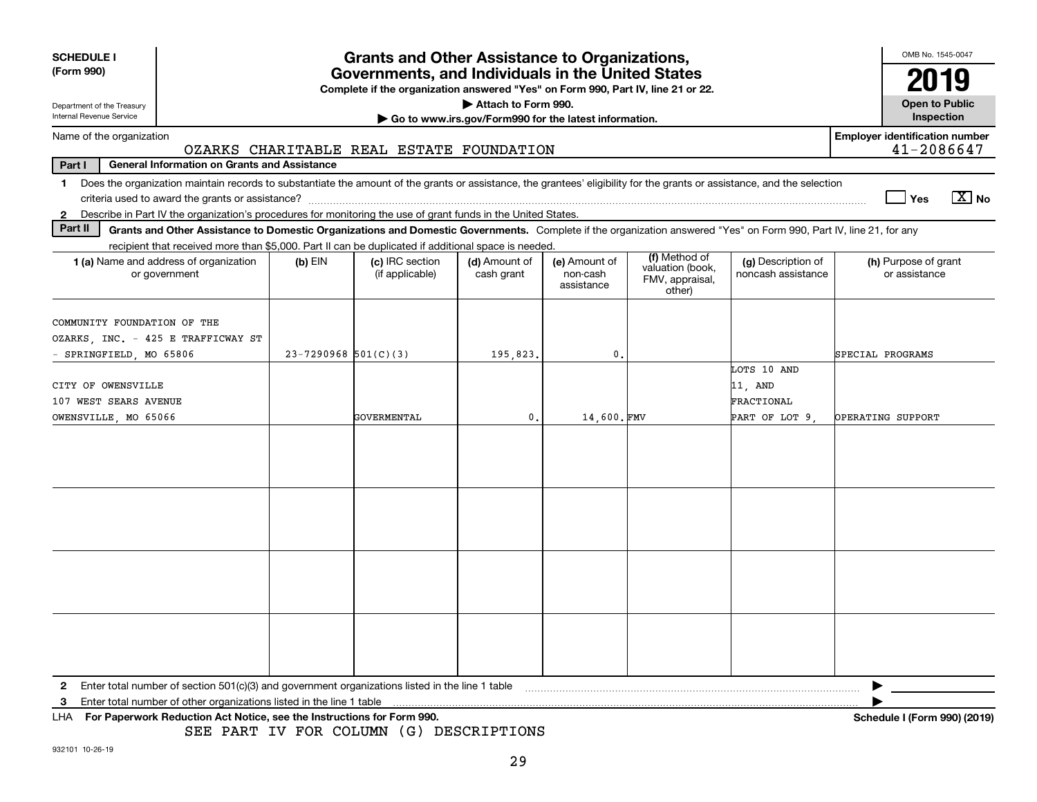| <b>SCHEDULE I</b><br>(Form 990)                                                                                                                                                         | <b>Grants and Other Assistance to Organizations,</b><br>Governments, and Individuals in the United States<br>Complete if the organization answered "Yes" on Form 990, Part IV, line 21 or 22. |                                    |                                                                              |                                         |                                               |                                          |                                                     |  |
|-----------------------------------------------------------------------------------------------------------------------------------------------------------------------------------------|-----------------------------------------------------------------------------------------------------------------------------------------------------------------------------------------------|------------------------------------|------------------------------------------------------------------------------|-----------------------------------------|-----------------------------------------------|------------------------------------------|-----------------------------------------------------|--|
| Department of the Treasury<br>Internal Revenue Service                                                                                                                                  |                                                                                                                                                                                               |                                    | Attach to Form 990.<br>Go to www.irs.gov/Form990 for the latest information. |                                         |                                               |                                          | <b>Open to Public</b><br>Inspection                 |  |
| Name of the organization                                                                                                                                                                | OZARKS CHARITABLE REAL ESTATE FOUNDATION                                                                                                                                                      |                                    |                                                                              |                                         |                                               |                                          | <b>Employer identification number</b><br>41-2086647 |  |
| Part I<br><b>General Information on Grants and Assistance</b>                                                                                                                           |                                                                                                                                                                                               |                                    |                                                                              |                                         |                                               |                                          |                                                     |  |
| Does the organization maintain records to substantiate the amount of the grants or assistance, the grantees' eligibility for the grants or assistance, and the selection<br>1.          |                                                                                                                                                                                               |                                    |                                                                              |                                         |                                               |                                          | $\boxed{\text{X}}$ No<br>Yes                        |  |
| Describe in Part IV the organization's procedures for monitoring the use of grant funds in the United States.<br>$\mathbf{2}$                                                           |                                                                                                                                                                                               |                                    |                                                                              |                                         |                                               |                                          |                                                     |  |
| Part II<br>Grants and Other Assistance to Domestic Organizations and Domestic Governments. Complete if the organization answered "Yes" on Form 990, Part IV, line 21, for any           |                                                                                                                                                                                               |                                    |                                                                              |                                         |                                               |                                          |                                                     |  |
| recipient that received more than \$5,000. Part II can be duplicated if additional space is needed.                                                                                     |                                                                                                                                                                                               |                                    |                                                                              |                                         | (f) Method of                                 |                                          |                                                     |  |
| 1 (a) Name and address of organization<br>or government                                                                                                                                 | $(b)$ EIN                                                                                                                                                                                     | (c) IRC section<br>(if applicable) | (d) Amount of<br>cash grant                                                  | (e) Amount of<br>non-cash<br>assistance | valuation (book,<br>FMV, appraisal,<br>other) | (g) Description of<br>noncash assistance | (h) Purpose of grant<br>or assistance               |  |
| COMMUNITY FOUNDATION OF THE<br>OZARKS, INC. - 425 E TRAFFICWAY ST                                                                                                                       |                                                                                                                                                                                               |                                    |                                                                              |                                         |                                               |                                          |                                                     |  |
| SPRINGFIELD, MO 65806                                                                                                                                                                   | $23 - 7290968$ 501(C)(3)                                                                                                                                                                      |                                    | 195,823.                                                                     | 0.                                      |                                               |                                          | SPECIAL PROGRAMS                                    |  |
| CITY OF OWENSVILLE<br>107 WEST SEARS AVENUE                                                                                                                                             |                                                                                                                                                                                               |                                    |                                                                              |                                         |                                               | LOTS 10 AND<br>11, AND<br>FRACTIONAL     |                                                     |  |
| OWENSVILLE, MO 65066                                                                                                                                                                    |                                                                                                                                                                                               | GOVERMENTAL                        | $\mathbf{0}$ .                                                               | 14,600.FMV                              |                                               | PART OF LOT 9                            | OPERATING SUPPORT                                   |  |
|                                                                                                                                                                                         |                                                                                                                                                                                               |                                    |                                                                              |                                         |                                               |                                          |                                                     |  |
|                                                                                                                                                                                         |                                                                                                                                                                                               |                                    |                                                                              |                                         |                                               |                                          |                                                     |  |
| Enter total number of section 501(c)(3) and government organizations listed in the line 1 table<br>$\mathbf{2}$<br>Enter total number of other organizations listed in the line 1 table |                                                                                                                                                                                               |                                    |                                                                              |                                         |                                               |                                          |                                                     |  |
| з<br>For Paperwork Reduction Act Notice, see the Instructions for Form 990.<br>LHA                                                                                                      | SEE PART IV FOR COLUMN (G) DESCRIPTIONS                                                                                                                                                       |                                    |                                                                              |                                         |                                               |                                          | Schedule I (Form 990) (2019)                        |  |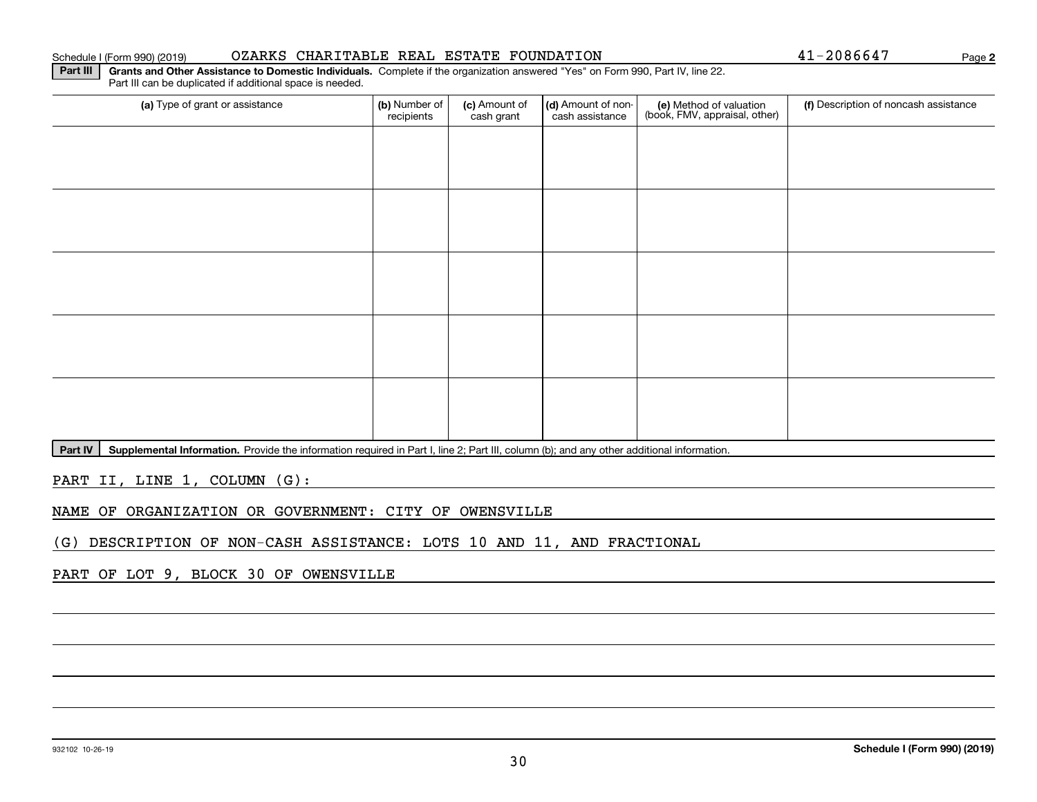### 932102 10-26-19

### Schedule I (Form 990) (2019) OZARKS CHARITABLE REAL ESTATE FOUNDATION Page

(a) Type of grant or assistance **(b)** Number of **(c)** Amount of **(d)** Amount of non-**(e)** Method of valuation (f)<br>cash are continuous cash are cash assistance (book, FMV, appraisal, other) (a) Type of grant or assistance  $\vert$  (b) Number of recipients(c) Amount of cash grant (d) Amount of noncash assistance (f) Description of noncash assistance

Part IV | Supplemental Information. Provide the information required in Part I, line 2; Part III, column (b); and any other additional information.

PART II, LINE 1, COLUMN (G):

NAME OF ORGANIZATION OR GOVERNMENT: CITY OF OWENSVILLE

(G) DESCRIPTION OF NON-CASH ASSISTANCE: LOTS 10 AND 11, AND FRACTIONAL

PART OF LOT 9, BLOCK 30 OF OWENSVILLE

**2**

**Part III | Grants and Other Assistance to Domestic Individuals. Complete if the organization answered "Yes" on Form 990, Part IV, line 22.** Part III can be duplicated if additional space is needed.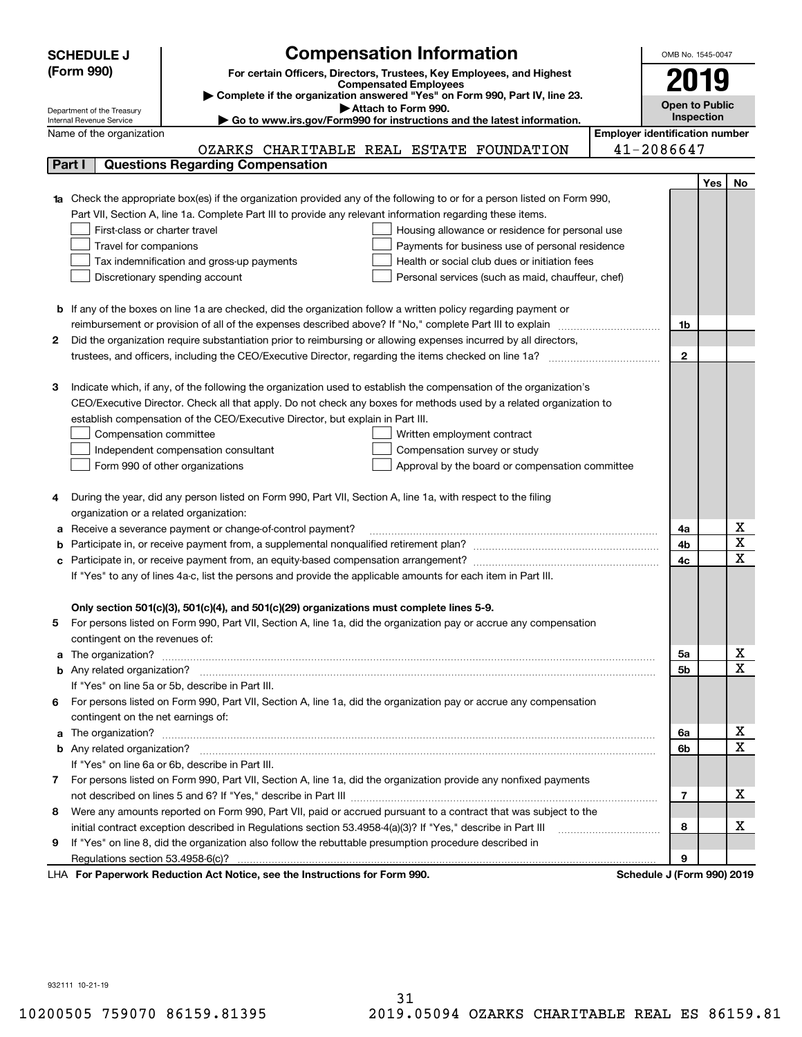|    | <b>SCHEDULE J</b>                                      | <b>Compensation Information</b>                                                                                             |                                       | OMB No. 1545-0047         |                              |                              |  |
|----|--------------------------------------------------------|-----------------------------------------------------------------------------------------------------------------------------|---------------------------------------|---------------------------|------------------------------|------------------------------|--|
|    | (Form 990)                                             | For certain Officers, Directors, Trustees, Key Employees, and Highest                                                       |                                       |                           |                              |                              |  |
|    |                                                        | <b>Compensated Employees</b>                                                                                                |                                       |                           |                              |                              |  |
|    |                                                        | Complete if the organization answered "Yes" on Form 990, Part IV, line 23.                                                  |                                       |                           |                              |                              |  |
|    | Department of the Treasury<br>Internal Revenue Service | Attach to Form 990.<br>Go to www.irs.gov/Form990 for instructions and the latest information.                               |                                       |                           | Open to Public<br>Inspection |                              |  |
|    | Name of the organization                               |                                                                                                                             | <b>Employer identification number</b> |                           |                              |                              |  |
|    |                                                        | OZARKS CHARITABLE REAL ESTATE FOUNDATION                                                                                    |                                       | 41-2086647                |                              |                              |  |
|    | Part I                                                 | <b>Questions Regarding Compensation</b>                                                                                     |                                       |                           |                              |                              |  |
|    |                                                        |                                                                                                                             |                                       |                           | Yes                          | No.                          |  |
|    |                                                        | 1a Check the appropriate box(es) if the organization provided any of the following to or for a person listed on Form 990,   |                                       |                           |                              |                              |  |
|    |                                                        | Part VII, Section A, line 1a. Complete Part III to provide any relevant information regarding these items.                  |                                       |                           |                              |                              |  |
|    | First-class or charter travel                          | Housing allowance or residence for personal use                                                                             |                                       |                           |                              |                              |  |
|    | Travel for companions                                  | Payments for business use of personal residence                                                                             |                                       |                           |                              |                              |  |
|    |                                                        | Health or social club dues or initiation fees<br>Tax indemnification and gross-up payments                                  |                                       |                           |                              |                              |  |
|    |                                                        | Discretionary spending account<br>Personal services (such as maid, chauffeur, chef)                                         |                                       |                           |                              |                              |  |
|    |                                                        |                                                                                                                             |                                       |                           |                              |                              |  |
|    |                                                        | <b>b</b> If any of the boxes on line 1a are checked, did the organization follow a written policy regarding payment or      |                                       |                           |                              |                              |  |
|    |                                                        | reimbursement or provision of all of the expenses described above? If "No," complete Part III to explain                    |                                       | 1b                        |                              |                              |  |
| 2  |                                                        | Did the organization require substantiation prior to reimbursing or allowing expenses incurred by all directors,            |                                       |                           |                              |                              |  |
|    |                                                        |                                                                                                                             |                                       | $\mathbf{2}$              |                              |                              |  |
|    |                                                        |                                                                                                                             |                                       |                           |                              |                              |  |
| З  |                                                        | Indicate which, if any, of the following the organization used to establish the compensation of the organization's          |                                       |                           |                              |                              |  |
|    |                                                        | CEO/Executive Director. Check all that apply. Do not check any boxes for methods used by a related organization to          |                                       |                           |                              |                              |  |
|    |                                                        | establish compensation of the CEO/Executive Director, but explain in Part III.                                              |                                       |                           |                              |                              |  |
|    | Compensation committee                                 | Written employment contract                                                                                                 |                                       |                           |                              |                              |  |
|    |                                                        | Independent compensation consultant<br>Compensation survey or study                                                         |                                       |                           |                              |                              |  |
|    |                                                        | Form 990 of other organizations<br>Approval by the board or compensation committee                                          |                                       |                           |                              |                              |  |
|    |                                                        |                                                                                                                             |                                       |                           |                              |                              |  |
|    |                                                        | During the year, did any person listed on Form 990, Part VII, Section A, line 1a, with respect to the filing                |                                       |                           |                              |                              |  |
|    | organization or a related organization:                |                                                                                                                             |                                       |                           |                              |                              |  |
| a  |                                                        | Receive a severance payment or change-of-control payment?                                                                   |                                       | 4a                        |                              | x                            |  |
|    |                                                        |                                                                                                                             |                                       | 4b                        |                              | $\overline{\textbf{x}}$      |  |
|    |                                                        |                                                                                                                             |                                       | 4c                        |                              | $\overline{\mathbf{x}}$      |  |
|    |                                                        | If "Yes" to any of lines 4a-c, list the persons and provide the applicable amounts for each item in Part III.               |                                       |                           |                              |                              |  |
|    |                                                        |                                                                                                                             |                                       |                           |                              |                              |  |
|    |                                                        | Only section 501(c)(3), 501(c)(4), and 501(c)(29) organizations must complete lines 5-9.                                    |                                       |                           |                              |                              |  |
| 5  |                                                        | For persons listed on Form 990, Part VII, Section A, line 1a, did the organization pay or accrue any compensation           |                                       |                           |                              |                              |  |
|    | contingent on the revenues of:                         |                                                                                                                             |                                       |                           |                              |                              |  |
|    |                                                        | a The organization? <b>Manual Community Community</b> Community Community Community Community Community Community Community |                                       | 5a                        |                              | x<br>$\overline{\mathbf{x}}$ |  |
|    |                                                        |                                                                                                                             |                                       | 5b                        |                              |                              |  |
|    |                                                        | If "Yes" on line 5a or 5b, describe in Part III.                                                                            |                                       |                           |                              |                              |  |
|    | contingent on the net earnings of:                     | 6 For persons listed on Form 990, Part VII, Section A, line 1a, did the organization pay or accrue any compensation         |                                       |                           |                              |                              |  |
|    |                                                        |                                                                                                                             |                                       | 6a                        |                              | х                            |  |
|    |                                                        |                                                                                                                             |                                       | 6b                        |                              | $\mathbf X$                  |  |
|    |                                                        | If "Yes" on line 6a or 6b, describe in Part III.                                                                            |                                       |                           |                              |                              |  |
|    |                                                        | 7 For persons listed on Form 990, Part VII, Section A, line 1a, did the organization provide any nonfixed payments          |                                       |                           |                              |                              |  |
|    |                                                        |                                                                                                                             |                                       | 7                         |                              | х                            |  |
| 8  |                                                        | Were any amounts reported on Form 990, Part VII, paid or accrued pursuant to a contract that was subject to the             |                                       |                           |                              |                              |  |
|    |                                                        | initial contract exception described in Regulations section 53.4958-4(a)(3)? If "Yes," describe in Part III                 |                                       | 8                         |                              | х                            |  |
| 9. |                                                        | If "Yes" on line 8, did the organization also follow the rebuttable presumption procedure described in                      |                                       |                           |                              |                              |  |
|    |                                                        |                                                                                                                             |                                       | 9                         |                              |                              |  |
|    |                                                        | expects Reduction Act Notice, see the Instructions for Ferm 000                                                             |                                       | Pohodulo 1/Earm 000) 2010 |                              |                              |  |

LHA For Paperwork Reduction Act Notice, see the Instructions for Form 990. Schedule J (Form 990) 2019

932111 10-21-19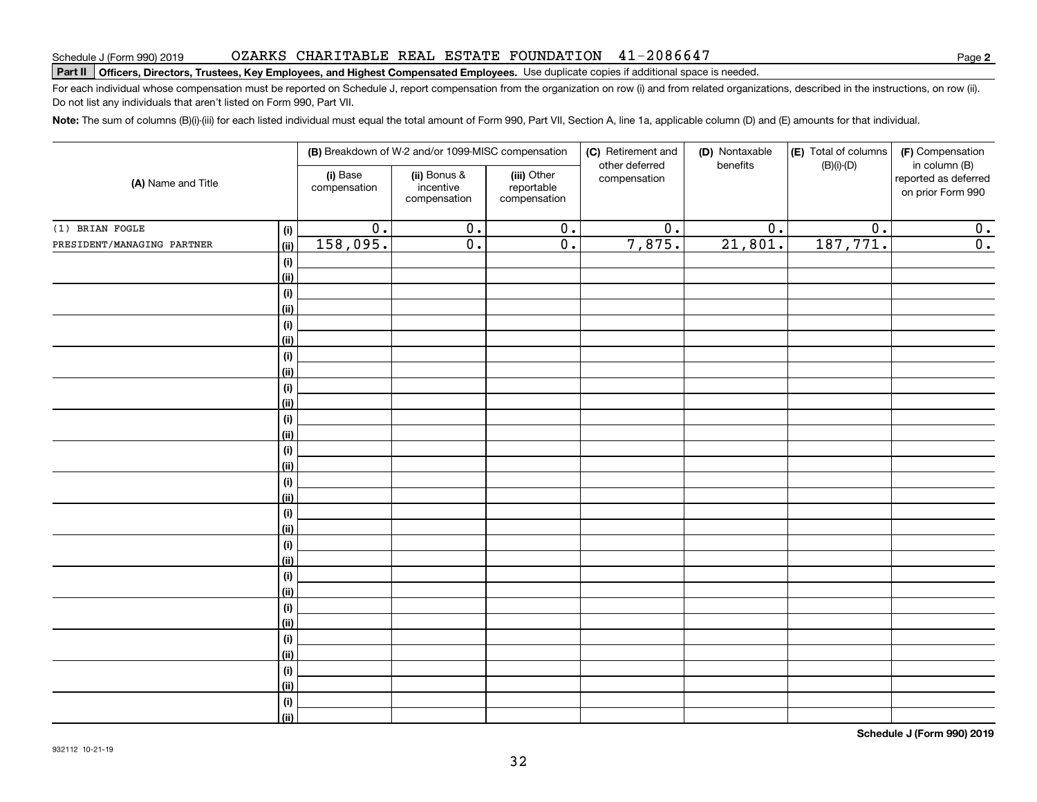### OZARKS CHARITABLE REAL ESTATE FOUNDATION 41-2086647

# **Part II Officers, Directors, Trustees, Key Employees, and Highest Compensated Employees.**  Schedule J (Form 990) 2019 Page Use duplicate copies if additional space is needed.

For each individual whose compensation must be reported on Schedule J, report compensation from the organization on row (i) and from related organizations, described in the instructions, on row (ii). Do not list any individuals that aren't listed on Form 990, Part VII.

**Note:**  The sum of columns (B)(i)-(iii) for each listed individual must equal the total amount of Form 990, Part VII, Section A, line 1a, applicable column (D) and (E) amounts for that individual.

| (A) Name and Title         |                    |                          | (B) Breakdown of W-2 and/or 1099-MISC compensation |                                           | (C) Retirement and             | (D) Nontaxable   | (E) Total of columns<br>(F) Compensation |                                                            |  |
|----------------------------|--------------------|--------------------------|----------------------------------------------------|-------------------------------------------|--------------------------------|------------------|------------------------------------------|------------------------------------------------------------|--|
|                            |                    | (i) Base<br>compensation | (ii) Bonus &<br>incentive<br>compensation          | (iii) Other<br>reportable<br>compensation | other deferred<br>compensation | benefits         | $(B)(i)$ - $(D)$                         | in column (B)<br>reported as deferred<br>on prior Form 990 |  |
| $(1)$ BRIAN FOGLE          | (i)                | 0.                       | $\overline{0}$ .                                   | $\overline{0}$ .                          | $\overline{0}$ .               | $\overline{0}$ . | 0.                                       | $\mathbf 0$ .                                              |  |
| PRESIDENT/MANAGING PARTNER | (ii)               | 158,095.                 | $\overline{0}$ .                                   | $\overline{0}$ .                          | 7,875.                         | 21,801.          | 187,771.                                 | $\overline{0}$ .                                           |  |
|                            | $(\sf{i})$         |                          |                                                    |                                           |                                |                  |                                          |                                                            |  |
|                            | (ii)               |                          |                                                    |                                           |                                |                  |                                          |                                                            |  |
|                            | $(\sf{i})$         |                          |                                                    |                                           |                                |                  |                                          |                                                            |  |
|                            | (ii)               |                          |                                                    |                                           |                                |                  |                                          |                                                            |  |
|                            | $(\sf{i})$         |                          |                                                    |                                           |                                |                  |                                          |                                                            |  |
|                            | (ii)               |                          |                                                    |                                           |                                |                  |                                          |                                                            |  |
|                            | $(\sf{i})$         |                          |                                                    |                                           |                                |                  |                                          |                                                            |  |
|                            | (ii)               |                          |                                                    |                                           |                                |                  |                                          |                                                            |  |
|                            | $(\sf{i})$         |                          |                                                    |                                           |                                |                  |                                          |                                                            |  |
|                            | (ii)               |                          |                                                    |                                           |                                |                  |                                          |                                                            |  |
|                            | $(\sf{i})$         |                          |                                                    |                                           |                                |                  |                                          |                                                            |  |
|                            | (ii)               |                          |                                                    |                                           |                                |                  |                                          |                                                            |  |
|                            | $(\sf{i})$         |                          |                                                    |                                           |                                |                  |                                          |                                                            |  |
|                            | (ii)<br>$(\sf{i})$ |                          |                                                    |                                           |                                |                  |                                          |                                                            |  |
|                            | (ii)               |                          |                                                    |                                           |                                |                  |                                          |                                                            |  |
|                            | $(\sf{i})$         |                          |                                                    |                                           |                                |                  |                                          |                                                            |  |
|                            | (ii)               |                          |                                                    |                                           |                                |                  |                                          |                                                            |  |
|                            | $(\sf{i})$         |                          |                                                    |                                           |                                |                  |                                          |                                                            |  |
|                            | (ii)               |                          |                                                    |                                           |                                |                  |                                          |                                                            |  |
|                            | $(\sf{i})$         |                          |                                                    |                                           |                                |                  |                                          |                                                            |  |
|                            | (ii)               |                          |                                                    |                                           |                                |                  |                                          |                                                            |  |
|                            | $(\sf{i})$         |                          |                                                    |                                           |                                |                  |                                          |                                                            |  |
|                            | (ii)               |                          |                                                    |                                           |                                |                  |                                          |                                                            |  |
|                            | $(\sf{i})$         |                          |                                                    |                                           |                                |                  |                                          |                                                            |  |
|                            | (ii)               |                          |                                                    |                                           |                                |                  |                                          |                                                            |  |
|                            | $(\sf{i})$         |                          |                                                    |                                           |                                |                  |                                          |                                                            |  |
|                            | (ii)               |                          |                                                    |                                           |                                |                  |                                          |                                                            |  |
|                            | $(\sf{i})$         |                          |                                                    |                                           |                                |                  |                                          |                                                            |  |
|                            | (ii)               |                          |                                                    |                                           |                                |                  |                                          |                                                            |  |

**Schedule J (Form 990) 2019**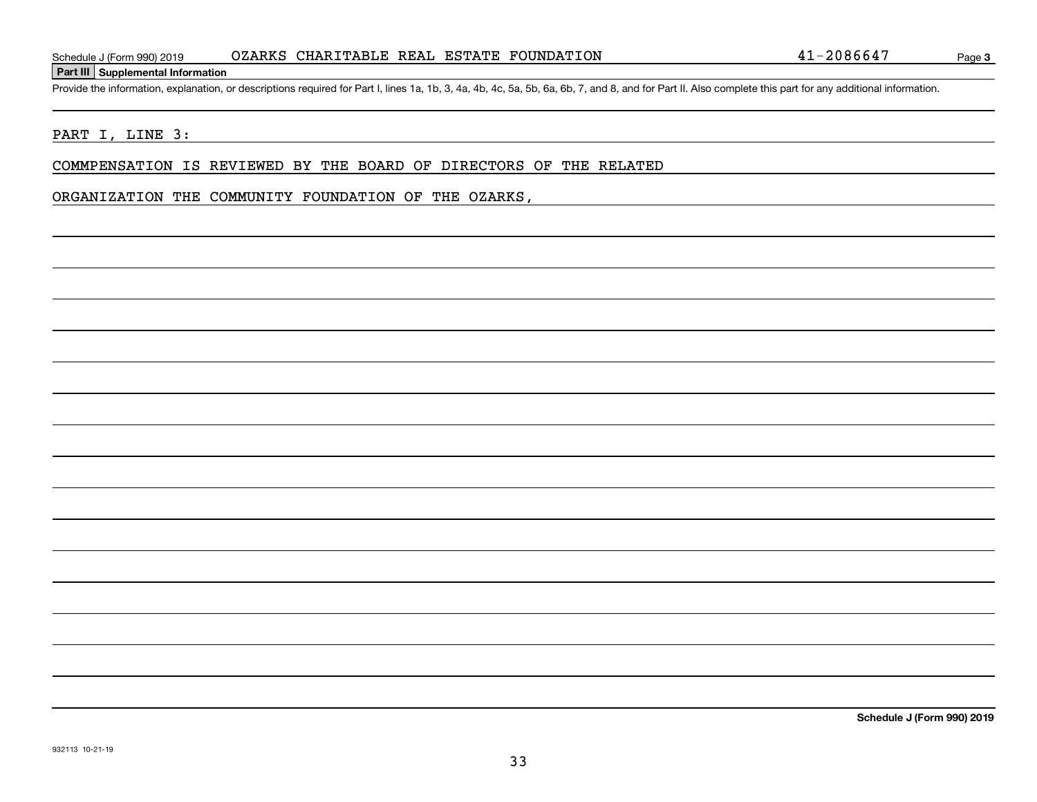### **Part III Supplemental Information**

Schedule J (Form 990) 2019 0ZARKS CHARITABLE REAL ESTATE FOUNDATION 41-2086647<br>Part III Supplemental Information<br>Provide the information, explanation, or descriptions required for Part I, lines 1a, 1b, 3, 4a, 4b, 4c, 5a, 5

### PART I, LINE 3:

COMMPENSATION IS REVIEWED BY THE BOARD OF DIRECTORS OF THE RELATED

### ORGANIZATION THE COMMUNITY FOUNDATION OF THE OZARKS,

**Schedule J (Form 990) 2019**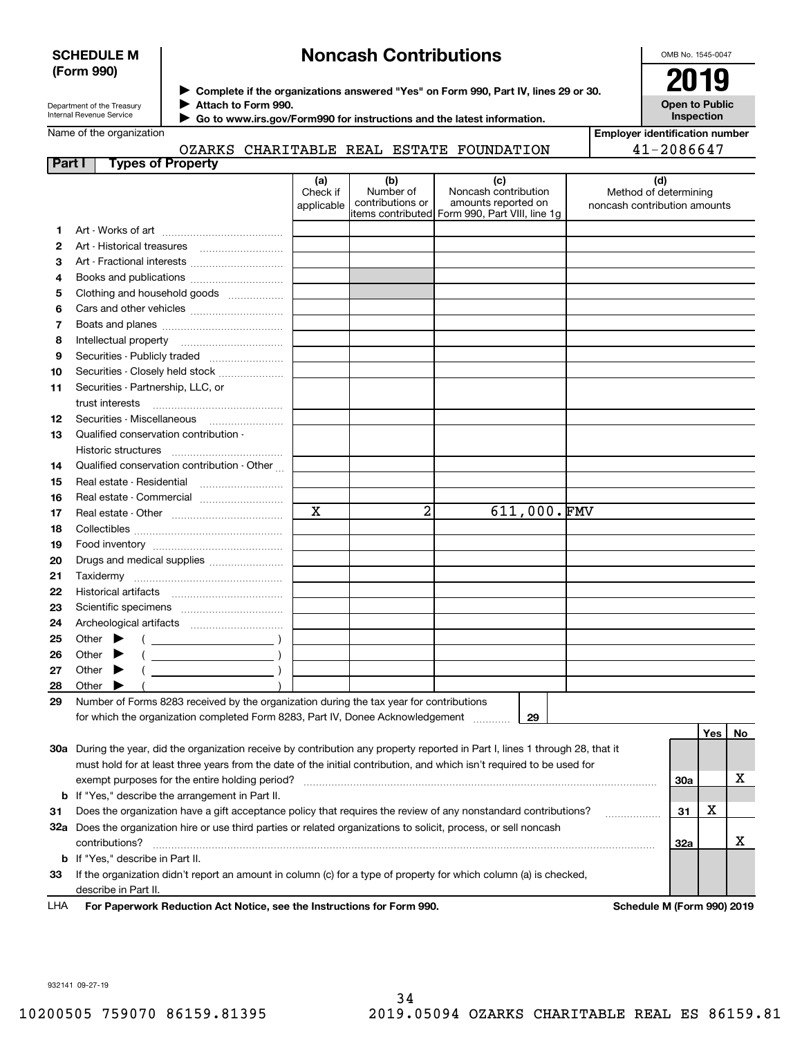### **SCHEDULE M (Form 990)**

# **Noncash Contributions**

OMB No. 1545-0047

| Department of the Treasury |
|----------------------------|
| Internal Revenue Service   |

**Complete if the organizations answered "Yes" on Form 990, Part IV, lines 29 or 30.** <sup>J</sup>**2019 Attach to Form 990.** J

**Open to Public Inspection**

Name of the organization

OZARKS CHARITABLE REAL ESTATE FOUNDATION

 **Go to www.irs.gov/Form990 for instructions and the latest information.** J

| Employer identification number |  |
|--------------------------------|--|
| $41 - 2086647$                 |  |

| Part I | <b>Types of Property</b>                                                                                                       |                        |                  |                                                 |                                                       |     |    |
|--------|--------------------------------------------------------------------------------------------------------------------------------|------------------------|------------------|-------------------------------------------------|-------------------------------------------------------|-----|----|
|        |                                                                                                                                | (a)                    | (b)<br>Number of | (c)<br>Noncash contribution                     | (d)                                                   |     |    |
|        |                                                                                                                                | Check if<br>applicable | contributions or | amounts reported on                             | Method of determining<br>noncash contribution amounts |     |    |
|        |                                                                                                                                |                        |                  | items contributed  Form 990, Part VIII, line 1g |                                                       |     |    |
| 1.     |                                                                                                                                |                        |                  |                                                 |                                                       |     |    |
| 2      |                                                                                                                                |                        |                  |                                                 |                                                       |     |    |
| З      | Art - Fractional interests                                                                                                     |                        |                  |                                                 |                                                       |     |    |
| 4      |                                                                                                                                |                        |                  |                                                 |                                                       |     |    |
| 5      | Clothing and household goods                                                                                                   |                        |                  |                                                 |                                                       |     |    |
| 6      |                                                                                                                                |                        |                  |                                                 |                                                       |     |    |
| 7      |                                                                                                                                |                        |                  |                                                 |                                                       |     |    |
| 8      |                                                                                                                                |                        |                  |                                                 |                                                       |     |    |
| 9      | Securities - Publicly traded                                                                                                   |                        |                  |                                                 |                                                       |     |    |
| 10     | Securities - Closely held stock                                                                                                |                        |                  |                                                 |                                                       |     |    |
| 11     | Securities - Partnership, LLC, or<br>trust interests                                                                           |                        |                  |                                                 |                                                       |     |    |
| 12     | Securities Miscellaneous                                                                                                       |                        |                  |                                                 |                                                       |     |    |
| 13     | Qualified conservation contribution -                                                                                          |                        |                  |                                                 |                                                       |     |    |
|        | Historic structures                                                                                                            |                        |                  |                                                 |                                                       |     |    |
| 14     | Qualified conservation contribution - Other                                                                                    |                        |                  |                                                 |                                                       |     |    |
| 15     | Real estate - Residential                                                                                                      |                        |                  |                                                 |                                                       |     |    |
| 16     | Real estate - Commercial                                                                                                       |                        |                  |                                                 |                                                       |     |    |
| 17     |                                                                                                                                | X                      | $\overline{2}$   | 611,000.FMV                                     |                                                       |     |    |
| 18     |                                                                                                                                |                        |                  |                                                 |                                                       |     |    |
| 19     |                                                                                                                                |                        |                  |                                                 |                                                       |     |    |
| 20     | Drugs and medical supplies                                                                                                     |                        |                  |                                                 |                                                       |     |    |
| 21     | Taxidermy                                                                                                                      |                        |                  |                                                 |                                                       |     |    |
| 22     |                                                                                                                                |                        |                  |                                                 |                                                       |     |    |
| 23     |                                                                                                                                |                        |                  |                                                 |                                                       |     |    |
| 24     |                                                                                                                                |                        |                  |                                                 |                                                       |     |    |
| 25     | Other $\blacktriangleright$                                                                                                    |                        |                  |                                                 |                                                       |     |    |
| 26     | Other                                                                                                                          |                        |                  |                                                 |                                                       |     |    |
| 27     | Other                                                                                                                          |                        |                  |                                                 |                                                       |     |    |
| 28     | Other                                                                                                                          |                        |                  |                                                 |                                                       |     |    |
| 29     | Number of Forms 8283 received by the organization during the tax year for contributions                                        |                        |                  |                                                 |                                                       |     |    |
|        | for which the organization completed Form 8283, Part IV, Donee Acknowledgement                                                 |                        |                  | 29                                              |                                                       |     |    |
|        |                                                                                                                                |                        |                  |                                                 |                                                       | Yes | No |
|        | 30a During the year, did the organization receive by contribution any property reported in Part I, lines 1 through 28, that it |                        |                  |                                                 |                                                       |     |    |
|        | must hold for at least three years from the date of the initial contribution, and which isn't required to be used for          |                        |                  |                                                 |                                                       |     |    |
|        | exempt purposes for the entire holding period?                                                                                 |                        |                  |                                                 | 30a                                                   |     | x  |
| b      | If "Yes," describe the arrangement in Part II.                                                                                 |                        |                  |                                                 |                                                       |     |    |
| 31     | Does the organization have a gift acceptance policy that requires the review of any nonstandard contributions?                 |                        |                  |                                                 | 31                                                    | x   |    |
|        | 32a Does the organization hire or use third parties or related organizations to solicit, process, or sell noncash              |                        |                  |                                                 |                                                       |     |    |
|        | contributions?                                                                                                                 |                        |                  |                                                 | 32a                                                   |     | x  |
| b      | If "Yes," describe in Part II.                                                                                                 |                        |                  |                                                 |                                                       |     |    |
| 33     | If the organization didn't report an amount in column (c) for a type of property for which column (a) is checked,              |                        |                  |                                                 |                                                       |     |    |

**For Paperwork Reduction Act Notice, see the Instructions for Form 990. Schedule M (Form 990) 2019**

LHA

describe in Part II.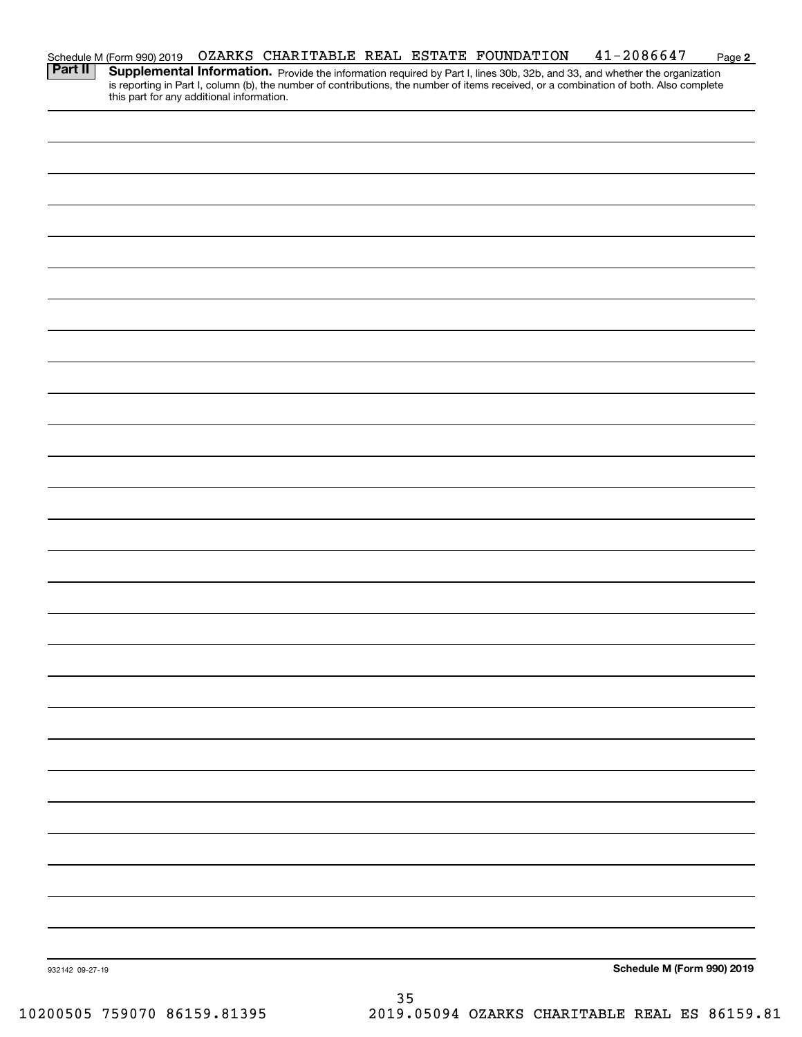|                 | Schedule M (Form 990) 2019                |  |    | OZARKS CHARITABLE REAL ESTATE FOUNDATION | $41 - 2086647$                                                                                                                                                                                                                                                       | Page 2 |
|-----------------|-------------------------------------------|--|----|------------------------------------------|----------------------------------------------------------------------------------------------------------------------------------------------------------------------------------------------------------------------------------------------------------------------|--------|
| <b>Part II</b>  | this part for any additional information. |  |    |                                          | Supplemental Information. Provide the information required by Part I, lines 30b, 32b, and 33, and whether the organization<br>is reporting in Part I, column (b), the number of contributions, the number of items received, or a combination of both. Also complete |        |
|                 |                                           |  |    |                                          |                                                                                                                                                                                                                                                                      |        |
|                 |                                           |  |    |                                          |                                                                                                                                                                                                                                                                      |        |
|                 |                                           |  |    |                                          |                                                                                                                                                                                                                                                                      |        |
|                 |                                           |  |    |                                          |                                                                                                                                                                                                                                                                      |        |
|                 |                                           |  |    |                                          |                                                                                                                                                                                                                                                                      |        |
|                 |                                           |  |    |                                          |                                                                                                                                                                                                                                                                      |        |
|                 |                                           |  |    |                                          |                                                                                                                                                                                                                                                                      |        |
|                 |                                           |  |    |                                          |                                                                                                                                                                                                                                                                      |        |
|                 |                                           |  |    |                                          |                                                                                                                                                                                                                                                                      |        |
|                 |                                           |  |    |                                          |                                                                                                                                                                                                                                                                      |        |
|                 |                                           |  |    |                                          |                                                                                                                                                                                                                                                                      |        |
|                 |                                           |  |    |                                          |                                                                                                                                                                                                                                                                      |        |
|                 |                                           |  |    |                                          |                                                                                                                                                                                                                                                                      |        |
|                 |                                           |  |    |                                          |                                                                                                                                                                                                                                                                      |        |
|                 |                                           |  |    |                                          |                                                                                                                                                                                                                                                                      |        |
|                 |                                           |  |    |                                          |                                                                                                                                                                                                                                                                      |        |
|                 |                                           |  |    |                                          |                                                                                                                                                                                                                                                                      |        |
|                 |                                           |  |    |                                          |                                                                                                                                                                                                                                                                      |        |
|                 |                                           |  |    |                                          |                                                                                                                                                                                                                                                                      |        |
|                 |                                           |  |    |                                          |                                                                                                                                                                                                                                                                      |        |
|                 |                                           |  |    |                                          |                                                                                                                                                                                                                                                                      |        |
|                 |                                           |  |    |                                          |                                                                                                                                                                                                                                                                      |        |
|                 |                                           |  |    |                                          |                                                                                                                                                                                                                                                                      |        |
|                 |                                           |  |    |                                          |                                                                                                                                                                                                                                                                      |        |
|                 |                                           |  |    |                                          |                                                                                                                                                                                                                                                                      |        |
|                 |                                           |  |    |                                          |                                                                                                                                                                                                                                                                      |        |
|                 |                                           |  |    |                                          |                                                                                                                                                                                                                                                                      |        |
|                 |                                           |  |    |                                          |                                                                                                                                                                                                                                                                      |        |
|                 |                                           |  |    |                                          |                                                                                                                                                                                                                                                                      |        |
|                 |                                           |  |    |                                          |                                                                                                                                                                                                                                                                      |        |
|                 |                                           |  |    |                                          |                                                                                                                                                                                                                                                                      |        |
|                 |                                           |  |    |                                          |                                                                                                                                                                                                                                                                      |        |
| 932142 09-27-19 |                                           |  |    |                                          | Schedule M (Form 990) 2019                                                                                                                                                                                                                                           |        |
|                 |                                           |  | 35 |                                          |                                                                                                                                                                                                                                                                      |        |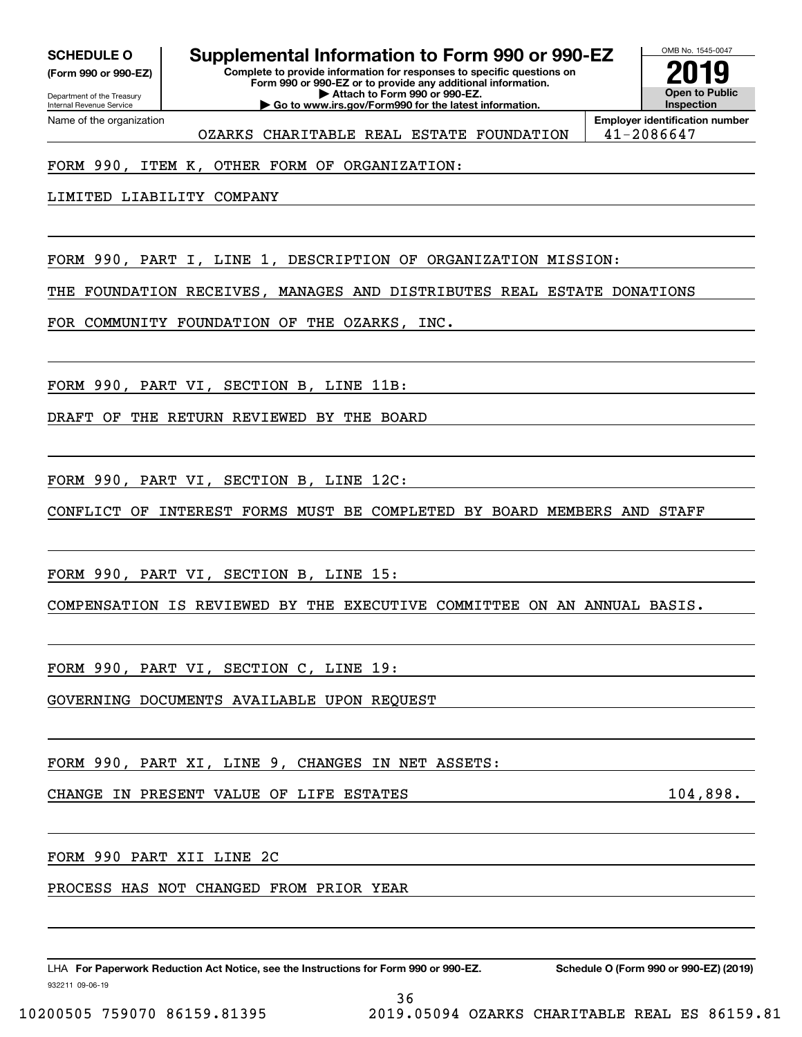**(Form 990 or 990-EZ)**

Department of the Treasury Internal Revenue Service Name of the organization

# **SCHEDULE O Supplemental Information to Form 990 or 990-EZ**

**Complete to provide information for responses to specific questions on Form 990 or 990-EZ or to provide any additional information. | Attach to Form 990 or 990-EZ. | Go to www.irs.gov/Form990 for the latest information.**



OZARKS CHARITABLE REAL ESTATE FOUNDATION | 41-2086647

**Employer identification number**

### FORM 990, ITEM K, OTHER FORM OF ORGANIZATION:

LIMITED LIABILITY COMPANY

FORM 990, PART I, LINE 1, DESCRIPTION OF ORGANIZATION MISSION:

THE FOUNDATION RECEIVES, MANAGES AND DISTRIBUTES REAL ESTATE DONATIONS

FOR COMMUNITY FOUNDATION OF THE OZARKS, INC.

FORM 990, PART VI, SECTION B, LINE 11B:

DRAFT OF THE RETURN REVIEWED BY THE BOARD

FORM 990, PART VI, SECTION B, LINE 12C:

CONFLICT OF INTEREST FORMS MUST BE COMPLETED BY BOARD MEMBERS AND STAFF

FORM 990, PART VI, SECTION B, LINE 15:

COMPENSATION IS REVIEWED BY THE EXECUTIVE COMMITTEE ON AN ANNUAL BASIS.

FORM 990, PART VI, SECTION C, LINE 19:

GOVERNING DOCUMENTS AVAILABLE UPON REQUEST

FORM 990, PART XI, LINE 9, CHANGES IN NET ASSETS:

CHANGE IN PRESENT VALUE OF LIFE ESTATES **104,898**.

FORM 990 PART XII LINE 2C

PROCESS HAS NOT CHANGED FROM PRIOR YEAR

932211 09-06-19 LHA For Paperwork Reduction Act Notice, see the Instructions for Form 990 or 990-EZ. Schedule O (Form 990 or 990-EZ) (2019)

36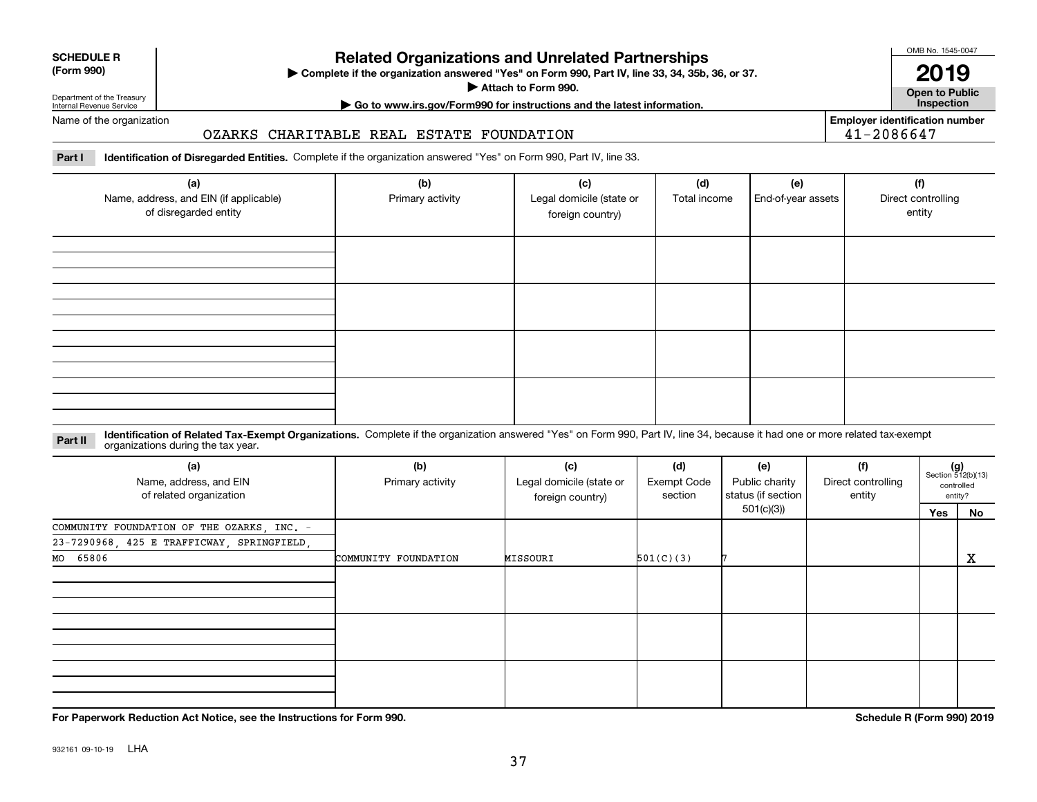# **Related Organizations and Unrelated Partnerships**

**Complete if the organization answered "Yes" on Form 990, Part IV, line 33, 34, 35b, 36, or 37.** |

**Attach to Form 990.**  |

OMB No. 1545-0047 **2019**

**Open to Public**

**| Go to www.irs.gov/Form990 for instructions and the latest information. Inspection**

Department of the Treasury Internal Revenue Service Name of the organization

**SCHEDULE R (Form 990)**

# OZARKS CHARITABLE REAL ESTATE FOUNDATION

**Employer identification number** 41-2086647

**Part I Identification of Disregarded Entities.**  Complete if the organization answered "Yes" on Form 990, Part IV, line 33.

| (a)<br>Name, address, and EIN (if applicable)<br>of disregarded entity | (b)<br>Primary activity | (c)<br>Legal domicile (state or<br>foreign country) | (d)<br>Total income | (e)<br>End-of-year assets | (f)<br>Direct controlling<br>entity |
|------------------------------------------------------------------------|-------------------------|-----------------------------------------------------|---------------------|---------------------------|-------------------------------------|
|                                                                        |                         |                                                     |                     |                           |                                     |
|                                                                        |                         |                                                     |                     |                           |                                     |
|                                                                        |                         |                                                     |                     |                           |                                     |
|                                                                        |                         |                                                     |                     |                           |                                     |

#### **Identification of Related Tax-Exempt Organizations.** Complete if the organization answered "Yes" on Form 990, Part IV, line 34, because it had one or more related tax-exempt **Part II** organizations during the tax year.

| (a)<br>Name, address, and EIN<br>of related organization | (b)<br>Primary activity | (c)<br>Legal domicile (state or<br>foreign country) | (d)<br><b>Exempt Code</b><br>section | (e)<br>Public charity<br>status (if section | (f)<br>Direct controlling<br>entity | $(g)$<br>Section 512(b)(13)<br>controlled<br>entity? |    |
|----------------------------------------------------------|-------------------------|-----------------------------------------------------|--------------------------------------|---------------------------------------------|-------------------------------------|------------------------------------------------------|----|
|                                                          |                         |                                                     |                                      | 501(c)(3)                                   |                                     | Yes                                                  | No |
| COMMUNITY FOUNDATION OF THE OZARKS, INC. -               |                         |                                                     |                                      |                                             |                                     |                                                      |    |
| 23-7290968, 425 E TRAFFICWAY, SPRINGFIELD,               |                         |                                                     |                                      |                                             |                                     |                                                      |    |
| MO 65806                                                 | COMMUNITY FOUNDATION    | MISSOURI                                            | 501(C)(3)                            |                                             |                                     |                                                      | X  |
|                                                          |                         |                                                     |                                      |                                             |                                     |                                                      |    |
|                                                          |                         |                                                     |                                      |                                             |                                     |                                                      |    |
|                                                          |                         |                                                     |                                      |                                             |                                     |                                                      |    |
|                                                          |                         |                                                     |                                      |                                             |                                     |                                                      |    |
|                                                          |                         |                                                     |                                      |                                             |                                     |                                                      |    |
|                                                          |                         |                                                     |                                      |                                             |                                     |                                                      |    |
|                                                          |                         |                                                     |                                      |                                             |                                     |                                                      |    |
|                                                          |                         |                                                     |                                      |                                             |                                     |                                                      |    |
|                                                          |                         |                                                     |                                      |                                             |                                     |                                                      |    |

**For Paperwork Reduction Act Notice, see the Instructions for Form 990. Schedule R (Form 990) 2019**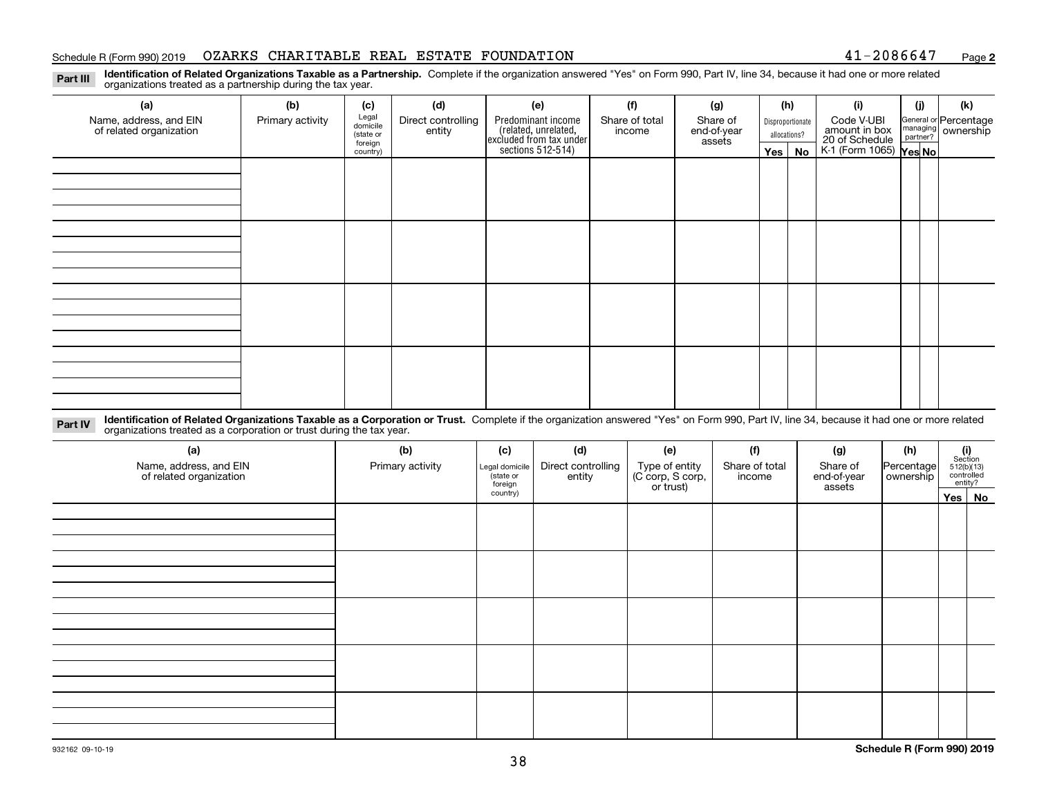### Schedule R (Form 990) 2019 OZARKS CHARITABLE REAL ESTATE FOUNDATION 41-2086647 <sub>Page</sub>

**2**

**Identification of Related Organizations Taxable as a Partnership.** Complete if the organization answered "Yes" on Form 990, Part IV, line 34, because it had one or more related **Part III** organizations treated as a partnership during the tax year.

| (a)                     | (b)              | (c)                  | (d)                | (e)                                                                 | (f)            | (g)                   |  | (h)          | (i)                                      | (j) | (k) |  |  |  |  |          |                  |  |  |  |                             |  |                                                           |
|-------------------------|------------------|----------------------|--------------------|---------------------------------------------------------------------|----------------|-----------------------|--|--------------|------------------------------------------|-----|-----|--|--|--|--|----------|------------------|--|--|--|-----------------------------|--|-----------------------------------------------------------|
| Name, address, and EIN  | Primary activity | Legal<br>domicile    | Direct controlling | Predominant income                                                  | Share of total |                       |  |              |                                          |     |     |  |  |  |  | Share of | Disproportionate |  |  |  | Code V-UBI<br>amount in box |  | General or Percentage<br>managing<br>partner?<br>partner? |
| of related organization |                  | (state or<br>foreign | entity             | related, unrelated,<br>excluded from tax under<br>sections 512-514) | income         | end-of-year<br>assets |  | allocations? | 20 of Schedule<br>K-1 (Form 1065) Yes No |     |     |  |  |  |  |          |                  |  |  |  |                             |  |                                                           |
|                         |                  | country)             |                    |                                                                     |                |                       |  | Yes   No     |                                          |     |     |  |  |  |  |          |                  |  |  |  |                             |  |                                                           |
|                         |                  |                      |                    |                                                                     |                |                       |  |              |                                          |     |     |  |  |  |  |          |                  |  |  |  |                             |  |                                                           |
|                         |                  |                      |                    |                                                                     |                |                       |  |              |                                          |     |     |  |  |  |  |          |                  |  |  |  |                             |  |                                                           |
|                         |                  |                      |                    |                                                                     |                |                       |  |              |                                          |     |     |  |  |  |  |          |                  |  |  |  |                             |  |                                                           |
|                         |                  |                      |                    |                                                                     |                |                       |  |              |                                          |     |     |  |  |  |  |          |                  |  |  |  |                             |  |                                                           |
|                         |                  |                      |                    |                                                                     |                |                       |  |              |                                          |     |     |  |  |  |  |          |                  |  |  |  |                             |  |                                                           |
|                         |                  |                      |                    |                                                                     |                |                       |  |              |                                          |     |     |  |  |  |  |          |                  |  |  |  |                             |  |                                                           |
|                         |                  |                      |                    |                                                                     |                |                       |  |              |                                          |     |     |  |  |  |  |          |                  |  |  |  |                             |  |                                                           |
|                         |                  |                      |                    |                                                                     |                |                       |  |              |                                          |     |     |  |  |  |  |          |                  |  |  |  |                             |  |                                                           |
|                         |                  |                      |                    |                                                                     |                |                       |  |              |                                          |     |     |  |  |  |  |          |                  |  |  |  |                             |  |                                                           |
|                         |                  |                      |                    |                                                                     |                |                       |  |              |                                          |     |     |  |  |  |  |          |                  |  |  |  |                             |  |                                                           |
|                         |                  |                      |                    |                                                                     |                |                       |  |              |                                          |     |     |  |  |  |  |          |                  |  |  |  |                             |  |                                                           |
|                         |                  |                      |                    |                                                                     |                |                       |  |              |                                          |     |     |  |  |  |  |          |                  |  |  |  |                             |  |                                                           |
|                         |                  |                      |                    |                                                                     |                |                       |  |              |                                          |     |     |  |  |  |  |          |                  |  |  |  |                             |  |                                                           |
|                         |                  |                      |                    |                                                                     |                |                       |  |              |                                          |     |     |  |  |  |  |          |                  |  |  |  |                             |  |                                                           |
|                         |                  |                      |                    |                                                                     |                |                       |  |              |                                          |     |     |  |  |  |  |          |                  |  |  |  |                             |  |                                                           |
|                         |                  |                      |                    |                                                                     |                |                       |  |              |                                          |     |     |  |  |  |  |          |                  |  |  |  |                             |  |                                                           |
|                         |                  |                      |                    |                                                                     |                |                       |  |              |                                          |     |     |  |  |  |  |          |                  |  |  |  |                             |  |                                                           |

**Identification of Related Organizations Taxable as a Corporation or Trust.** Complete if the organization answered "Yes" on Form 990, Part IV, line 34, because it had one or more related **Part IV** organizations treated as a corporation or trust during the tax year.

| (a)<br>Name, address, and EIN<br>of related organization | (b)<br>Primary activity | (c)<br>Legal domicile<br>state or<br>foreign | (d)<br>Direct controlling<br>entity | (e)<br>Type of entity<br>(C corp, S corp,<br>or trust) | (f)<br>Share of total<br>income | (g)<br>Share of<br>end-of-year<br>assets | (h)<br>Percentage<br>ownership | $(i)$ Section<br>512(b)(13)<br>controlled<br>entity? |        |  |
|----------------------------------------------------------|-------------------------|----------------------------------------------|-------------------------------------|--------------------------------------------------------|---------------------------------|------------------------------------------|--------------------------------|------------------------------------------------------|--------|--|
|                                                          |                         | country)                                     |                                     |                                                        |                                 |                                          |                                |                                                      | Yes No |  |
|                                                          |                         |                                              |                                     |                                                        |                                 |                                          |                                |                                                      |        |  |
|                                                          |                         |                                              |                                     |                                                        |                                 |                                          |                                |                                                      |        |  |
|                                                          |                         |                                              |                                     |                                                        |                                 |                                          |                                |                                                      |        |  |
|                                                          |                         |                                              |                                     |                                                        |                                 |                                          |                                |                                                      |        |  |
|                                                          |                         |                                              |                                     |                                                        |                                 |                                          |                                |                                                      |        |  |
|                                                          |                         |                                              |                                     |                                                        |                                 |                                          |                                |                                                      |        |  |
|                                                          |                         |                                              |                                     |                                                        |                                 |                                          |                                |                                                      |        |  |
|                                                          |                         |                                              |                                     |                                                        |                                 |                                          |                                |                                                      |        |  |
|                                                          |                         |                                              |                                     |                                                        |                                 |                                          |                                |                                                      |        |  |
|                                                          |                         |                                              |                                     |                                                        |                                 |                                          |                                |                                                      |        |  |
|                                                          |                         |                                              |                                     |                                                        |                                 |                                          |                                |                                                      |        |  |
|                                                          |                         |                                              |                                     |                                                        |                                 |                                          |                                |                                                      |        |  |
|                                                          |                         |                                              |                                     |                                                        |                                 |                                          |                                |                                                      |        |  |
|                                                          |                         |                                              |                                     |                                                        |                                 |                                          |                                |                                                      |        |  |
|                                                          |                         |                                              |                                     |                                                        |                                 |                                          |                                |                                                      |        |  |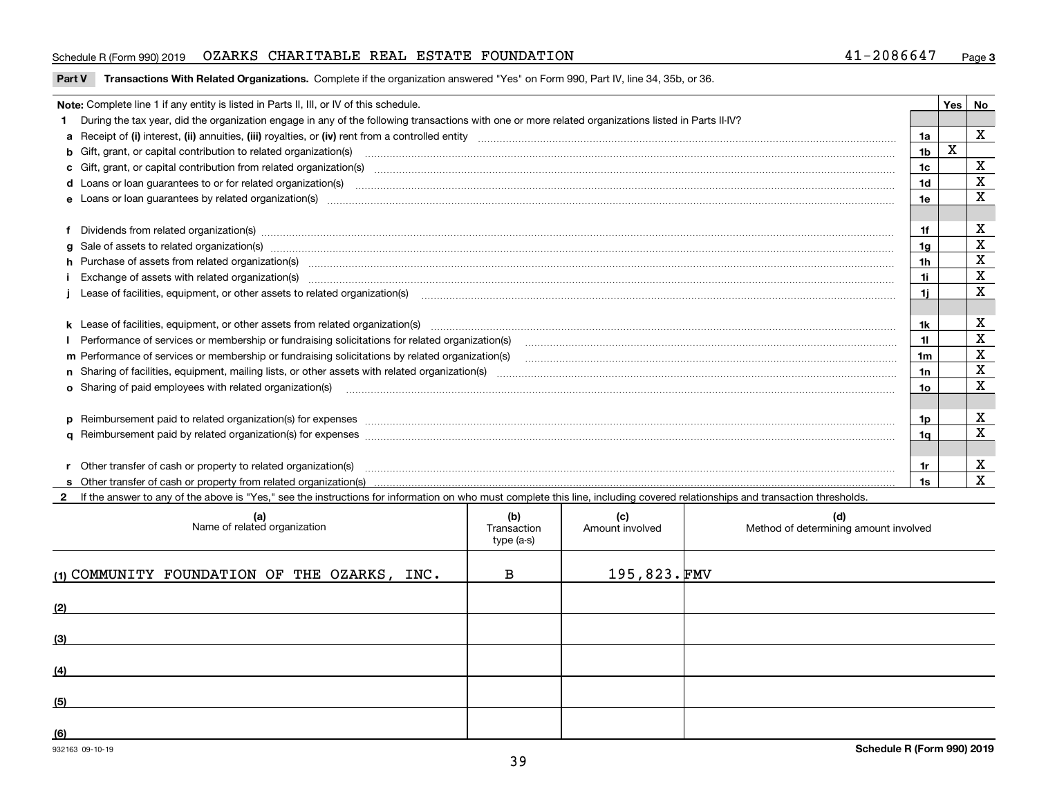### Schedule R (Form 990) 2019 OZARKS CHARITABLE REAL ESTATE FOUNDATION 41-2086647 <sub>Page</sub>

### **Part V** T**ransactions With Related Organizations.** Complete if the organization answered "Yes" on Form 990, Part IV, line 34, 35b, or 36.

| Note: Complete line 1 if any entity is listed in Parts II, III, or IV of this schedule.                                                                                                                                        |     | <b>Yes</b> | No          |
|--------------------------------------------------------------------------------------------------------------------------------------------------------------------------------------------------------------------------------|-----|------------|-------------|
| During the tax year, did the organization engage in any of the following transactions with one or more related organizations listed in Parts II-IV?                                                                            |     |            |             |
|                                                                                                                                                                                                                                | 1a  |            | X           |
| b Gift, grant, or capital contribution to related organization(s) manufactured and contribution to related organization(s)                                                                                                     | 1b  | X          |             |
| c Gift, grant, or capital contribution from related organization(s)                                                                                                                                                            | 1c  |            | х           |
| d Loans or loan guarantees to or for related organization(s) committion contracts are constructed as a contract or contract or contract or contract or contract or contract or contract or contract or contract or contract or | 1d  |            | X           |
| e Loans or loan quarantees by related organization(s)                                                                                                                                                                          | 1e  |            | X           |
|                                                                                                                                                                                                                                |     |            |             |
| f Dividends from related organization(s) manufactured and contract and contract or produced and contract and contract and contract and contract and contract and contract and contract and contract and contract and contract  | 1f  |            | х           |
| g Sale of assets to related organization(s) www.assettion.com/www.assettion.com/www.assettion.com/www.assettion.com/www.assettion.com/www.assettion.com/www.assettion.com/www.assettion.com/www.assettion.com/www.assettion.co | 1g  |            | $\mathbf X$ |
| h Purchase of assets from related organization(s) manufactured and content and content and content and content and content and content and content and content and content and content and content and content and content and | 1h  |            | х           |
| Exchange of assets with related organization(s) manufactured and content and content and content and content and content and content and content and content and content and content and content and content and content and c | 1i. |            | $\mathbf X$ |
|                                                                                                                                                                                                                                | 1i. |            | X           |
|                                                                                                                                                                                                                                |     |            |             |
|                                                                                                                                                                                                                                | 1k. |            | х           |
| Performance of services or membership or fundraising solicitations for related organization(s)                                                                                                                                 | 11  |            | $\mathbf X$ |
| m Performance of services or membership or fundraising solicitations by related organization(s)                                                                                                                                | 1m  |            | $\mathbf X$ |
|                                                                                                                                                                                                                                | 1n  |            | $\mathbf X$ |
| o Sharing of paid employees with related organization(s) manufactured and content to the content of the content of the content of the content of the content of the content of the content of the content of the content of th | 10  |            | X           |
|                                                                                                                                                                                                                                |     |            |             |
| p Reimbursement paid to related organization(s) for expenses [111] All and the content of the content of the content of the content of the content of the content of the content of the content of the content of the content  | 1p. |            | х           |
|                                                                                                                                                                                                                                | 1q  |            | $\mathbf X$ |
|                                                                                                                                                                                                                                |     |            |             |
| r Other transfer of cash or property to related organization(s)                                                                                                                                                                | 1r  |            | х           |
|                                                                                                                                                                                                                                | 1s  |            | x           |

**2**If the answer to any of the above is "Yes," see the instructions for information on who must complete this line, including covered relationships and transaction thresholds.

| (a)<br>Name of related organization          | (b)<br>Transaction<br>type (a-s) | (c)<br>Amount involved | (d)<br>Method of determining amount involved |
|----------------------------------------------|----------------------------------|------------------------|----------------------------------------------|
| (1) COMMUNITY FOUNDATION OF THE OZARKS, INC. | $\mathbf B$                      | 195,823.FMV            |                                              |
| (2)                                          |                                  |                        |                                              |
| (3)                                          |                                  |                        |                                              |
| (4)                                          |                                  |                        |                                              |
| (5)                                          |                                  |                        |                                              |
| (6)                                          |                                  |                        |                                              |

 $\overline{a}$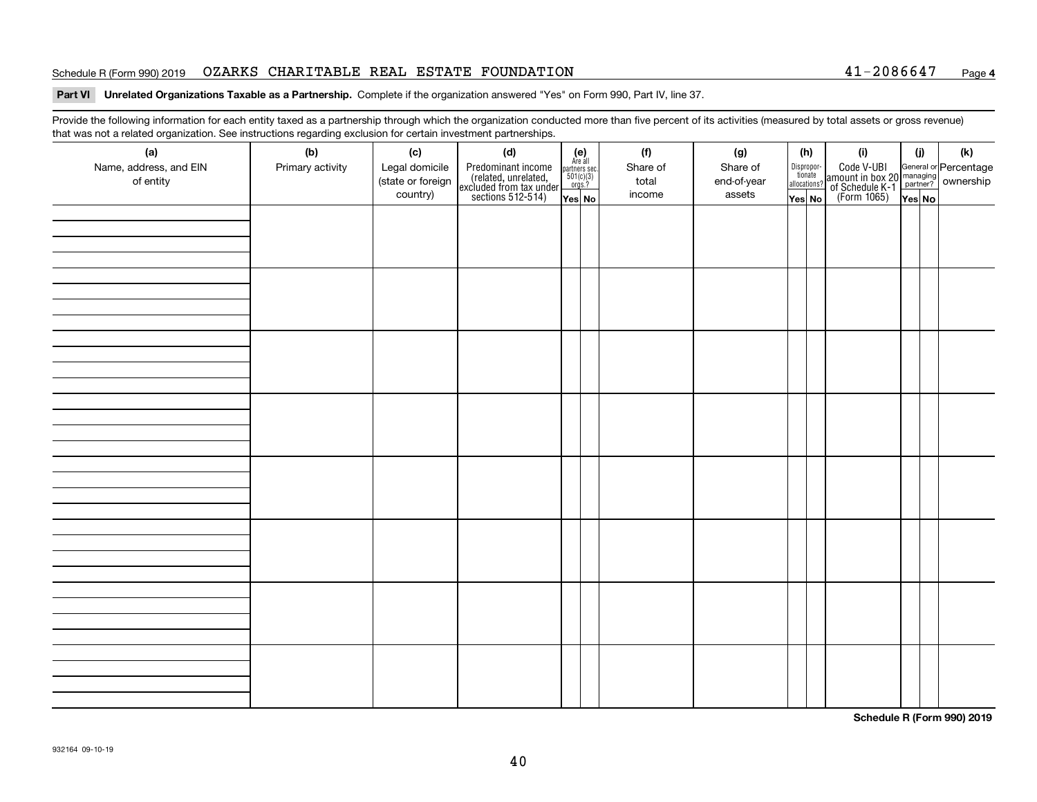### Schedule R (Form 990) 2019 OZARKS CHARITABLE REAL ESTATE FOUNDATION 41-2086647 <sub>Page</sub>

### **4**

### **Part VI Unrelated Organizations Taxable as a Partnership. Complete if the organization answered "Yes" on Form 990, Part IV, line 37.**

Provide the following information for each entity taxed as a partnership through which the organization conducted more than five percent of its activities (measured by total assets or gross revenue) that was not a related organization. See instructions regarding exclusion for certain investment partnerships.

| (a)<br>Name, address, and EIN<br>of entity | $\tilde{}$<br>(b)<br>Primary activity | (c)<br>Legal domicile<br>(state or foreign | (d)<br>Predominant income<br>(related, unrelated,<br>excluded from tax under<br>sections 512-514) | $\begin{array}{c}\n\text{partners} \sec.\n\\ \n501(c)(3)\n\\ \n0rgs.?\n\end{array}$ | $(e)$<br>Are all | (f)<br>Share of<br>total | (g)<br>Share of<br>end-of-year | (h)<br>Dispropor-<br>tionate<br>allocations? | (i)<br>Code V-UBI<br>amount in box 20 managing<br>of Schedule K-1<br>(Form 1065)<br>$\overline{Yes}$ No | (i)    | (k) |  |  |
|--------------------------------------------|---------------------------------------|--------------------------------------------|---------------------------------------------------------------------------------------------------|-------------------------------------------------------------------------------------|------------------|--------------------------|--------------------------------|----------------------------------------------|---------------------------------------------------------------------------------------------------------|--------|-----|--|--|
|                                            |                                       | country)                                   |                                                                                                   | Yes No                                                                              |                  | income                   | assets                         | Yes No                                       |                                                                                                         | Yes No |     |  |  |
|                                            |                                       |                                            |                                                                                                   |                                                                                     |                  |                          |                                |                                              |                                                                                                         |        |     |  |  |
|                                            |                                       |                                            |                                                                                                   |                                                                                     |                  |                          |                                |                                              |                                                                                                         |        |     |  |  |
|                                            |                                       |                                            |                                                                                                   |                                                                                     |                  |                          |                                |                                              |                                                                                                         |        |     |  |  |
|                                            |                                       |                                            |                                                                                                   |                                                                                     |                  |                          |                                |                                              |                                                                                                         |        |     |  |  |
|                                            |                                       |                                            |                                                                                                   |                                                                                     |                  |                          |                                |                                              |                                                                                                         |        |     |  |  |
|                                            |                                       |                                            |                                                                                                   |                                                                                     |                  |                          |                                |                                              |                                                                                                         |        |     |  |  |
|                                            |                                       |                                            |                                                                                                   |                                                                                     |                  |                          |                                |                                              |                                                                                                         |        |     |  |  |
|                                            |                                       |                                            |                                                                                                   |                                                                                     |                  |                          |                                |                                              |                                                                                                         |        |     |  |  |
|                                            |                                       |                                            |                                                                                                   |                                                                                     |                  |                          |                                |                                              |                                                                                                         |        |     |  |  |
|                                            |                                       |                                            |                                                                                                   |                                                                                     |                  |                          |                                |                                              |                                                                                                         |        |     |  |  |
|                                            |                                       |                                            |                                                                                                   |                                                                                     |                  |                          |                                |                                              |                                                                                                         |        |     |  |  |
|                                            |                                       |                                            |                                                                                                   |                                                                                     |                  |                          |                                |                                              |                                                                                                         |        |     |  |  |
|                                            |                                       |                                            |                                                                                                   |                                                                                     |                  |                          |                                |                                              |                                                                                                         |        |     |  |  |
|                                            |                                       |                                            |                                                                                                   |                                                                                     |                  |                          |                                |                                              |                                                                                                         |        |     |  |  |
|                                            |                                       |                                            |                                                                                                   |                                                                                     |                  |                          |                                |                                              |                                                                                                         |        |     |  |  |
|                                            |                                       |                                            |                                                                                                   |                                                                                     |                  |                          |                                |                                              |                                                                                                         |        |     |  |  |
|                                            |                                       |                                            |                                                                                                   |                                                                                     |                  |                          |                                |                                              |                                                                                                         |        |     |  |  |
|                                            |                                       |                                            |                                                                                                   |                                                                                     |                  |                          |                                |                                              |                                                                                                         |        |     |  |  |
|                                            |                                       |                                            |                                                                                                   |                                                                                     |                  |                          |                                |                                              |                                                                                                         |        |     |  |  |
|                                            |                                       |                                            |                                                                                                   |                                                                                     |                  |                          |                                |                                              |                                                                                                         |        |     |  |  |
|                                            |                                       |                                            |                                                                                                   |                                                                                     |                  |                          |                                |                                              |                                                                                                         |        |     |  |  |
|                                            |                                       |                                            |                                                                                                   |                                                                                     |                  |                          |                                |                                              |                                                                                                         |        |     |  |  |
|                                            |                                       |                                            |                                                                                                   |                                                                                     |                  |                          |                                |                                              |                                                                                                         |        |     |  |  |

**Schedule R (Form 990) 2019**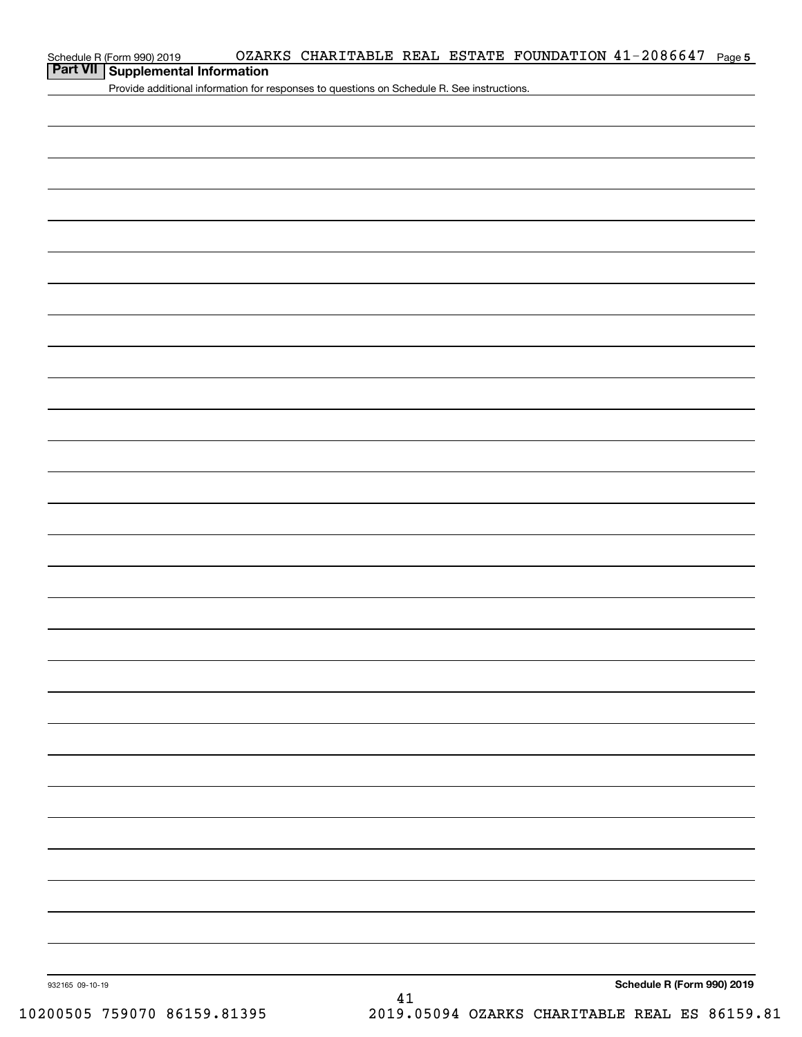| Schedule R (Form 990) 2019 |  |  |
|----------------------------|--|--|
|----------------------------|--|--|

## **Part VII Supplemental Information**

Provide additional information for responses to questions on Schedule R. See instructions.